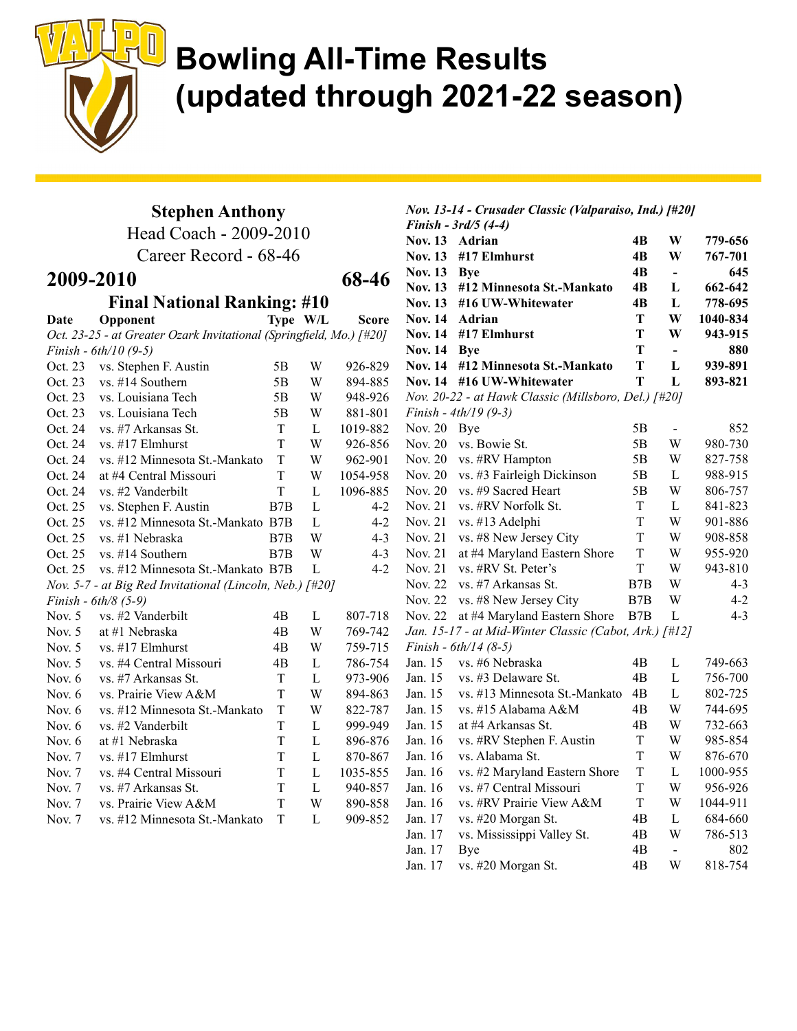

#### Stephen Anthony

Head Coach - 2009-2010

Career Record - 68-46

#### 2009-2010 68-46

Final National Ranking: #10

| Date     | Opponent                                                               |     | Type W/L | Score    |
|----------|------------------------------------------------------------------------|-----|----------|----------|
|          | Oct. 23-25 - at Greater Ozark Invitational (Springfield, Mo.) [#20]    |     |          |          |
|          | Finish - $6th/10(9-5)$                                                 |     |          |          |
| Oct. 23  | vs. Stephen F. Austin                                                  | 5B  | W        | 926-829  |
| Oct. 23  | vs. #14 Southern                                                       | 5B  | W        | 894-885  |
| Oct. 23  | vs. Louisiana Tech                                                     | 5B  | W        | 948-926  |
| Oct. 23  | vs. Louisiana Tech                                                     | 5Β  | W        | 881-801  |
| Oct. 24  | vs. #7 Arkansas St.                                                    | T   | L        | 1019-882 |
| Oct. 24  | vs. #17 Elmhurst                                                       | T   | W        | 926-856  |
| Oct. 24  | vs. #12 Minnesota St.-Mankato                                          | T   | W        | 962-901  |
| Oct. 24  | at #4 Central Missouri                                                 | T   | W        | 1054-958 |
| Oct. 24  | vs. #2 Vanderbilt                                                      | T   | L        | 1096-885 |
| Oct. 25  | vs. Stephen F. Austin                                                  | B7B | L        | $4-2$    |
| Oct. 25  | vs. #12 Minnesota St.-Mankato B7B                                      |     | L        | $4 - 2$  |
| Oct. 25  | vs. #1 Nebraska                                                        | B7B | W        | $4 - 3$  |
| Oct. 25  | $vs.$ #14 Southern                                                     | B7B | W        | $4 - 3$  |
| Oct. 25  | vs. #12 Minnesota St.-Mankato B7B                                      |     | L        | $4 - 2$  |
|          | Nov. 5-7 - at Big Red Invitational (Lincoln, Neb.) $\lceil #20 \rceil$ |     |          |          |
|          | Finish - $6th/8$ (5-9)                                                 |     |          |          |
| Nov. $5$ | vs. #2 Vanderbilt                                                      | 4B  | L        | 807-718  |
| Nov. $5$ | at #1 Nebraska                                                         | 4B  | W        | 769-742  |
| Nov. $5$ | $vs.$ #17 Elmhurst                                                     | 4B  | W        | 759-715  |
| Nov. $5$ | vs. #4 Central Missouri                                                | 4B  | L        | 786-754  |
| Nov. $6$ | vs. #7 Arkansas St.                                                    | T   | L        | 973-906  |
| Nov. $6$ | vs. Prairie View A&M                                                   | T   | W        | 894-863  |
| Nov. $6$ | vs. #12 Minnesota St.-Mankato                                          | T   | W        | 822-787  |
| Nov. $6$ | vs. #2 Vanderbilt                                                      | T   | L        | 999-949  |
| Nov. 6   | at #1 Nebraska                                                         | T   | L        | 896-876  |
| Nov. $7$ | $vs.$ #17 Elmhurst                                                     | T   | L        | 870-867  |
| Nov. $7$ | vs. #4 Central Missouri                                                | T   | L        | 1035-855 |
| Nov. $7$ | vs. #7 Arkansas St.                                                    | T   | L        | 940-857  |
| Nov. $7$ | vs. Prairie View A&M                                                   | T   | W        | 890-858  |
| Nov. $7$ | vs. #12 Minnesota St.-Mankato                                          | T   | L        | 909-852  |
|          |                                                                        |     |          |          |

#### Nov. 13-14 - Crusader Classic (Valparaiso, Ind.) [#20]

|                | Finish - 3rd/5 (4-4)                                   |             |                          |          |
|----------------|--------------------------------------------------------|-------------|--------------------------|----------|
| <b>Nov. 13</b> | Adrian                                                 | 4B          | W                        | 779-656  |
| <b>Nov. 13</b> | #17 Elmhurst                                           | 4B          | W                        | 767-701  |
| <b>Nov. 13</b> | <b>Bye</b>                                             | 4B          | $\overline{\phantom{0}}$ | 645      |
| <b>Nov. 13</b> | #12 Minnesota St.-Mankato                              | 4B          | L                        | 662-642  |
| <b>Nov. 13</b> | #16 UW-Whitewater                                      | 4B          | L                        | 778-695  |
| <b>Nov. 14</b> | Adrian                                                 | T           | W                        | 1040-834 |
| <b>Nov. 14</b> | #17 Elmhurst                                           | T           | W                        | 943-915  |
| <b>Nov. 14</b> | <b>Bye</b>                                             | Т           | $\overline{\phantom{0}}$ | 880      |
| <b>Nov. 14</b> | #12 Minnesota St.-Mankato                              | T           | L                        | 939-891  |
| <b>Nov. 14</b> | #16 UW-Whitewater                                      | T           | L                        | 893-821  |
|                | Nov. 20-22 - at Hawk Classic (Millsboro, Del.) [#20]   |             |                          |          |
|                | Finish - $4th/19(9-3)$                                 |             |                          |          |
| Nov. 20        | Bye                                                    | 5B          | $\blacksquare$           | 852      |
| Nov. 20        | vs. Bowie St.                                          | 5B          | W                        | 980-730  |
| Nov. 20        | vs. #RV Hampton                                        | 5B          | W                        | 827-758  |
| <b>Nov. 20</b> | vs. #3 Fairleigh Dickinson                             | 5Β          | L                        | 988-915  |
| Nov. 20        | vs. #9 Sacred Heart                                    | 5Β          | W                        | 806-757  |
| Nov. 21        | vs. #RV Norfolk St.                                    | T           | $\mathbf{L}$             | 841-823  |
| Nov. 21        | vs. #13 Adelphi                                        | T           | W                        | 901-886  |
| Nov. 21        | vs. #8 New Jersey City                                 | T           | W                        | 908-858  |
| Nov. 21        | at #4 Maryland Eastern Shore                           | T           | W                        | 955-920  |
| Nov. 21        | vs. #RV St. Peter's                                    | T           | W                        | 943-810  |
| <b>Nov. 22</b> | vs. #7 Arkansas St.                                    | B7B         | W                        | $4 - 3$  |
| Nov. 22        | vs. #8 New Jersey City                                 | B7B         | W                        | $4 - 2$  |
| Nov. 22        | at #4 Maryland Eastern Shore                           | B7B         | L                        | $4 - 3$  |
|                | Jan. 15-17 - at Mid-Winter Classic (Cabot, Ark.) [#12] |             |                          |          |
|                | Finish - 6th/14 (8-5)                                  |             |                          |          |
| Jan. 15        | vs. #6 Nebraska                                        | 4B          | L                        | 749-663  |
| Jan. 15        | vs. #3 Delaware St.                                    | 4B          | L                        | 756-700  |
| Jan. 15        | vs. #13 Minnesota St.-Mankato                          | 4B          | L                        | 802-725  |
| Jan. 15        | vs. #15 Alabama A&M                                    | 4B          | W                        | 744-695  |
| Jan. 15        | at #4 Arkansas St.                                     | 4B          | W                        | 732-663  |
| Jan. 16        | vs. #RV Stephen F. Austin                              | T           | W                        | 985-854  |
| Jan. 16        | vs. Alabama St.                                        | T           | W                        | 876-670  |
| Jan. 16        | vs. #2 Maryland Eastern Shore                          | T           | L                        | 1000-955 |
| Jan. 16        | vs. #7 Central Missouri                                | T           | W                        | 956-926  |
| Jan. 16        | vs. #RV Prairie View A&M                               | $\mathbf T$ | W                        | 1044-911 |
| Jan. 17        | vs. #20 Morgan St.                                     | 4B          | L                        | 684-660  |
| Jan. 17        | vs. Mississippi Valley St.                             | 4B          | W                        | 786-513  |
| Jan. 17        | Bye                                                    | 4B          | $\blacksquare$           | 802      |
| Jan. 17        | vs. #20 Morgan St.                                     | 4B          | W                        | 818-754  |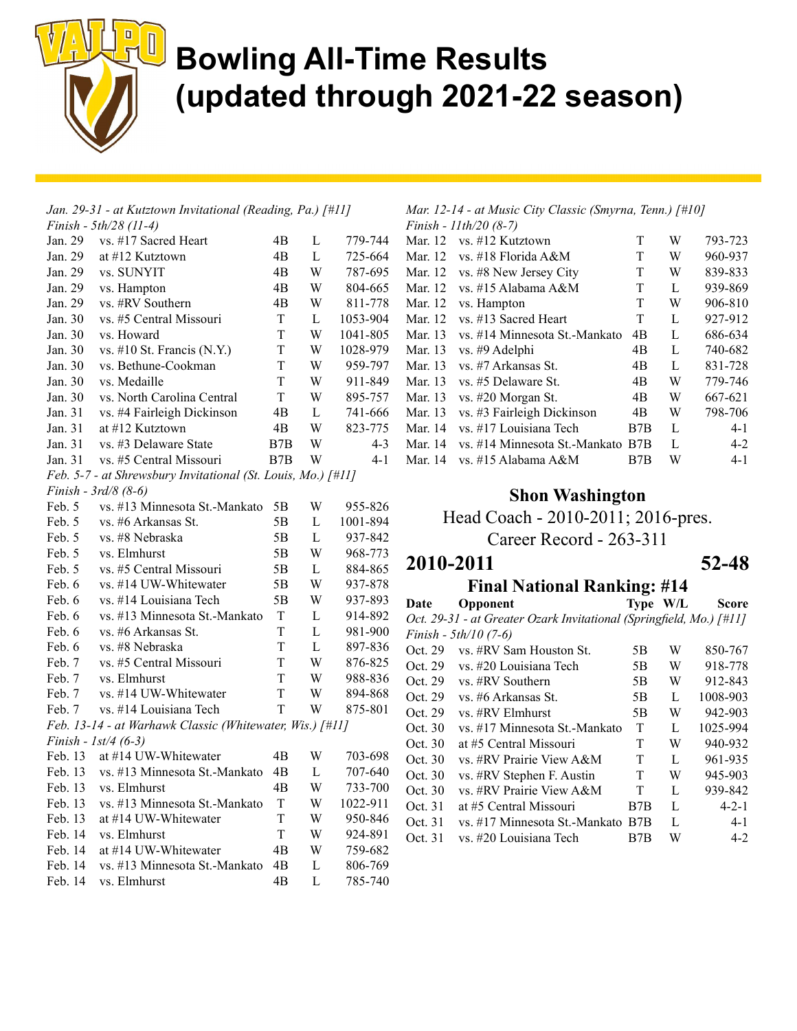

|         | Jan. 29-31 - at Kutztown Invitational (Reading, Pa.) [#11]                   |     |   |          |
|---------|------------------------------------------------------------------------------|-----|---|----------|
|         | Finish - 5th/28 (11-4)                                                       |     |   |          |
| Jan. 29 | vs. #17 Sacred Heart                                                         | 4B  | L | 779-744  |
| Jan. 29 | at #12 Kutztown                                                              | 4B  | L | 725-664  |
| Jan. 29 | vs. SUNYIT                                                                   | 4B  | W | 787-695  |
| Jan. 29 | vs. Hampton                                                                  | 4B  | W | 804-665  |
| Jan. 29 | vs. #RV Southern                                                             | 4B  | W | 811-778  |
| Jan. 30 | vs. #5 Central Missouri                                                      | T   | L | 1053-904 |
| Jan. 30 | vs. Howard                                                                   | T   | W | 1041-805 |
| Jan. 30 | vs. #10 St. Francis $(N.Y.)$                                                 | T   | W | 1028-979 |
| Jan. 30 | vs. Bethune-Cookman                                                          | T   | W | 959-797  |
| Jan. 30 | vs. Medaille                                                                 | T   | W | 911-849  |
| Jan. 30 | vs. North Carolina Central                                                   | T   | W | 895-757  |
| Jan. 31 | vs. #4 Fairleigh Dickinson                                                   | 4B  | L | 741-666  |
| Jan. 31 | at #12 Kutztown                                                              | 4B  | W | 823-775  |
| Jan. 31 | vs. #3 Delaware State                                                        | B7B | W | $4 - 3$  |
| Jan. 31 | vs. #5 Central Missouri                                                      | B7B | W | $4 - 1$  |
|         | Feb. 5-7 - at Shrewsbury Invitational (St. Louis, Mo.) $\lceil \# II \rceil$ |     |   |          |
|         | Finish - $3rd/8$ (8-6)                                                       |     |   |          |
| Feb. 5  | vs. #13 Minnesota St.-Mankato                                                | 5B  | W | 955-826  |
| Feb. 5  | vs. #6 Arkansas St.                                                          | 5B  | L | 1001-894 |
| Feb. 5  | vs. #8 Nebraska                                                              | 5Β  | L | 937-842  |
| Feb. 5  | vs. Elmhurst                                                                 | 5B  | W | 968-773  |
| Feb. 5  | vs. #5 Central Missouri                                                      | 5Β  | L | 884-865  |
| Feb. 6  | vs. #14 UW-Whitewater                                                        | 5Β  | W | 937-878  |
| Feb. 6  | vs. #14 Louisiana Tech                                                       | 5B  | W | 937-893  |
| Feb. 6  | vs. #13 Minnesota St.-Mankato                                                | T   | L | 914-892  |
| Feb. 6  | vs. #6 Arkansas St.                                                          | T   | L | 981-900  |
| Feb. 6  | vs. #8 Nebraska                                                              | T   | L | 897-836  |
| Feb. 7  | vs. #5 Central Missouri                                                      | T   | W | 876-825  |
| Feb. 7  | vs. Elmhurst                                                                 | T   | W | 988-836  |
| Feb. 7  | vs. #14 UW-Whitewater                                                        | T   | W | 894-868  |
| Feb. 7  | vs. #14 Louisiana Tech                                                       | T   | W | 875-801  |
|         | Feb. 13-14 - at Warhawk Classic (Whitewater, Wis.) [#11]                     |     |   |          |
|         | Finish - $1st/4$ (6-3)                                                       |     |   |          |
| Feb. 13 | at #14 UW-Whitewater                                                         | 4B  | W | 703-698  |
| Feb. 13 | vs. #13 Minnesota St.-Mankato                                                | 4B  | L | 707-640  |
|         | Feb. 13 vs. Elmhurst                                                         | 4B  | W | 733-700  |
| Feb. 13 | vs. #13 Minnesota St.-Mankato                                                | T   | W | 1022-911 |
| Feb. 13 | at #14 UW-Whitewater                                                         | T   | W | 950-846  |
| Feb. 14 | vs. Elmhurst                                                                 | T   | W | 924-891  |
| Feb. 14 | at #14 UW-Whitewater                                                         | 4B  | W | 759-682  |
| Feb. 14 | vs. #13 Minnesota St.-Mankato                                                | 4B  | L | 806-769  |
| Feb. 14 | vs. Elmhurst                                                                 | 4B  | L | 785-740  |

Mar. 12-14 - at Music City Classic (Smyrna, Tenn.) [#10] Finish - 11th/20 (8-7)

|         | 1 <i>uusit - 11 uu 40 10-77</i>   |     |   |         |
|---------|-----------------------------------|-----|---|---------|
| Mar. 12 | vs. #12 Kutztown                  | T   | W | 793-723 |
| Mar. 12 | vs. #18 Florida A&M               | T   | W | 960-937 |
|         | Mar. 12 vs. #8 New Jersey City    | T   | W | 839-833 |
| Mar. 12 | vs. #15 Alabama A&M               | T   | L | 939-869 |
| Mar. 12 | vs. Hampton                       | T   | W | 906-810 |
| Mar. 12 | vs. #13 Sacred Heart              | T   | L | 927-912 |
| Mar. 13 | vs. #14 Minnesota St.-Mankato     | 4B  | L | 686-634 |
| Mar. 13 | vs. #9 Adelphi                    | 4B  | L | 740-682 |
| Mar. 13 | vs. #7 Arkansas St.               | 4B  | L | 831-728 |
| Mar. 13 | vs. #5 Delaware St.               | 4B  | W | 779-746 |
| Mar. 13 | vs. #20 Morgan St.                | 4B  | W | 667-621 |
| Mar. 13 | vs. #3 Fairleigh Dickinson        | 4B  | W | 798-706 |
| Mar. 14 | vs. #17 Louisiana Tech            | B7B | L | $4 - 1$ |
| Mar. 14 | vs. #14 Minnesota St.-Mankato B7B |     | L | $4-2$   |
| Mar. 14 | vs. #15 Alabama A&M               | B7B | W | $4 - 1$ |

#### Shon Washington

#### Head Coach - 2010-2011; 2016-pres.

Career Record - 263-311

#### 2010-2011 52-48

### **Final National Ranking: #14**<br>Opponent Type W/L

Date Opponent Type W/L Score Oct. 29-31 - at Greater Ozark Invitational (Springfield, Mo.) [#11] Finish - 5th/10 (7-6)

| Oct. 29 | vs. #RV Sam Houston St.           | 5Β  | W | 850-767     |
|---------|-----------------------------------|-----|---|-------------|
| Oct. 29 | vs. #20 Louisiana Tech            | 5Β  | W | 918-778     |
| Oct. 29 | vs. #RV Southern                  | 5Β  | W | 912-843     |
| Oct. 29 | vs. #6 Arkansas St.               | 5Β  | L | 1008-903    |
| Oct. 29 | vs. #RV Elmhurst                  | 5Β  | W | 942-903     |
| Oct. 30 | vs. #17 Minnesota St.-Mankato     | T   | L | 1025-994    |
| Oct. 30 | at #5 Central Missouri            | T   | W | 940-932     |
| Oct. 30 | vs. #RV Prairie View A&M          | T   | L | 961-935     |
| Oct. 30 | vs. #RV Stephen F. Austin         | T   | W | 945-903     |
| Oct. 30 | vs. #RV Prairie View A&M          | T   | L | 939-842     |
| Oct. 31 | at #5 Central Missouri            | B7B | L | $4 - 2 - 1$ |
| Oct. 31 | vs. #17 Minnesota St.-Mankato B7B |     | L | $4 - 1$     |
| Oct. 31 | vs. #20 Louisiana Tech            | B7B | W | $4-2$       |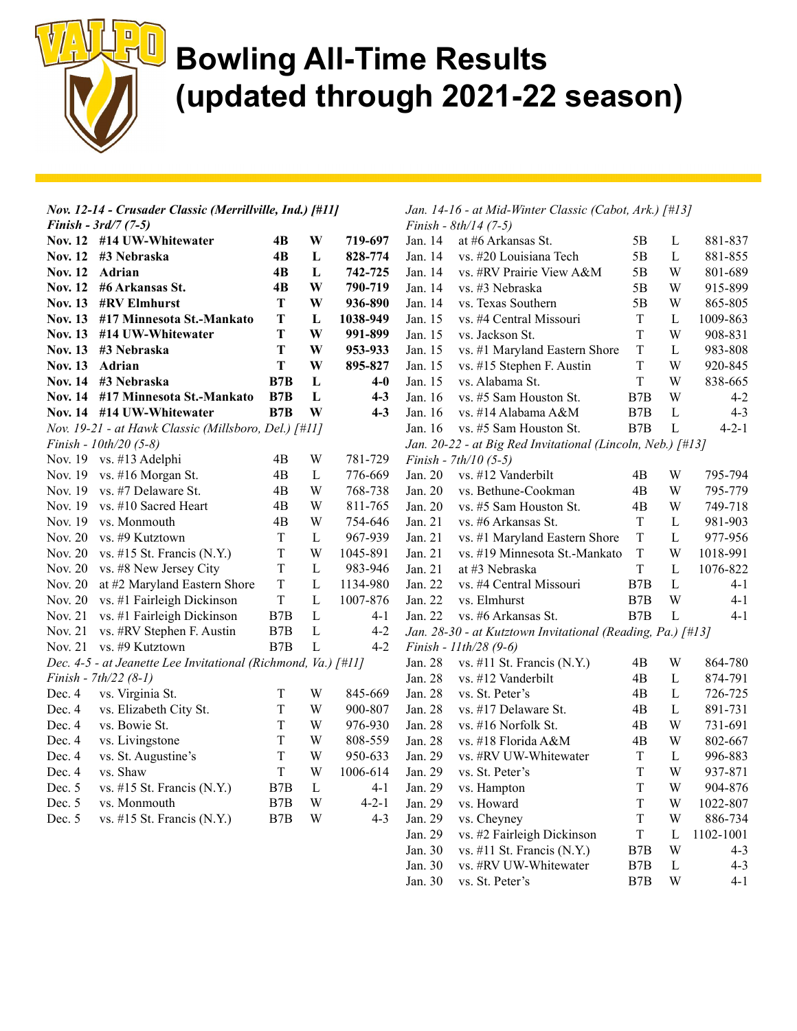

| Nov. 12-14 - Crusader Classic (Merrillville, Ind.) [#11] |                                                                               |                  |              | Jan. 14-16 - at Mid-Winter Classic (Cabot, Ark.) [#13] |         |                                                            |                  |              |             |
|----------------------------------------------------------|-------------------------------------------------------------------------------|------------------|--------------|--------------------------------------------------------|---------|------------------------------------------------------------|------------------|--------------|-------------|
|                                                          | <i>Finish - 3rd/7 (7-5)</i>                                                   |                  |              |                                                        |         | Finish - $8th/14$ (7-5)                                    |                  |              |             |
|                                                          | Nov. 12 #14 UW-Whitewater                                                     | 4B               | W            | 719-697                                                | Jan. 14 | at #6 Arkansas St.                                         | 5B               | L            | 881-837     |
|                                                          | Nov. 12 #3 Nebraska                                                           | 4B               | L            | 828-774                                                | Jan. 14 | vs. #20 Louisiana Tech                                     | 5B               | L            | 881-855     |
| Nov. 12 Adrian                                           |                                                                               | 4B               | L            | 742-725                                                | Jan. 14 | vs. #RV Prairie View A&M                                   | 5B               | W            | 801-689     |
|                                                          | Nov. 12 #6 Arkansas St.                                                       | 4B               | W            | 790-719                                                | Jan. 14 | vs. #3 Nebraska                                            | 5B               | W            | 915-899     |
|                                                          | Nov. 13 #RV Elmhurst                                                          | T                | W            | 936-890                                                | Jan. 14 | vs. Texas Southern                                         | 5B               | W            | 865-805     |
|                                                          | Nov. 13 #17 Minnesota St.-Mankato                                             | T                | $\mathbf L$  | 1038-949                                               | Jan. 15 | vs. #4 Central Missouri                                    | $\mathbf T$      | $\mathbf{L}$ | 1009-863    |
|                                                          | Nov. 13 #14 UW-Whitewater                                                     | T                | W            | 991-899                                                | Jan. 15 | vs. Jackson St.                                            | $\mathbf T$      | W            | 908-831     |
|                                                          | Nov. 13 #3 Nebraska                                                           | T                | W            | 953-933                                                | Jan. 15 | vs. #1 Maryland Eastern Shore                              | $\mathbf T$      | L            | 983-808     |
| Nov. 13 Adrian                                           |                                                                               | T                | W            | 895-827                                                | Jan. 15 | vs. #15 Stephen F. Austin                                  | $\mathbf T$      | W            | 920-845     |
|                                                          | Nov. 14 #3 Nebraska                                                           | B7B              | L            | $4-0$                                                  | Jan. 15 | vs. Alabama St.                                            | T                | W            | 838-665     |
|                                                          | Nov. 14 #17 Minnesota St.-Mankato                                             | B7B              | L            | $4 - 3$                                                | Jan. 16 | vs. #5 Sam Houston St.                                     | B <sub>7</sub> B | W            | $4 - 2$     |
|                                                          | Nov. 14 #14 UW-Whitewater                                                     | B7B              | W            | $4 - 3$                                                | Jan. 16 | vs. #14 Alabama A&M                                        | B7B              | $\mathbf{L}$ | $4 - 3$     |
|                                                          | Nov. 19-21 - at Hawk Classic (Millsboro, Del.) [#11]                          |                  |              |                                                        | Jan. 16 | vs. #5 Sam Houston St.                                     | B7B              | L            | $4 - 2 - 1$ |
|                                                          | Finish - $10th/20$ (5-8)                                                      |                  |              |                                                        |         | Jan. 20-22 - at Big Red Invitational (Lincoln, Neb.) [#13] |                  |              |             |
|                                                          | Nov. 19 vs. #13 Adelphi                                                       | 4B               | W            | 781-729                                                |         | Finish - $7th/10$ (5-5)                                    |                  |              |             |
|                                                          | Nov. 19 vs. #16 Morgan St.                                                    | 4B               | L            | 776-669                                                | Jan. 20 | vs. #12 Vanderbilt                                         | 4B               | W            | 795-794     |
|                                                          | Nov. 19 vs. #7 Delaware St.                                                   | 4B               | W            | 768-738                                                | Jan. 20 | vs. Bethune-Cookman                                        | 4B               | W            | 795-779     |
|                                                          | Nov. 19 vs. #10 Sacred Heart                                                  | 4B               | W            | 811-765                                                | Jan. 20 | vs. #5 Sam Houston St.                                     | 4B               | W            | 749-718     |
| Nov. 19                                                  | vs. Monmouth                                                                  | 4B               | W            | 754-646                                                | Jan. 21 | vs. #6 Arkansas St.                                        | $\mathbf T$      | L            | 981-903     |
|                                                          | Nov. 20 vs. #9 Kutztown                                                       | T                | $\mathbf{L}$ | 967-939                                                | Jan. 21 | vs. #1 Maryland Eastern Shore                              | $\mathbf T$      | L            | 977-956     |
|                                                          | Nov. 20 vs. #15 St. Francis (N.Y.)                                            | $\mathbf T$      | W            | 1045-891                                               | Jan. 21 | vs. #19 Minnesota St.-Mankato                              | $\mathbf T$      | W            | 1018-991    |
|                                                          | Nov. 20 vs. #8 New Jersey City                                                | $\mathbf T$      | $\mathbf L$  | 983-946                                                | Jan. 21 | at #3 Nebraska                                             | $\mathbf T$      | $\mathbf{L}$ | 1076-822    |
| Nov. 20                                                  | at #2 Maryland Eastern Shore                                                  | $\mathbf T$      | $\mathbf{L}$ | 1134-980                                               | Jan. 22 | vs. #4 Central Missouri                                    | B7B              | $\mathbf{L}$ | $4 - 1$     |
|                                                          | Nov. 20 vs. #1 Fairleigh Dickinson                                            | $\mathbf T$      | $\mathbf L$  | 1007-876                                               | Jan. 22 | vs. Elmhurst                                               | B7B              | W            | $4 - 1$     |
|                                                          | Nov. 21 vs. #1 Fairleigh Dickinson                                            | B7B              | $\mathbf L$  | $4 - 1$                                                | Jan. 22 | vs. #6 Arkansas St.                                        | B7B              | L            | $4-1$       |
| Nov. 21                                                  | vs. #RV Stephen F. Austin                                                     | B7B              | $\mathbf L$  | $4 - 2$                                                |         | Jan. 28-30 - at Kutztown Invitational (Reading, Pa.) [#13] |                  |              |             |
|                                                          | Nov. 21 vs. #9 Kutztown                                                       | B <sub>7</sub> B | $\mathbf L$  | $4 - 2$                                                |         | Finish - 11th/28 (9-6)                                     |                  |              |             |
|                                                          | Dec. 4-5 - at Jeanette Lee Invitational (Richmond, Va.) $\lceil \# II \rceil$ |                  |              |                                                        | Jan. 28 | vs. #11 St. Francis $(N.Y.)$                               | 4B               | W            | 864-780     |
|                                                          | Finish - $7th/22$ (8-1)                                                       |                  |              |                                                        | Jan. 28 | vs. #12 Vanderbilt                                         | 4B               | L            | 874-791     |
| Dec. 4                                                   | vs. Virginia St.                                                              | T                | W            | 845-669                                                | Jan. 28 | vs. St. Peter's                                            | 4B               | L            | 726-725     |
| Dec. 4                                                   | vs. Elizabeth City St.                                                        | T                | W            | 900-807                                                | Jan. 28 | vs. #17 Delaware St.                                       | 4B               | L            | 891-731     |
| Dec. 4                                                   | vs. Bowie St.                                                                 | T                | W            | 976-930                                                | Jan. 28 | vs. #16 Norfolk St.                                        | 4B               | W            | 731-691     |
| Dec. 4                                                   | vs. Livingstone                                                               | T                | W            | 808-559                                                | Jan. 28 | vs. #18 Florida A&M                                        | 4B               | W            | 802-667     |
| Dec. 4                                                   | vs. St. Augustine's                                                           | T                | W            | 950-633                                                | Jan. 29 | vs. #RV UW-Whitewater                                      | $\mathbf T$      | $\mathbf{L}$ | 996-883     |
| Dec. 4                                                   | vs. Shaw                                                                      | T                | W            | 1006-614                                               | Jan. 29 | vs. St. Peter's                                            | $\mathbf T$      | W            | 937-871     |
| Dec. 5                                                   | vs. #15 St. Francis $(N.Y.)$                                                  | $_{\rm B7B}$     | $\mathbf L$  | $4-1$                                                  | Jan. 29 | vs. Hampton                                                | $\mathbf T$      | W            | 904-876     |
| Dec. 5                                                   | vs. Monmouth                                                                  | B7B              | W            | $4 - 2 - 1$                                            | Jan. 29 | vs. Howard                                                 | T                | W            | 1022-807    |
| Dec. 5                                                   | vs. #15 St. Francis $(N.Y.)$                                                  | B7B              | W            | $4 - 3$                                                | Jan. 29 | vs. Cheyney                                                | T                | W            | 886-734     |
|                                                          |                                                                               |                  |              |                                                        | Jan. 29 | vs. #2 Fairleigh Dickinson                                 | $\mathbf T$      | L            | 1102-1001   |
|                                                          |                                                                               |                  |              |                                                        | Jan. 30 | vs. #11 St. Francis $(N.Y.)$                               | B7B              | W            | $4 - 3$     |
|                                                          |                                                                               |                  |              |                                                        | Jan. 30 | vs. #RV UW-Whitewater                                      | B7B              | L            | $4 - 3$     |
|                                                          |                                                                               |                  |              |                                                        | Jan. 30 | vs. St. Peter's                                            | B7B              | W            | $4 - 1$     |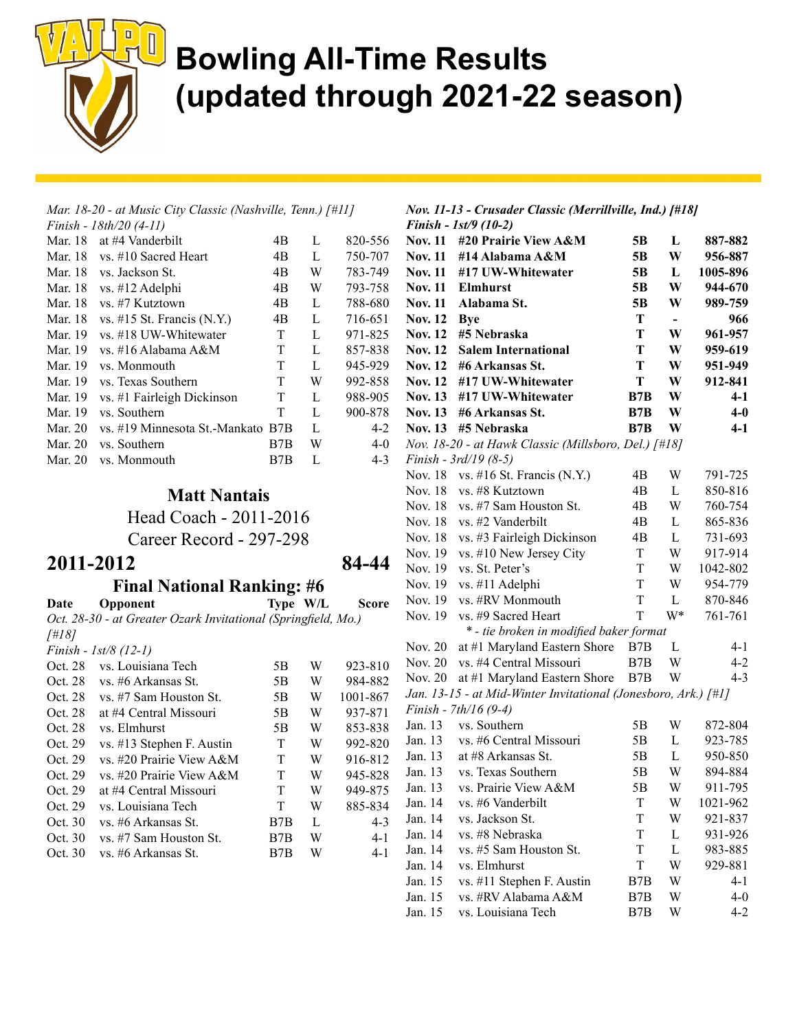

|         | Mar. 18-20 - at Music City Classic (Nashville, Tenn.) [#11] |     |   |         |
|---------|-------------------------------------------------------------|-----|---|---------|
|         | Finish - 18th/20 (4-11)                                     |     |   |         |
| Mar. 18 | at #4 Vanderbilt                                            | 4B  | L | 820-556 |
|         | Mar. 18 vs. #10 Sacred Heart                                | 4B  | L | 750-707 |
| Mar. 18 | vs. Jackson St.                                             | 4B  | W | 783-749 |
| Mar. 18 | vs. #12 Adelphi                                             | 4B  | W | 793-758 |
| Mar. 18 | vs. #7 Kutztown                                             | 4B  | L | 788-680 |
| Mar. 18 | vs. $\#15$ St. Francis (N.Y.)                               | 4B  | L | 716-651 |
| Mar. 19 | vs. #18 UW-Whitewater                                       | T   | L | 971-825 |
| Mar. 19 | vs. #16 Alabama A&M                                         | T   | L | 857-838 |
| Mar. 19 | ys. Monmouth                                                | T   | L | 945-929 |
| Mar. 19 | vs. Texas Southern                                          | T   | W | 992-858 |
| Mar. 19 | vs. #1 Fairleigh Dickinson                                  | T   | L | 988-905 |
| Mar. 19 | vs. Southern                                                | T   | L | 900-878 |
| Mar. 20 | vs. #19 Minnesota St.-Mankato B7B                           |     | L | $4-2$   |
| Mar. 20 | vs. Southern                                                | B7B | W | $4 - 0$ |
| Mar. 20 | vs. Monmouth                                                | B7B | L | $4 - 3$ |
|         |                                                             |     |   |         |

#### Matt Nantais

Head Coach - 2011-2016 Career Record - 297-298

84-44

| 2011-2012 |  |  |  |  |  |  |
|-----------|--|--|--|--|--|--|
|-----------|--|--|--|--|--|--|

#### Final National Ranking: #6

| Date    | Opponent                                                      |    | Type W/L | <b>Score</b> |
|---------|---------------------------------------------------------------|----|----------|--------------|
|         | Oct. 28-30 - at Greater Ozark Invitational (Springfield, Mo.) |    |          |              |
| [#18]   |                                                               |    |          |              |
|         | Finish - $1st/8$ (12-1)                                       |    |          |              |
| Oct. 28 | vs. Louisiana Tech                                            | 5Β | W        | 923-810      |
| Oct. 28 | vs. #6 Arkansas St.                                           | 5Β | W        | 984-882      |
| Oct. 28 | vs. #7 Sam Houston St.                                        | 5Β | W        | 1001-867     |
| Oct. 28 | at #4 Central Missouri                                        | 5Β | W        | 937-871      |
| Oct. 28 | vs. Elmhurst                                                  | 5Β | W        | 853-838      |
| Oct. 29 | vs. #13 Stephen F. Austin                                     | Т  | W        | 992-820      |
| Oct. 29 | vs. #20 Prairie View A&M                                      | T  | W        | 916-812      |

Oct. 29 at #4 Central Missouri T W 949-875 Oct. 29 vs. Louisiana Tech T W 885-834 Oct. 30 vs. #6 Arkansas St. B7B L 4-3 Oct. 30 vs. #7 Sam Houston St. B7B W 4-1 Oct. 30 vs. #6 Arkansas St. B7B W 4-1

#### Nov. 11-13 - Crusader Classic (Merrillville, Ind.) [#18] Finish - 1st/9 (10-2)

|                | 1 misn - 150 / (10-4)                                          |     |    |          |
|----------------|----------------------------------------------------------------|-----|----|----------|
| <b>Nov. 11</b> | #20 Prairie View A&M                                           | 5В  | L  | 887-882  |
| <b>Nov. 11</b> | #14 Alabama A&M                                                | 5B  | W  | 956-887  |
| <b>Nov. 11</b> | #17 UW-Whitewater                                              | 5B  | L  | 1005-896 |
| <b>Nov. 11</b> | <b>Elmhurst</b>                                                | 5B  | W  | 944-670  |
| <b>Nov. 11</b> | Alabama St.                                                    | 5B  | W  | 989-759  |
| <b>Nov. 12</b> | <b>Bye</b>                                                     | T   | -  | 966      |
| <b>Nov. 12</b> | #5 Nebraska                                                    | T   | W  | 961-957  |
| <b>Nov. 12</b> | <b>Salem International</b>                                     | T   | W  | 959-619  |
| <b>Nov. 12</b> | #6 Arkansas St.                                                | T   | W  | 951-949  |
| <b>Nov. 12</b> | #17 UW-Whitewater                                              | T   | W  | 912-841  |
| <b>Nov. 13</b> | #17 UW-Whitewater                                              | B7B | W  | $4 - 1$  |
| <b>Nov. 13</b> | #6 Arkansas St.                                                | B7B | W  | $4-0$    |
| <b>Nov. 13</b> | #5 Nebraska                                                    | B7B | W  | $4-1$    |
|                | Nov. 18-20 - at Hawk Classic (Millsboro, Del.) [#18]           |     |    |          |
|                | Finish - 3rd/19 (8-5)                                          |     |    |          |
| Nov. 18        | vs. #16 St. Francis (N.Y.)                                     | 4B  | W  | 791-725  |
| Nov. 18        | vs. #8 Kutztown                                                | 4B  | L  | 850-816  |
| Nov. 18        | vs. #7 Sam Houston St.                                         | 4B  | W  | 760-754  |
| Nov. 18        | vs. #2 Vanderbilt                                              | 4B  | L  | 865-836  |
| Nov. 18        | vs. #3 Fairleigh Dickinson                                     | 4B  | L  | 731-693  |
| Nov. 19        | vs. #10 New Jersey City                                        | T   | W  | 917-914  |
| Nov. 19        | vs. St. Peter's                                                | T   | W  | 1042-802 |
| Nov. 19        | vs. #11 Adelphi                                                | T   | W  | 954-779  |
| Nov. 19        | vs. #RV Monmouth                                               | T   | L  | 870-846  |
| Nov. 19        | vs. #9 Sacred Heart                                            | T   | W* | 761-761  |
|                | * - tie broken in modified baker format                        |     |    |          |
| Nov. 20        | at #1 Maryland Eastern Shore                                   | B7B | L  | 4-1      |
| Nov. 20        | vs. #4 Central Missouri                                        | B7B | W  | $4 - 2$  |
| Nov. 20        | at #1 Maryland Eastern Shore                                   | B7B | W  | $4 - 3$  |
|                | Jan. 13-15 - at Mid-Winter Invitational (Jonesboro, Ark.) [#1] |     |    |          |
|                | Finish - 7th/16 (9-4)                                          |     |    |          |
| Jan. 13        | vs. Southern                                                   | 5Β  | W  | 872-804  |
| Jan. 13        | vs. #6 Central Missouri                                        | 5Β  | L  | 923-785  |
| Jan. 13        | at #8 Arkansas St.                                             | 5Β  | L  | 950-850  |
| Jan. 13        | vs. Texas Southern                                             | 5Β  | W  | 894-884  |
| Jan. 13        | vs. Prairie View A&M                                           | 5Β  | W  | 911-795  |
| Jan. 14        | vs. #6 Vanderbilt                                              | T   | W  | 1021-962 |
| Jan. 14        | vs. Jackson St.                                                | T   | W  | 921-837  |
| Jan. 14        | vs. #8 Nebraska                                                | T   | L  | 931-926  |
| Jan. 14        | vs. #5 Sam Houston St.                                         | T   | L  | 983-885  |
| Jan. 14        | vs. Elmhurst                                                   | T   | W  | 929-881  |
| Jan. 15        | vs. #11 Stephen F. Austin                                      | B7B | W  | $4 - 1$  |
| Jan. 15        | vs. #RV Alabama A&M                                            | B7B | W  | $4 - 0$  |
| Jan. 15        | vs. Louisiana Tech                                             | B7B | W  | $4 - 2$  |

Oct. 29 vs. #20 Prairie View A&M T W 945-828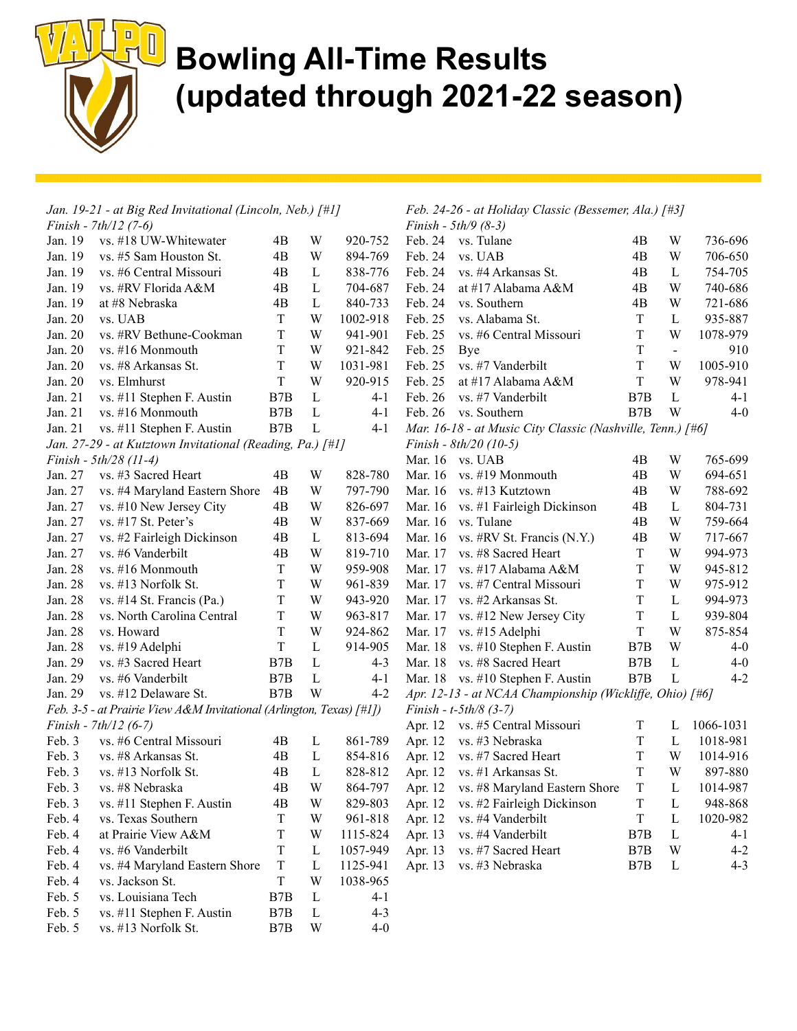

| Jan. 19-21 - at Big Red Invitational (Lincoln, Neb.) [#1] |                                                                      |             |              |          | Feb. 24-26 - at Holiday Classic (Bessemer, Ala.) [#3] |                                                            |                  |                |           |
|-----------------------------------------------------------|----------------------------------------------------------------------|-------------|--------------|----------|-------------------------------------------------------|------------------------------------------------------------|------------------|----------------|-----------|
|                                                           | Finish - $7th/12$ (7-6)                                              |             |              |          |                                                       | <i>Finish</i> - $5th/9$ (8-3)                              |                  |                |           |
| Jan. 19                                                   | vs. #18 UW-Whitewater                                                | 4B          | W            | 920-752  | Feb. 24                                               | vs. Tulane                                                 | 4B               | W              | 736-696   |
| Jan. 19                                                   | vs. #5 Sam Houston St.                                               | 4B          | W            | 894-769  | Feb. 24                                               | vs. UAB                                                    | 4B               | W              | 706-650   |
| Jan. 19                                                   | vs. #6 Central Missouri                                              | 4B          | L            | 838-776  | Feb. 24                                               | vs. #4 Arkansas St.                                        | 4B               | L              | 754-705   |
| Jan. 19                                                   | vs. #RV Florida A&M                                                  | 4B          | L            | 704-687  | Feb. 24                                               | at #17 Alabama A&M                                         | 4B               | W              | 740-686   |
| Jan. 19                                                   | at #8 Nebraska                                                       | 4B          | L            | 840-733  | Feb. 24                                               | vs. Southern                                               | 4B               | W              | 721-686   |
| Jan. 20                                                   | vs. UAB                                                              | T           | W            | 1002-918 | Feb. 25                                               | vs. Alabama St.                                            | $\mathbf T$      | $\mathbf L$    | 935-887   |
| Jan. 20                                                   | vs. #RV Bethune-Cookman                                              | $\rm T$     | W            | 941-901  | Feb. 25                                               | vs. #6 Central Missouri                                    | $\rm T$          | W              | 1078-979  |
| Jan. 20                                                   | vs. #16 Monmouth                                                     | $\rm T$     | W            | 921-842  | Feb. 25                                               | Bye                                                        | T                | $\blacksquare$ | 910       |
| Jan. 20                                                   | vs. #8 Arkansas St.                                                  | $\mathbf T$ | W            | 1031-981 | Feb. 25                                               | vs. #7 Vanderbilt                                          | T                | W              | 1005-910  |
| Jan. 20                                                   | vs. Elmhurst                                                         | $\mathbf T$ | W            | 920-915  | Feb. 25                                               | at #17 Alabama A&M                                         | T                | W              | 978-941   |
| Jan. 21                                                   | vs. #11 Stephen F. Austin                                            | B7B         | L            | $4 - 1$  | Feb. 26                                               | vs. #7 Vanderbilt                                          | B7B              | $\mathbf L$    | $4 - 1$   |
| Jan. 21                                                   | vs. #16 Monmouth                                                     | B7B         | L            | $4 - 1$  | Feb. 26                                               | vs. Southern                                               | B <sub>7</sub> B | W              | $4 - 0$   |
| Jan. 21                                                   | vs. #11 Stephen F. Austin                                            | B7B         | $\mathbf{L}$ | $4 - 1$  |                                                       | Mar. 16-18 - at Music City Classic (Nashville, Tenn.) [#6] |                  |                |           |
|                                                           | Jan. 27-29 - at Kutztown Invitational (Reading, Pa.) [#1]            |             |              |          |                                                       | Finish - $8th/20$ (10-5)                                   |                  |                |           |
|                                                           | Finish - 5th/28 (11-4)                                               |             |              |          |                                                       | Mar. 16 vs. UAB                                            | 4B               | W              | 765-699   |
| Jan. 27                                                   | vs. #3 Sacred Heart                                                  | 4B          | W            | 828-780  | Mar. 16                                               | vs. #19 Monmouth                                           | 4B               | W              | 694-651   |
| Jan. 27                                                   | vs. #4 Maryland Eastern Shore                                        | 4B          | W            | 797-790  | Mar. 16                                               | vs. #13 Kutztown                                           | 4B               | W              | 788-692   |
| Jan. 27                                                   | vs. #10 New Jersey City                                              | 4B          | W            | 826-697  |                                                       | Mar. 16 vs. #1 Fairleigh Dickinson                         | 4B               | L              | 804-731   |
| Jan. 27                                                   | vs. #17 St. Peter's                                                  | 4B          | W            | 837-669  | Mar. 16                                               | vs. Tulane                                                 | 4B               | W              | 759-664   |
| Jan. 27                                                   | vs. #2 Fairleigh Dickinson                                           | 4B          | $\mathbf{L}$ | 813-694  | Mar. 16                                               | vs. #RV St. Francis (N.Y.)                                 | 4B               | W              | 717-667   |
| Jan. 27                                                   | vs. #6 Vanderbilt                                                    | 4B          | W            | 819-710  | Mar. 17                                               | vs. #8 Sacred Heart                                        | T                | W              | 994-973   |
| Jan. 28                                                   | vs. #16 Monmouth                                                     | T           | W            | 959-908  | Mar. 17                                               | vs. #17 Alabama A&M                                        | $\mathbf T$      | W              | 945-812   |
| Jan. 28                                                   | vs. #13 Norfolk St.                                                  | T           | W            | 961-839  | Mar. 17                                               | vs. #7 Central Missouri                                    | $\mathbf T$      | W              | 975-912   |
| Jan. 28                                                   | vs. #14 St. Francis (Pa.)                                            | $\mathbf T$ | W            | 943-920  | Mar. 17                                               | vs. #2 Arkansas St.                                        | T                | $\mathbf L$    | 994-973   |
| Jan. 28                                                   | vs. North Carolina Central                                           | $\rm T$     | W            | 963-817  | Mar. 17                                               | vs. #12 New Jersey City                                    | $\rm T$          | L              | 939-804   |
| Jan. 28                                                   | vs. Howard                                                           | $\mathbf T$ | W            | 924-862  | Mar. 17                                               | vs. #15 Adelphi                                            | T                | W              | 875-854   |
| Jan. 28                                                   | vs. #19 Adelphi                                                      | $\mathbf T$ | L            | 914-905  | Mar. 18                                               | vs. #10 Stephen F. Austin                                  | B7B              | W              | $4 - 0$   |
| Jan. 29                                                   | vs. #3 Sacred Heart                                                  | B7B         | L            | $4 - 3$  | Mar. 18                                               | vs. #8 Sacred Heart                                        | B7B              | $\mathbf L$    | $4 - 0$   |
| Jan. 29                                                   | vs. #6 Vanderbilt                                                    | B7B         | L            | $4 - 1$  |                                                       | Mar. 18 vs. #10 Stephen F. Austin                          | B7B              | $\mathbf{L}$   | $4 - 2$   |
| Jan. 29                                                   | vs. #12 Delaware St.                                                 | B7B         | W            | $4 - 2$  |                                                       | Apr. 12-13 - at NCAA Championship (Wickliffe, Ohio) [#6]   |                  |                |           |
|                                                           | Feb. 3-5 - at Prairie View A&M Invitational (Arlington, Texas) [#1]) |             |              |          |                                                       | Finish - $t$ -5th/8 (3-7)                                  |                  |                |           |
|                                                           | Finish - $7th/12$ (6-7)                                              |             |              |          |                                                       | Apr. 12 vs. #5 Central Missouri                            | T                | L              | 1066-1031 |
| Feb. 3                                                    | vs. #6 Central Missouri                                              | 4B          | L            | 861-789  |                                                       | Apr. 12 vs. #3 Nebraska                                    | $\mathbf T$      | $\mathbf{L}$   | 1018-981  |
| Feb. 3                                                    | vs. #8 Arkansas St.                                                  | 4B          | L            | 854-816  | Apr. 12                                               | vs. #7 Sacred Heart                                        | T                | W              | 1014-916  |
| Feb. 3                                                    | vs. #13 Norfolk St.                                                  | 4B          | L            | 828-812  |                                                       | Apr. 12 vs. #1 Arkansas St.                                | T                | W              | 897-880   |
|                                                           | Feb. 3 vs. #8 Nebraska                                               | 4B          | W            |          |                                                       | 864-797 Apr. 12 vs. #8 Maryland Eastern Shore              | $\mathbf T$      | $\mathbf L$    | 1014-987  |
| Feb. 3                                                    | vs. #11 Stephen F. Austin                                            | 4B          | W            | 829-803  | Apr. 12                                               | vs. #2 Fairleigh Dickinson                                 | T                | L              | 948-868   |
| Feb. 4                                                    | vs. Texas Southern                                                   | T           | W            | 961-818  | Apr. 12                                               | vs. #4 Vanderbilt                                          | $\mathbf T$      | L              | 1020-982  |
| Feb. 4                                                    | at Prairie View A&M                                                  | T           | W            | 1115-824 | Apr. 13                                               | vs. #4 Vanderbilt                                          | B7B              | L              | $4 - 1$   |
| Feb. 4                                                    | vs. #6 Vanderbilt                                                    | T           | $\mathbf{L}$ | 1057-949 | Apr. 13                                               | vs. #7 Sacred Heart                                        | B7B              | W              | $4 - 2$   |
| Feb. 4                                                    | vs. #4 Maryland Eastern Shore                                        | $\rm T$     | L            | 1125-941 | Apr. 13                                               | vs. #3 Nebraska                                            | B7B              | $\mathbf{L}$   | $4 - 3$   |
| Feb. 4                                                    | vs. Jackson St.                                                      | $\rm T$     | W            | 1038-965 |                                                       |                                                            |                  |                |           |
| Feb. 5                                                    | vs. Louisiana Tech                                                   | B7B         | L            | $4 - 1$  |                                                       |                                                            |                  |                |           |
| Feb. 5                                                    | vs. #11 Stephen F. Austin                                            | B7B         | L            | $4 - 3$  |                                                       |                                                            |                  |                |           |
| Feb. 5                                                    | vs. #13 Norfolk St.                                                  | B7B         | W            | $4 - 0$  |                                                       |                                                            |                  |                |           |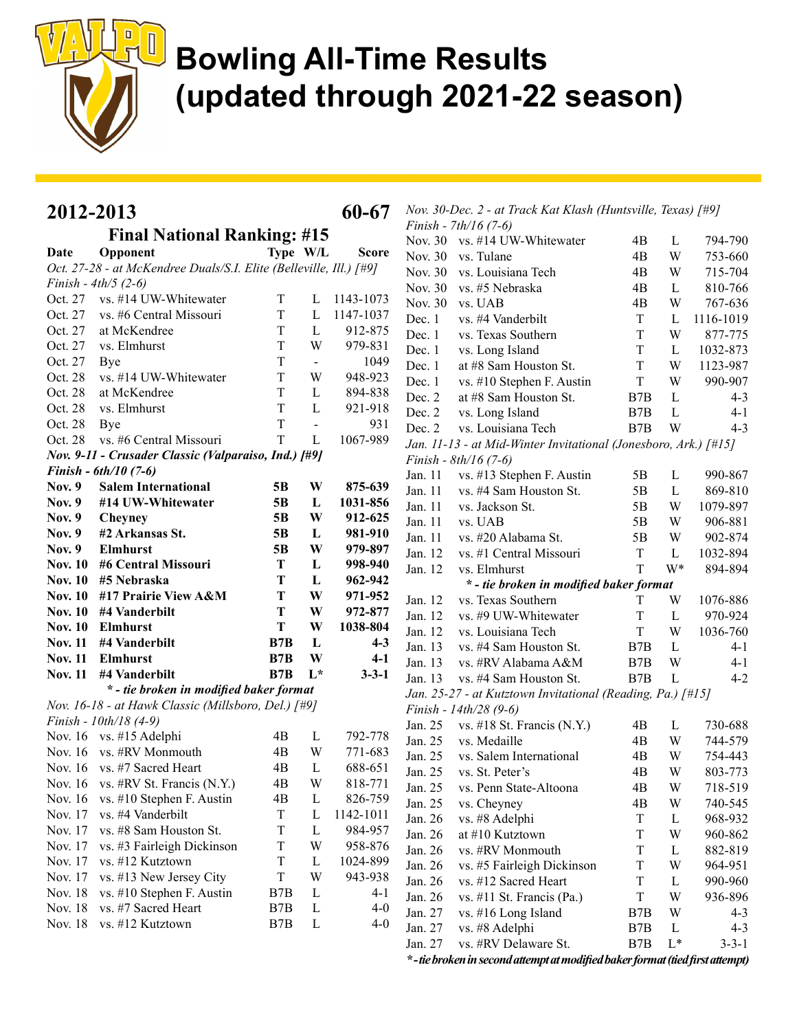

| 2012-2013<br>60-67 |                                                                    |                |                |              |         | Nov. 30-Dec. 2 - at Track Kat Klash (Huntsville, Texas) [#9]    |             |              |             |
|--------------------|--------------------------------------------------------------------|----------------|----------------|--------------|---------|-----------------------------------------------------------------|-------------|--------------|-------------|
|                    | <b>Final National Ranking: #15</b>                                 |                |                |              |         | Finish - $7th/16(7-6)$                                          |             |              |             |
| Date               | Opponent                                                           | Type W/L       |                | <b>Score</b> |         | Nov. 30 vs. #14 UW-Whitewater                                   | 4B          | L            | 794-790     |
|                    | Oct. 27-28 - at McKendree Duals/S.I. Elite (Belleville, Ill.) [#9] |                |                |              | Nov. 30 | vs. Tulane                                                      | 4B          | W            | 753-660     |
|                    | Finish - $4th/5$ (2-6)                                             |                |                |              | Nov. 30 | vs. Louisiana Tech                                              | 4B          | W            | 715-704     |
| Oct. 27            | vs. #14 UW-Whitewater                                              | T              | L              | 1143-1073    | Nov. 30 | vs. #5 Nebraska                                                 | 4B          | L            | 810-766     |
| Oct. 27            | vs. #6 Central Missouri                                            | T              | L              | 1147-1037    | Nov. 30 | vs. UAB                                                         | 4B          | W            | 767-636     |
| Oct. 27            | at McKendree                                                       | T              | L              | 912-875      | Dec. 1  | vs. #4 Vanderbilt                                               | T           | L            | 1116-1019   |
| Oct. 27            | vs. Elmhurst                                                       | T              | W              | 979-831      | Dec. 1  | vs. Texas Southern                                              | T           | W            | 877-775     |
| Oct. 27            | Bye                                                                | T              | $\blacksquare$ | 1049         | Dec. 1  | vs. Long Island                                                 | $\mathbf T$ | L            | 1032-873    |
| Oct. 28            | vs. #14 UW-Whitewater                                              | T              | W              | 948-923      | Dec. 1  | at #8 Sam Houston St.                                           | T           | W            | 1123-987    |
| Oct. 28            | at McKendree                                                       | T              | L              | 894-838      | Dec. 1  | vs. #10 Stephen F. Austin                                       | $\rm T$     | W            | 990-907     |
| Oct. 28            | vs. Elmhurst                                                       | $\rm T$        | $\mathbf L$    | 921-918      | Dec. 2  | at #8 Sam Houston St.                                           | B7B         | L            | $4 - 3$     |
| Oct. 28            |                                                                    | T              | $\blacksquare$ | 931          | Dec. 2  | vs. Long Island                                                 | B7B         | L            | $4 - 1$     |
| Oct. 28            | Bye<br>vs. #6 Central Missouri                                     | T              | L              | 1067-989     | Dec. 2  | vs. Louisiana Tech                                              | B7B         | W            | $4 - 3$     |
|                    |                                                                    |                |                |              |         | Jan. 11-13 - at Mid-Winter Invitational (Jonesboro, Ark.) [#15] |             |              |             |
|                    | Nov. 9-11 - Crusader Classic (Valparaiso, Ind.) [#9]               |                |                |              |         | Finish - $8th/16(7-6)$                                          |             |              |             |
|                    | Finish - $6th/10$ (7-6)                                            |                |                | 875-639      | Jan. 11 | vs. #13 Stephen F. Austin                                       | 5B          | L            | 990-867     |
| <b>Nov. 9</b>      | <b>Salem International</b>                                         | 5B             | W              |              | Jan. 11 | vs. #4 Sam Houston St.                                          | 5B          | L            | 869-810     |
| <b>Nov. 9</b>      | #14 UW-Whitewater                                                  | 5 <sub>B</sub> | L              | 1031-856     | Jan. 11 | vs. Jackson St.                                                 | 5B          | W            | 1079-897    |
| <b>Nov. 9</b>      | Cheyney                                                            | 5B             | W              | 912-625      | Jan. 11 | vs. UAB                                                         | 5B          | W            | 906-881     |
| <b>Nov. 9</b>      | #2 Arkansas St.                                                    | 5 <sub>B</sub> | L              | 981-910      | Jan. 11 | vs. #20 Alabama St.                                             | 5B          | W            | 902-874     |
| <b>Nov. 9</b>      | <b>Elmhurst</b>                                                    | 5 <sub>B</sub> | W              | 979-897      | Jan. 12 | vs. #1 Central Missouri                                         | $\rm T$     | L            | 1032-894    |
| <b>Nov. 10</b>     | #6 Central Missouri                                                | T              | L              | 998-940      | Jan. 12 | vs. Elmhurst                                                    | T           | W*           | 894-894     |
| <b>Nov. 10</b>     | #5 Nebraska                                                        | T              | L              | 962-942      |         | * - tie broken in modified baker format                         |             |              |             |
| <b>Nov. 10</b>     | #17 Prairie View A&M                                               | T              | W              | 971-952      | Jan. 12 | vs. Texas Southern                                              | T           | W            | 1076-886    |
| <b>Nov. 10</b>     | #4 Vanderbilt                                                      | T              | W              | 972-877      | Jan. 12 | vs. #9 UW-Whitewater                                            | T           | L            | 970-924     |
| <b>Nov. 10</b>     | <b>Elmhurst</b>                                                    | T              | W              | 1038-804     | Jan. 12 | vs. Louisiana Tech                                              | T           | W            | 1036-760    |
| <b>Nov. 11</b>     | #4 Vanderbilt                                                      | B7B            | L              | $4 - 3$      | Jan. 13 | vs. #4 Sam Houston St.                                          | B7B         | L            | $4 - 1$     |
| <b>Nov. 11</b>     | <b>Elmhurst</b>                                                    | B7B            | W              | $4-1$        | Jan. 13 | vs. #RV Alabama A&M                                             | B7B         | W            | $4 - 1$     |
| <b>Nov. 11</b>     | #4 Vanderbilt                                                      | B7B            | $L^*$          | $3 - 3 - 1$  | Jan. 13 | vs. #4 Sam Houston St.                                          | B7B         | L            | $4 - 2$     |
|                    | * - tie broken in modified baker format                            |                |                |              |         | Jan. 25-27 - at Kutztown Invitational (Reading, Pa.) [#15]      |             |              |             |
|                    | Nov. 16-18 - at Hawk Classic (Millsboro, Del.) [#9]                |                |                |              |         | Finish - 14th/28 (9-6)                                          |             |              |             |
|                    | Finish - 10th/18 (4-9)                                             |                |                |              | Jan. 25 | vs. $\#18$ St. Francis (N.Y.)                                   | 4B          | L            | 730-688     |
|                    | Nov. 16 vs. #15 Adelphi                                            | 4B             | $\mathbf{L}$   | 792-778      | Jan. 25 | vs. Medaille                                                    | 4B          | W            | 744-579     |
|                    | Nov. 16 vs. #RV Monmouth                                           | 4B             | W              | 771-683      | Jan. 25 | vs. Salem International                                         | 4B          | W            | 754-443     |
|                    | Nov. 16 vs. #7 Sacred Heart                                        | 4B             | L              | 688-651      | Jan. 25 | vs. St. Peter's                                                 | 4B          | W            | 803-773     |
|                    | Nov. 16 vs. #RV St. Francis (N.Y.)                                 | 4B             | W              | 818-771      | Jan. 25 | vs. Penn State-Altoona                                          | 4B          | W            | 718-519     |
|                    | Nov. 16 vs. #10 Stephen F. Austin                                  | 4B             | L              | 826-759      | Jan. 25 | vs. Cheyney                                                     | 4B          | W            | 740-545     |
| Nov. 17            | vs. #4 Vanderbilt                                                  | T              | L              | 1142-1011    | Jan. 26 | vs. #8 Adelphi                                                  | T           | $\mathbf{L}$ | 968-932     |
| Nov. 17            | vs. #8 Sam Houston St.                                             | T              | L              | 984-957      | Jan. 26 | at #10 Kutztown                                                 | T           | W            | 960-862     |
| Nov. 17            | vs. #3 Fairleigh Dickinson                                         | T              | W              | 958-876      | Jan. 26 | vs. #RV Monmouth                                                | T           | L            | 882-819     |
| Nov. 17            | vs. #12 Kutztown                                                   | $\rm T$        | $\mathbf{L}$   | 1024-899     | Jan. 26 | vs. #5 Fairleigh Dickinson                                      | $\rm T$     | W            | 964-951     |
| Nov. 17            | vs. #13 New Jersey City                                            | $\mathbf T$    | W              | 943-938      | Jan. 26 | vs. #12 Sacred Heart                                            | T           | $\mathbf{L}$ | 990-960     |
| Nov. 18            | vs. #10 Stephen F. Austin                                          | B7B            | $\mathbf{L}$   | $4 - 1$      | Jan. 26 | vs. #11 St. Francis (Pa.)                                       | $\rm T$     | W            | 936-896     |
| Nov. 18            | vs. #7 Sacred Heart                                                | B7B            | $\mathbf{L}$   | $4 - 0$      | Jan. 27 | vs. #16 Long Island                                             | B7B         | W            | $4 - 3$     |
| Nov. 18            | vs. #12 Kutztown                                                   | B7B            | $\mathbf{L}$   | $4 - 0$      | Jan. 27 | vs. #8 Adelphi                                                  | B7B         | L            | $4 - 3$     |
|                    |                                                                    |                |                |              | Jan. 27 | vs. #RV Delaware St.                                            | B7B         | $L^*$        | $3 - 3 - 1$ |

\*-tie broken in second attempt at modified baker format (tied first attempt)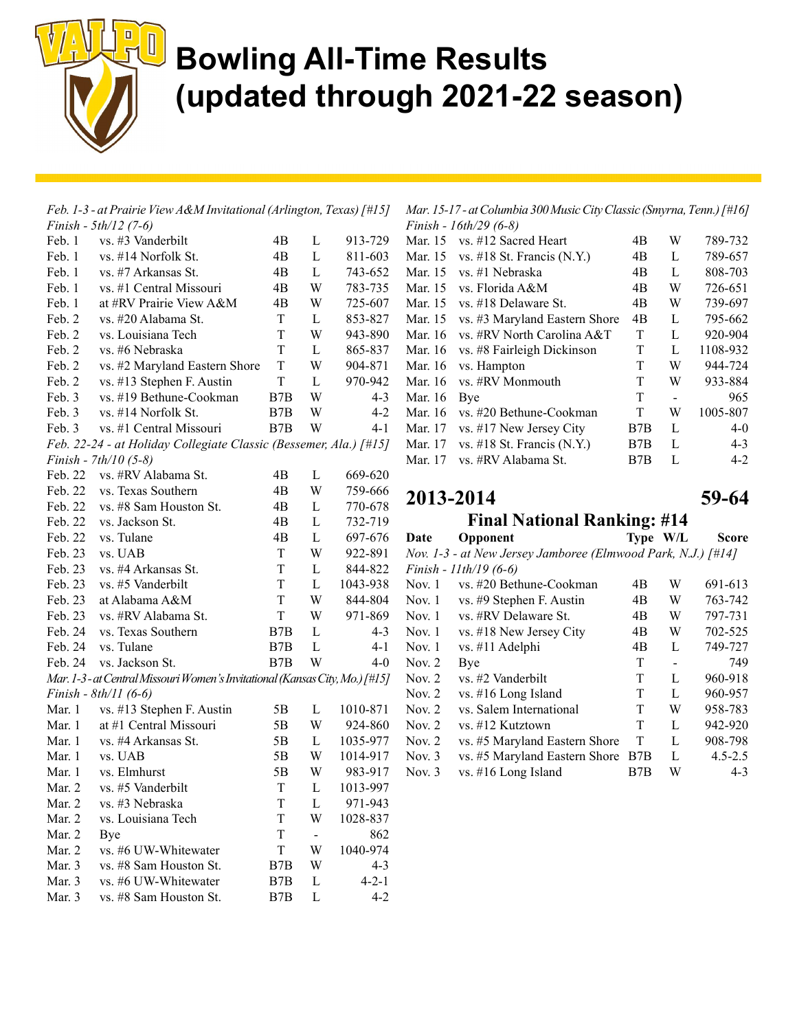

| Feb. 1-3 - at Prairie View A&M Invitational (Arlington, Texas) [#15] |                                                                            |             |          |             |  |  |  |
|----------------------------------------------------------------------|----------------------------------------------------------------------------|-------------|----------|-------------|--|--|--|
|                                                                      | Finish - 5th/12 (7-6)                                                      |             |          |             |  |  |  |
| Feb. 1                                                               | vs. #3 Vanderbilt                                                          | 4B          | L        | 913-729     |  |  |  |
| Feb. 1                                                               | vs. #14 Norfolk St.                                                        | 4B          | L        | 811-603     |  |  |  |
| Feb. 1                                                               | vs. #7 Arkansas St.                                                        | 4B          | L        | 743-652     |  |  |  |
| Feb. 1                                                               | vs. #1 Central Missouri                                                    | 4B          | W        | 783-735     |  |  |  |
| Feb. 1                                                               | at #RV Prairie View A&M                                                    | 4B          | W        | 725-607     |  |  |  |
| Feb. 2                                                               | vs. #20 Alabama St.                                                        | T           | L        | 853-827     |  |  |  |
| Feb. 2                                                               | vs. Louisiana Tech                                                         | T           | W        | 943-890     |  |  |  |
| Feb. 2                                                               | vs. #6 Nebraska                                                            | T           | L        | 865-837     |  |  |  |
| Feb. 2                                                               | vs. #2 Maryland Eastern Shore                                              | T           | W        | 904-871     |  |  |  |
| Feb. 2                                                               | vs. #13 Stephen F. Austin                                                  | T           | L        | 970-942     |  |  |  |
| Feb. 3                                                               | vs. #19 Bethune-Cookman                                                    | B7B         | W        | $4 - 3$     |  |  |  |
| Feb. 3                                                               | vs. #14 Norfolk St.                                                        | B7B         | W        | $4 - 2$     |  |  |  |
| Feb. 3                                                               | vs. #1 Central Missouri                                                    | B7B         | W        | 4-1         |  |  |  |
|                                                                      | Feb. 22-24 - at Holiday Collegiate Classic (Bessemer, Ala.) [#15]          |             |          |             |  |  |  |
|                                                                      | Finish - $7th/10$ (5-8)                                                    |             |          |             |  |  |  |
| Feb. 22                                                              | vs. #RV Alabama St.                                                        | 4B          | L        | 669-620     |  |  |  |
| Feb. 22                                                              | vs. Texas Southern                                                         | 4B          | W        | 759-666     |  |  |  |
| Feb. 22                                                              | vs. #8 Sam Houston St.                                                     | 4B          | L        | 770-678     |  |  |  |
| Feb. 22                                                              | vs. Jackson St.                                                            | 4Β          | L        | 732-719     |  |  |  |
| Feb. 22                                                              | vs. Tulane                                                                 | 4B          | L        | 697-676     |  |  |  |
| Feb. 23                                                              | vs. UAB                                                                    | T           | W        | 922-891     |  |  |  |
| Feb. 23                                                              | vs. #4 Arkansas St.                                                        | T           | L        | 844-822     |  |  |  |
| Feb. 23                                                              | vs. #5 Vanderbilt                                                          | T           | L        | 1043-938    |  |  |  |
| Feb. 23                                                              | at Alabama A&M                                                             | T           | W        | 844-804     |  |  |  |
| Feb. 23                                                              | vs. #RV Alabama St.                                                        | T           | W        | 971-869     |  |  |  |
| Feb. 24                                                              | vs. Texas Southern                                                         | B7B         | L        | $4 - 3$     |  |  |  |
| Feb. 24                                                              | vs. Tulane                                                                 | B7B         | L        | 4-1         |  |  |  |
| Feb. 24                                                              | vs. Jackson St.                                                            | B7B         | W        | $4 - 0$     |  |  |  |
|                                                                      | Mar. 1-3-at Central Missouri Women's Invitational (Kansas City, Mo.) [#15] |             |          |             |  |  |  |
|                                                                      | Finish - $8th/11$ (6-6)                                                    |             |          |             |  |  |  |
| Mar. 1                                                               | vs. #13 Stephen F. Austin                                                  | 5B          | L        | 1010-871    |  |  |  |
| Mar. 1                                                               | at #1 Central Missouri                                                     | 5B          | W        | 924-860     |  |  |  |
| Mar. 1                                                               | vs. #4 Arkansas St.                                                        | 5B          | L        | 1035-977    |  |  |  |
| Mar. 1                                                               | vs. UAB                                                                    | 5B          | W        | 1014-917    |  |  |  |
| Mar. 1                                                               | vs. Elmhurst                                                               | 5B          | W        | 983-917     |  |  |  |
| Mar. 2                                                               | vs. #5 Vanderbilt                                                          | $\mathbf T$ | $\Gamma$ | 1013-997    |  |  |  |
| Mar. 2                                                               | vs. #3 Nebraska                                                            | T           | L        | 971-943     |  |  |  |
| Mar. 2                                                               | vs. Louisiana Tech                                                         | T           | W        | 1028-837    |  |  |  |
| Mar. 2                                                               | Bye                                                                        | T           | ۰.       | 862         |  |  |  |
| Mar. 2                                                               | vs. #6 UW-Whitewater                                                       | T           | W        | 1040-974    |  |  |  |
| Mar. 3                                                               | vs. #8 Sam Houston St.                                                     | B7B         | W        | $4 - 3$     |  |  |  |
| Mar. 3                                                               | vs. #6 UW-Whitewater                                                       | B7B         | L        | $4 - 2 - 1$ |  |  |  |
| Mar. 3                                                               | vs. #8 Sam Houston St.                                                     | B7B         | L        | $4 - 2$     |  |  |  |

Mar. 15-17 - at Columbia 300 Music City Classic (Smyrna, Tenn.) [#16] Finish - 16th/29 (6-8)

| .       | $1 \cup \dots \cup \cup \cup \cup$ |     |                |          |
|---------|------------------------------------|-----|----------------|----------|
| Mar. 15 | vs. #12 Sacred Heart               | 4B  | W              | 789-732  |
| Mar. 15 | vs. #18 St. Francis $(N.Y.)$       | 4B  | L              | 789-657  |
| Mar. 15 | vs. #1 Nebraska                    | 4B  | L              | 808-703  |
| Mar. 15 | vs. Florida A&M                    | 4B  | W              | 726-651  |
| Mar. 15 | vs. #18 Delaware St.               | 4B  | W              | 739-697  |
| Mar. 15 | vs. #3 Maryland Eastern Shore      | 4B  | L              | 795-662  |
| Mar. 16 | vs. #RV North Carolina A&T         | T   | L              | 920-904  |
| Mar. 16 | vs. #8 Fairleigh Dickinson         | T   | L              | 1108-932 |
| Mar. 16 | vs. Hampton                        | T   | W              | 944-724  |
| Mar. 16 | vs. #RV Monmouth                   | T   | W              | 933-884  |
| Mar. 16 | Bye                                | T   | $\overline{a}$ | 965      |
| Mar. 16 | vs. #20 Bethune-Cookman            | T   | W              | 1005-807 |
| Mar. 17 | vs. #17 New Jersey City            | B7B | L              | $4 - 0$  |
| Mar. 17 | vs. $\#18$ St. Francis (N.Y.)      | B7B | L              | $4 - 3$  |
| Mar. 17 | vs. #RV Alabama St.                | B7B | L              | $4 - 2$  |

2013-2014 59-64

Final National Ranking: #14

| $\Gamma$ mai ivativnai ivanking. $\pi$ 17 |                                                              |    |          |              |  |  |  |  |
|-------------------------------------------|--------------------------------------------------------------|----|----------|--------------|--|--|--|--|
| Date                                      | Opponent                                                     |    | Type W/L | <b>Score</b> |  |  |  |  |
|                                           | Nov. 1-3 - at New Jersey Jamboree (Elmwood Park, N.J.) [#14] |    |          |              |  |  |  |  |
|                                           | Finish - $11th/19(6-6)$                                      |    |          |              |  |  |  |  |
| Nov. $1$                                  | vs. #20 Bethune-Cookman                                      | 4B | W        | 691-613      |  |  |  |  |
| Nov. 1                                    | vs. #9 Stephen F. Austin                                     | 4B | W        | 763-742      |  |  |  |  |
| Nov. $1$                                  | vs. #RV Delaware St.                                         | 4B | W        | 797-731      |  |  |  |  |
| Nov. $1$                                  | vs. #18 New Jersey City                                      | 4B | W        | 702-525      |  |  |  |  |
| Nov. $1$                                  | vs. #11 Adelphi                                              | 4B | L        | 749-727      |  |  |  |  |
| Nov. $2$                                  | Bye                                                          | T  |          | 749          |  |  |  |  |
| Nov. $2$                                  | vs. #2 Vanderbilt                                            | T  | L        | 960-918      |  |  |  |  |
| Nov. $2$                                  | vs. #16 Long Island                                          | T  | L        | 960-957      |  |  |  |  |
| Nov. $2$                                  | vs. Salem International                                      | T  | W        | 958-783      |  |  |  |  |
| Nov. $2$                                  | vs. #12 Kutztown                                             | T  | L        | 942-920      |  |  |  |  |

Nov. 2 vs. #5 Maryland Eastern Shore T L 908-798 Nov. 3 vs. #5 Maryland Eastern Shore B7B L 4.5-2.5 Nov. 3 vs. #16 Long Island B7B W 4-3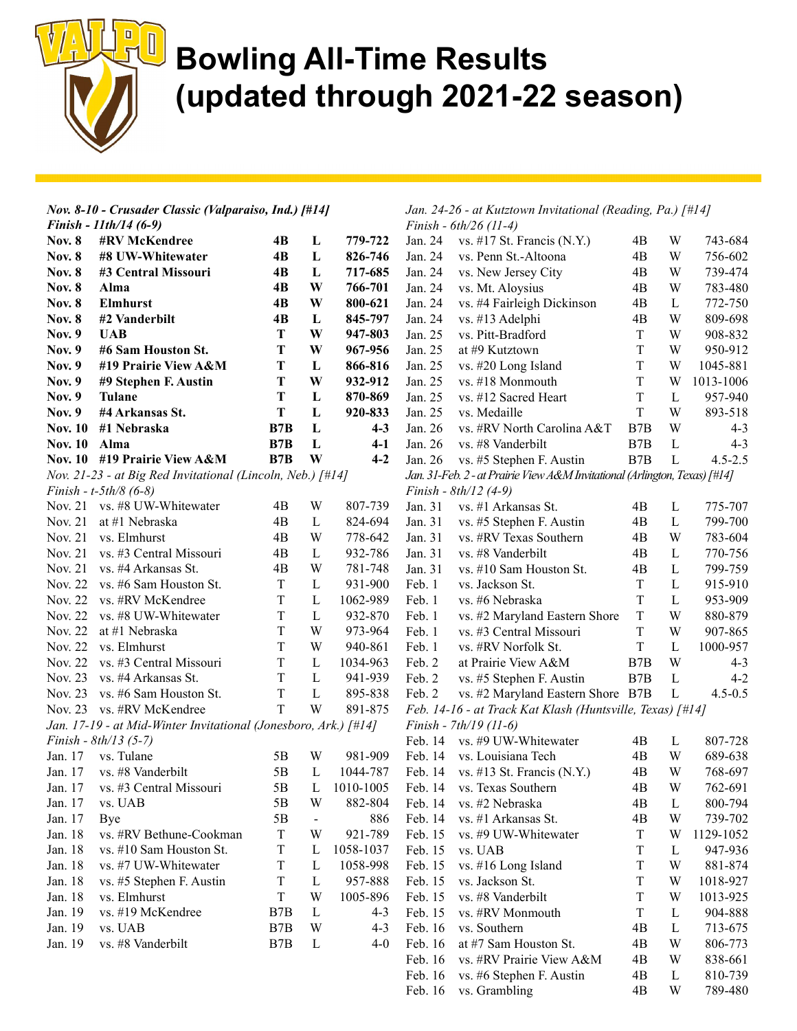

|                | Nov. 8-10 - Crusader Classic (Valparaiso, Ind.) [#14]                    |             |                |           |         | Jan. 24-26 - at Kutztown Invitational (Reading, Pa.) [#14]                 |         |              |             |
|----------------|--------------------------------------------------------------------------|-------------|----------------|-----------|---------|----------------------------------------------------------------------------|---------|--------------|-------------|
|                | Finish - 11th/14 (6-9)                                                   |             |                |           |         | Finish - 6th/26 (11-4)                                                     |         |              |             |
| <b>Nov. 8</b>  | #RV McKendree                                                            | 4B          | L              | 779-722   | Jan. 24 | vs. #17 St. Francis $(N.Y.)$                                               | 4B      | W            | 743-684     |
| <b>Nov. 8</b>  | #8 UW-Whitewater                                                         | 4B          | L              | 826-746   | Jan. 24 | vs. Penn St.-Altoona                                                       | 4B      | W            | 756-602     |
| <b>Nov. 8</b>  | #3 Central Missouri                                                      | 4B          | L              | 717-685   | Jan. 24 | vs. New Jersey City                                                        | 4B      | W            | 739-474     |
| <b>Nov. 8</b>  | Alma                                                                     | 4B          | W              | 766-701   | Jan. 24 | vs. Mt. Aloysius                                                           | 4B      | W            | 783-480     |
| <b>Nov. 8</b>  | <b>Elmhurst</b>                                                          | 4B          | W              | 800-621   | Jan. 24 | vs. #4 Fairleigh Dickinson                                                 | 4B      | L            | 772-750     |
| <b>Nov. 8</b>  | #2 Vanderbilt                                                            | 4B          | L              | 845-797   | Jan. 24 | vs. #13 Adelphi                                                            | 4B      | W            | 809-698     |
| <b>Nov. 9</b>  | <b>UAB</b>                                                               | T           | W              | 947-803   | Jan. 25 | vs. Pitt-Bradford                                                          | T       | W            | 908-832     |
| <b>Nov. 9</b>  | #6 Sam Houston St.                                                       | T           | W              | 967-956   | Jan. 25 | at #9 Kutztown                                                             | T       | W            | 950-912     |
| <b>Nov. 9</b>  | #19 Prairie View A&M                                                     | T           | L              | 866-816   | Jan. 25 | vs. #20 Long Island                                                        | T       | W            | 1045-881    |
| <b>Nov. 9</b>  | #9 Stephen F. Austin                                                     | Т           | W              | 932-912   | Jan. 25 | vs. #18 Monmouth                                                           | T       | W            | 1013-1006   |
| <b>Nov. 9</b>  | <b>Tulane</b>                                                            | Т           | L              | 870-869   | Jan. 25 | vs. #12 Sacred Heart                                                       | $\rm T$ | $\mathbf{L}$ | 957-940     |
| <b>Nov. 9</b>  | #4 Arkansas St.                                                          | Т           | L              | 920-833   | Jan. 25 | vs. Medaille                                                               | $\rm T$ | W            | 893-518     |
| <b>Nov. 10</b> | #1 Nebraska                                                              | B7B         | L              | $4 - 3$   | Jan. 26 | vs. #RV North Carolina A&T                                                 | B7B     | W            | $4 - 3$     |
| <b>Nov. 10</b> | Alma                                                                     | B7B         | L              | $4-1$     | Jan. 26 | vs. #8 Vanderbilt                                                          | B7B     | $\mathbf L$  | $4 - 3$     |
|                | Nov. 10 #19 Prairie View A&M                                             | B7B         | W              | $4 - 2$   | Jan. 26 | vs. #5 Stephen F. Austin                                                   | B7B     | $\mathbf{L}$ | $4.5 - 2.5$ |
|                | Nov. 21-23 - at Big Red Invitational (Lincoln, Neb.) $\lceil #14 \rceil$ |             |                |           |         | Jan. 31-Feb. 2 - at Prairie View A&M Invitational (Arlington, Texas) [#14] |         |              |             |
|                | Finish - $t$ -5th/8 (6-8)                                                |             |                |           |         | Finish - 8th/12 (4-9)                                                      |         |              |             |
|                | Nov. 21 vs. #8 UW-Whitewater                                             | 4B          | W              | 807-739   | Jan. 31 | vs. #1 Arkansas St.                                                        | 4B      | L            | 775-707     |
| Nov. 21        | at #1 Nebraska                                                           | 4B          | L              | 824-694   | Jan. 31 | vs. #5 Stephen F. Austin                                                   | 4B      | $\mathbf L$  | 799-700     |
| Nov. 21        | vs. Elmhurst                                                             | 4B          | W              | 778-642   | Jan. 31 | vs. #RV Texas Southern                                                     | 4B      | W            | 783-604     |
| Nov. 21        | vs. #3 Central Missouri                                                  | 4B          | L              | 932-786   | Jan. 31 | vs. #8 Vanderbilt                                                          | 4B      | $\mathbf L$  | 770-756     |
|                |                                                                          |             |                |           |         |                                                                            |         |              |             |
| Nov. 21        | vs. #4 Arkansas St.                                                      | 4B          | W              | 781-748   | Jan. 31 | vs. #10 Sam Houston St.                                                    | 4B      | $\mathbf L$  | 799-759     |
| Nov. 22        | vs. #6 Sam Houston St.                                                   | T           | L              | 931-900   | Feb. 1  | vs. Jackson St.                                                            | T       | $\mathbf{L}$ | 915-910     |
| Nov. 22        | vs. #RV McKendree                                                        | T           | $\mathbf L$    | 1062-989  | Feb. 1  | vs. #6 Nebraska                                                            | $\rm T$ | $\mathbf L$  | 953-909     |
| Nov. 22        | vs. #8 UW-Whitewater                                                     | T           | L              | 932-870   | Feb. 1  | vs. #2 Maryland Eastern Shore                                              | T       | W            | 880-879     |
| Nov. 22        | at #1 Nebraska                                                           | T           | W              | 973-964   | Feb. 1  | vs. #3 Central Missouri                                                    | $\rm T$ | W            | 907-865     |
| Nov. 22        | vs. Elmhurst                                                             | T           | W              | 940-861   | Feb. 1  | vs. #RV Norfolk St.                                                        | T       | $\mathbf L$  | 1000-957    |
| Nov. 22        | vs. #3 Central Missouri                                                  | T           | L              | 1034-963  | Feb. 2  | at Prairie View A&M                                                        | B7B     | W            | $4 - 3$     |
| Nov. 23        | vs. #4 Arkansas St.                                                      | T           | $\mathbf{L}$   | 941-939   | Feb. 2  | vs. #5 Stephen F. Austin                                                   | B7B     | $\mathbf L$  | $4 - 2$     |
| Nov. 23        | vs. #6 Sam Houston St.                                                   | T           | $\mathbf{L}$   | 895-838   | Feb. 2  | vs. #2 Maryland Eastern Shore B7B                                          |         | L            | $4.5 - 0.5$ |
|                | Nov. 23 vs. #RV McKendree                                                | T           | W              | 891-875   |         | Feb. 14-16 - at Track Kat Klash (Huntsville, Texas) [#14]                  |         |              |             |
|                | Jan. 17-19 - at Mid-Winter Invitational (Jonesboro, Ark.) [#14]          |             |                |           |         | Finish - 7th/19 (11-6)                                                     |         |              |             |
|                | Finish - $8th/13(5-7)$                                                   |             |                |           | Feb. 14 | vs. #9 UW-Whitewater                                                       | 4B      | L            | 807-728     |
| Jan. 17        | vs. Tulane                                                               | 5B          | W              | 981-909   | Feb. 14 | vs. Louisiana Tech                                                         | 4B      | W            | 689-638     |
| Jan. 17        | vs. #8 Vanderbilt                                                        | 5B          | L              | 1044-787  | Feb. 14 | vs. #13 St. Francis $(N.Y.)$                                               | 4B      | W            | 768-697     |
| Jan. 17        | vs. #3 Central Missouri                                                  | 5B          | L              | 1010-1005 | Feb. 14 | vs. Texas Southern                                                         | 4B      | W            | 762-691     |
| Jan. 17        | vs. UAB                                                                  | 5B          | W              | 882-804   | Feb. 14 | vs. #2 Nebraska                                                            | 4B      | $\mathbf{L}$ | 800-794     |
| Jan. 17        | Bye                                                                      | 5B          | $\blacksquare$ | 886       | Feb. 14 | vs. #1 Arkansas St.                                                        | 4B      | W            | 739-702     |
| Jan. 18        | vs. #RV Bethune-Cookman                                                  | $\mathbf T$ | W              | 921-789   | Feb. 15 | vs. #9 UW-Whitewater                                                       | T       | W            | 1129-1052   |
| Jan. 18        | vs. #10 Sam Houston St.                                                  | T           | L              | 1058-1037 | Feb. 15 | vs. UAB                                                                    | T       | $\mathbf{L}$ | 947-936     |
| Jan. 18        | vs. #7 UW-Whitewater                                                     | T           | L              | 1058-998  | Feb. 15 | vs. #16 Long Island                                                        | T       | W            | 881-874     |
|                |                                                                          |             |                | 957-888   |         | vs. Jackson St.                                                            |         |              |             |
| Jan. 18        | vs. #5 Stephen F. Austin                                                 | T           | $\mathbf{L}$   |           | Feb. 15 |                                                                            | T       | W            | 1018-927    |
| Jan. 18        | vs. Elmhurst                                                             | T           | W              | 1005-896  | Feb. 15 | vs. #8 Vanderbilt                                                          | T       | W            | 1013-925    |
| Jan. 19        | vs. #19 McKendree                                                        | B7B         | $\mathbf{L}$   | $4 - 3$   | Feb. 15 | vs. #RV Monmouth                                                           | T       | $\mathbf{L}$ | 904-888     |
| Jan. 19        | vs. UAB                                                                  | B7B         | W              | $4 - 3$   | Feb. 16 | vs. Southern                                                               | 4B      | L            | 713-675     |
| Jan. 19        | vs. #8 Vanderbilt                                                        | B7B         | L              | $4 - 0$   | Feb. 16 | at #7 Sam Houston St.                                                      | 4B      | W            | 806-773     |
|                |                                                                          |             |                |           | Feb. 16 | vs. #RV Prairie View A&M                                                   | 4B      | W            | 838-661     |
|                |                                                                          |             |                |           | Feb. 16 | vs. #6 Stephen F. Austin                                                   | 4B      | $\mathbf{L}$ | 810-739     |

Feb. 16 vs. Grambling 4B W 789-480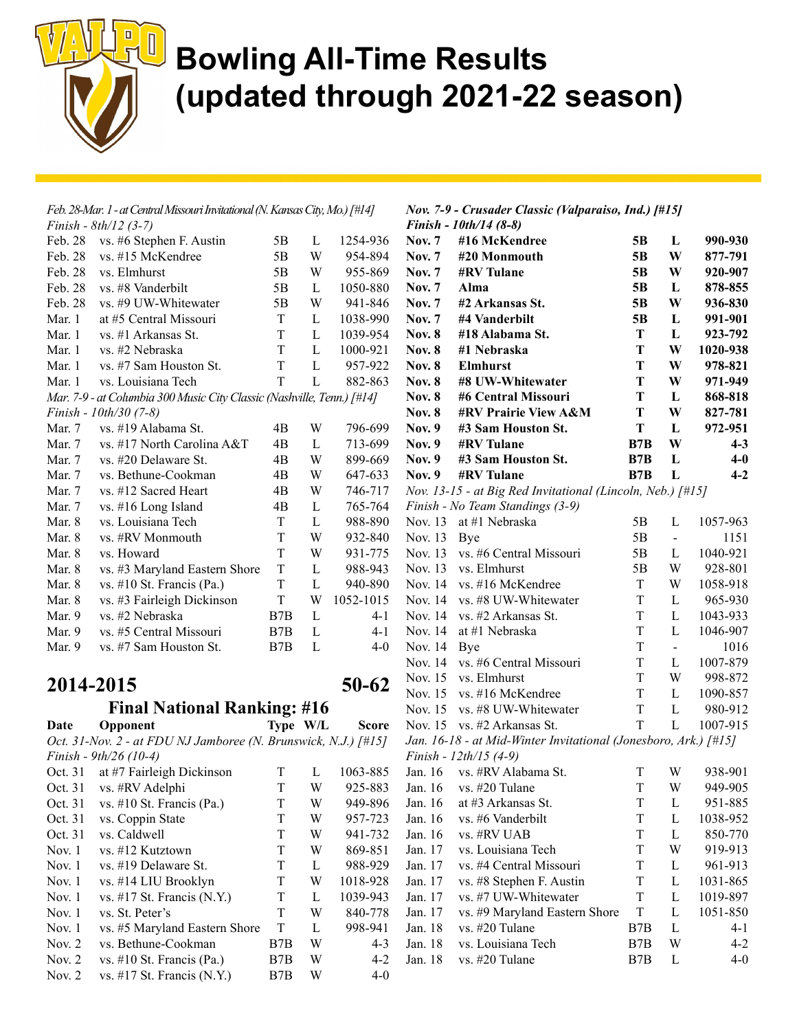

| Feb. 28-Mar. 1 - at Central Missouri Invitational (N. Kansas City, Mo.) [#14] |                                                                        |                |              |           |  |  |  |
|-------------------------------------------------------------------------------|------------------------------------------------------------------------|----------------|--------------|-----------|--|--|--|
|                                                                               | Finish - $8th/12$ (3-7)                                                |                |              |           |  |  |  |
| Feb. 28                                                                       | vs. #6 Stephen F. Austin                                               | 5Β             | L            | 1254-936  |  |  |  |
| Feb. 28                                                                       | vs. #15 McKendree                                                      | 5B             | W            | 954-894   |  |  |  |
| Feb. 28                                                                       | vs. Elmhurst                                                           | 5B             | W            | 955-869   |  |  |  |
| Feb. 28                                                                       | vs. #8 Vanderbilt                                                      | 5Β             | $\mathbf{L}$ | 1050-880  |  |  |  |
| Feb. 28                                                                       | vs. #9 UW-Whitewater                                                   | 5 <sub>B</sub> | W            | 941-846   |  |  |  |
| Mar. 1                                                                        | at #5 Central Missouri                                                 | T              | L            | 1038-990  |  |  |  |
| Mar. 1                                                                        | vs. #1 Arkansas St.                                                    | T              | L            | 1039-954  |  |  |  |
| Mar. 1                                                                        | vs. #2 Nebraska                                                        | T              | $\mathbf{L}$ | 1000-921  |  |  |  |
| Mar. 1                                                                        | vs. #7 Sam Houston St.                                                 | T              | L            | 957-922   |  |  |  |
| Mar. 1                                                                        | vs. Louisiana Tech                                                     | T              | L            | 882-863   |  |  |  |
|                                                                               | Mar. 7-9 - at Columbia 300 Music City Classic (Nashville, Tenn.) [#14] |                |              |           |  |  |  |
|                                                                               | Finish - 10th/30 (7-8)                                                 |                |              |           |  |  |  |
| Mar. 7                                                                        | vs. #19 Alabama St.                                                    | 4B             | W            | 796-699   |  |  |  |
| Mar. 7                                                                        | vs. #17 North Carolina A&T                                             | 4B             | $\mathbf{L}$ | 713-699   |  |  |  |
| Mar. 7                                                                        | vs. #20 Delaware St.                                                   | 4B             | W            | 899-669   |  |  |  |
| Mar. 7                                                                        | vs. Bethune-Cookman                                                    | 4B             | W            | 647-633   |  |  |  |
| Mar. 7                                                                        | vs. #12 Sacred Heart                                                   | 4B             | W            | 746-717   |  |  |  |
| Mar. 7                                                                        | vs. #16 Long Island                                                    | 4B             | L            | 765-764   |  |  |  |
| Mar. 8                                                                        | vs. Louisiana Tech                                                     | T              | L            | 988-890   |  |  |  |
| Mar. 8                                                                        | vs. #RV Monmouth                                                       | T              | W            | 932-840   |  |  |  |
| Mar. 8                                                                        | vs. Howard                                                             | T              | W            | 931-775   |  |  |  |
| Mar. 8                                                                        | vs. #3 Maryland Eastern Shore                                          | T              | $\mathbf{L}$ | 988-943   |  |  |  |
| Mar. 8                                                                        | vs. #10 St. Francis (Pa.)                                              | T              | L            | 940-890   |  |  |  |
| Mar. 8                                                                        | vs. #3 Fairleigh Dickinson                                             | T              | W            | 1052-1015 |  |  |  |
| Mar. 9                                                                        | vs. #2 Nebraska                                                        | B7B            | L            | $4 - 1$   |  |  |  |
| Mar. 9                                                                        | vs. #5 Central Missouri                                                | B7B            | L            | $4 - 1$   |  |  |  |
| Mar. 9                                                                        | vs. #7 Sam Houston St.                                                 | B7B            | L            | $4-0$     |  |  |  |
|                                                                               |                                                                        |                |              |           |  |  |  |

#### 2014-2015 50-62

#### Final National Ranking: #16

Date Opponent Type W/L Score Oct. 31-Nov. 2 - at FDU NJ Jamboree (N. Brunswick, N.J.) [#15] Finish - 9th/26 (10-4)

Oct. 31 at #7 Fairleigh Dickinson T L 1063-885 Oct. 31 vs. #RV Adelphi T W 925-883 Oct. 31 vs. #10 St. Francis (Pa.) T W 949-896 Oct. 31 vs. Coppin State T W 957-723 Oct. 31 vs. Caldwell T W 941-732 Nov. 1 vs. #12 Kutztown T W 869-851 Nov. 1 vs. #19 Delaware St. T L 988-929 Nov. 1 vs. #14 LIU Brooklyn T W 1018-928 Nov. 1 vs. #17 St. Francis (N.Y.) T L 1039-943 Nov. 1 vs. St. Peter's T W 840-778 Nov. 1 vs. #5 Maryland Eastern Shore T L 998-941 Nov. 2 vs. Bethune-Cookman B7B W 4-3 Nov. 2 vs. #10 St. Francis (Pa.) B7B W 4-2 Nov. 2 vs. #17 St. Francis (N.Y.) B7B W 4-0

| Nov. 7-9 - Crusader Classic (Valparaiso, Ind.) [#15] |
|------------------------------------------------------|
| <i>Finish - 10th/14 (8-8)</i>                        |

| <b>Nov. 7</b><br><b>Nov. 7</b> | #16 McKendree                                                   | 5B       | L              | 990-930            |
|--------------------------------|-----------------------------------------------------------------|----------|----------------|--------------------|
| <b>Nov.</b> 7                  | #20 Monmouth<br><b>#RV</b> Tulane                               | 5Β<br>5B | W              | 877-791<br>920-907 |
| <b>Nov.</b> 7                  | Alma                                                            | 5B       | W<br>L         |                    |
| <b>Nov.</b> 7                  | #2 Arkansas St.                                                 | 5B       | W              | 878-855            |
| <b>Nov.</b> 7                  | #4 Vanderbilt                                                   | 5B       | L              | 936-830<br>991-901 |
| <b>Nov. 8</b>                  | #18 Alabama St.                                                 | T        | L              | 923-792            |
| <b>Nov. 8</b>                  | #1 Nebraska                                                     | T        | W              | 1020-938           |
| <b>Nov. 8</b>                  | <b>Elmhurst</b>                                                 | T        | W              | 978-821            |
| <b>Nov. 8</b>                  | #8 UW-Whitewater                                                | T        | W              | 971-949            |
| <b>Nov. 8</b>                  | #6 Central Missouri                                             | T        | L              | 868-818            |
| <b>Nov. 8</b>                  | #RV Prairie View A&M                                            | T        | W              | 827-781            |
| <b>Nov. 9</b>                  | #3 Sam Houston St.                                              | T        | L              | 972-951            |
| <b>Nov. 9</b>                  | <b>#RV</b> Tulane                                               | B7B      | W              | $4 - 3$            |
| <b>Nov. 9</b>                  | #3 Sam Houston St.                                              | B7B      | L              | $4-0$              |
| <b>Nov. 9</b>                  | <b>#RV</b> Tulane                                               | B7B      | L              | $4 - 2$            |
|                                | Nov. 13-15 - at Big Red Invitational (Lincoln, Neb.) [#15]      |          |                |                    |
|                                | Finish - No Team Standings (3-9)                                |          |                |                    |
| Nov. 13                        | at #1 Nebraska                                                  | 5B       | L              | 1057-963           |
| Nov. 13                        | Bye                                                             | 5B       | $\blacksquare$ | 1151               |
| Nov. 13                        | vs. #6 Central Missouri                                         | 5B       | L              | 1040-921           |
| Nov. 13                        | vs. Elmhurst                                                    | 5B       | W              | 928-801            |
| Nov. 14                        | vs. #16 McKendree                                               | T        | W              | 1058-918           |
| Nov. 14                        | vs. #8 UW-Whitewater                                            | T        | L              | 965-930            |
| Nov. 14                        | vs. #2 Arkansas St.                                             | T        | L              | 1043-933           |
| Nov. 14                        | at #1 Nebraska                                                  | T        | L              | 1046-907           |
| Nov. 14                        | Bye                                                             | T        | $\blacksquare$ | 1016               |
| Nov. 14                        | vs. #6 Central Missouri                                         | T        | L              | 1007-879           |
| Nov. 15                        | vs. Elmhurst                                                    | T        | W              | 998-872            |
| Nov. 15                        | vs. #16 McKendree                                               | T        | L              | 1090-857           |
| Nov. 15                        | vs. #8 UW-Whitewater                                            | T        | L              | 980-912            |
| Nov. 15                        | vs. #2 Arkansas St.                                             | T        | L              | 1007-915           |
|                                | Jan. 16-18 - at Mid-Winter Invitational (Jonesboro, Ark.) [#15] |          |                |                    |
|                                | Finish - 12th/15 (4-9)                                          |          |                |                    |
| Jan. 16                        | vs. #RV Alabama St.                                             | Т        | W              | 938-901            |
| Jan. 16                        | vs. #20 Tulane                                                  | T        | W              | 949-905            |
| Jan. 16                        | at #3 Arkansas St.                                              | T        | L              | 951-885            |
| Jan. 16                        | vs. #6 Vanderbilt                                               | Τ        | L              | 1038-952           |
| Jan. 16                        | vs. #RV UAB                                                     | T        | L              | 850-770            |
| Jan. 17                        | vs. Louisiana Tech                                              | T        | W              | 919-913            |
| Jan. 17                        | vs. #4 Central Missouri                                         | T        | L              | 961-913            |
| Jan. 17                        | vs. #8 Stephen F. Austin                                        | T        | L              | 1031-865           |
| Jan. 17                        | vs. #7 UW-Whitewater                                            | T        | L              | 1019-897           |
| Jan. 17                        | vs. #9 Maryland Eastern Shore                                   | T        | L              | 1051-850           |
| Jan. 18                        | vs. #20 Tulane                                                  | B7B      | L              | 4-1                |
| Jan. 18                        | vs. Louisiana Tech                                              | B7B      | W              | 4-2                |
| Jan. 18                        | vs. #20 Tulane                                                  | B7B      | L              | 4-0                |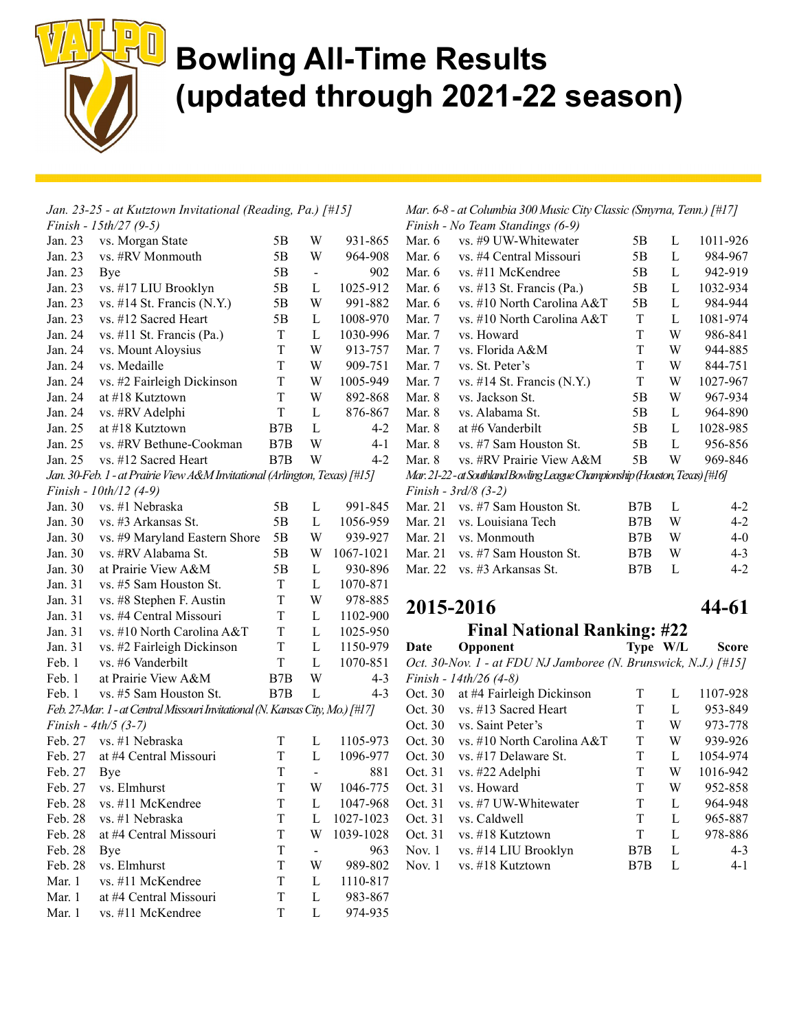

|                        | Jan. 23-25 - at Kutztown Invitational (Reading, Pa.) [#15]                    |             |                          |           |
|------------------------|-------------------------------------------------------------------------------|-------------|--------------------------|-----------|
|                        | Finish - $15th/27$ (9-5)                                                      |             |                          |           |
| Jan. 23                | vs. Morgan State                                                              | 5Β          | W                        | 931-865   |
| Jan. 23                | vs. #RV Monmouth                                                              | 5B          | W                        | 964-908   |
| Jan. 23                | Bye                                                                           | 5B          | $\blacksquare$           | 902       |
| Jan. 23                | vs. #17 LIU Brooklyn                                                          | 5B          | L                        | 1025-912  |
| Jan. 23                | vs. #14 St. Francis (N.Y.)                                                    | 5B          | W                        | 991-882   |
| Jan. 23                | vs. #12 Sacred Heart                                                          | 5B          | L                        | 1008-970  |
| Jan. 24                | vs. #11 St. Francis (Pa.)                                                     | T           | L                        | 1030-996  |
| Jan. 24                | vs. Mount Aloysius                                                            | T           | W                        | 913-757   |
| Jan. 24                | vs. Medaille                                                                  | T           | W                        | 909-751   |
| Jan. 24                | vs. #2 Fairleigh Dickinson                                                    | T           | W                        | 1005-949  |
| Jan. 24                | at #18 Kutztown                                                               | T           | W                        | 892-868   |
| Jan. 24                | vs. #RV Adelphi                                                               | T           | L                        | 876-867   |
| Jan. 25                | at #18 Kutztown                                                               | B7B         | $\mathbf{L}$             | $4 - 2$   |
| Jan. 25                | vs. #RV Bethune-Cookman                                                       | B7B         | W                        | $4 - 1$   |
| Jan. 25                | vs. #12 Sacred Heart                                                          | B7B         | W                        | $4 - 2$   |
|                        | Jan. 30-Feb. 1 - at Prairie View A&M Invitational (Arlington, Texas) [#15]    |             |                          |           |
|                        | Finish - 10th/12 (4-9)                                                        |             |                          |           |
| Jan. 30                | vs. #1 Nebraska                                                               | 5Β          | L                        | 991-845   |
| Jan. 30                | vs. #3 Arkansas St.                                                           | 5B          | L                        | 1056-959  |
| Jan. 30                | vs. #9 Maryland Eastern Shore                                                 | 5B          | W                        | 939-927   |
| Jan. 30                | vs. #RV Alabama St.                                                           | 5B          | W                        | 1067-1021 |
| Jan. 30                | at Prairie View A&M                                                           | 5B          | L                        | 930-896   |
| Jan. 31                | vs. #5 Sam Houston St.                                                        | T           | L                        | 1070-871  |
| Jan. 31                | vs. #8 Stephen F. Austin                                                      | T           | W                        | 978-885   |
| Jan. 31                | vs. #4 Central Missouri                                                       | T           | L                        | 1102-900  |
| Jan. 31                | vs. #10 North Carolina A&T                                                    | T           | L                        | 1025-950  |
| Jan. 31                | vs. #2 Fairleigh Dickinson                                                    | T           | L                        | 1150-979  |
| Feb. 1                 | vs. #6 Vanderbilt                                                             | T           | $\mathbf L$              | 1070-851  |
| Feb. 1                 | at Prairie View A&M                                                           | B7B         | W                        | $4 - 3$   |
| Feb. 1                 | vs. #5 Sam Houston St.                                                        | B7B         | L                        | $4 - 3$   |
|                        | Feb. 27-Mar. 1 - at Central Missouri Invitational (N. Kansas City, Mo.) [#17] |             |                          |           |
| Finish - $4th/5$ (3-7) |                                                                               |             |                          |           |
| Feb. 27                | vs. #1 Nebraska                                                               | T           | L                        | 1105-973  |
| Feb. 27                | at #4 Central Missouri                                                        | T           | L                        | 1096-977  |
| Feb. 27                | Bye                                                                           | T           | $\overline{\phantom{0}}$ | 881       |
| Feb. 27                | vs. Elmhurst                                                                  | $\mathbf T$ | W                        | 1046-775  |
| Feb. 28                | vs. #11 McKendree                                                             | T           | L                        | 1047-968  |
| Feb. 28                | vs. #1 Nebraska                                                               | T           | L                        | 1027-1023 |
| Feb. 28                | at #4 Central Missouri                                                        | T           | W                        | 1039-1028 |
| Feb. 28                | Bye                                                                           | T           | ۰.                       | 963       |
| Feb. 28                | vs. Elmhurst                                                                  | T           | W                        | 989-802   |
| Mar. 1                 | vs. #11 McKendree                                                             | T           | L                        | 1110-817  |
| Mar. 1                 | at #4 Central Missouri                                                        | T           | L                        | 983-867   |
| Mar. 1                 | vs. #11 McKendree                                                             | T           | L                        | 974-935   |

Mar. 6-8 - at Columbia 300 Music City Classic (Smyrna, Tenn.) [#17]

|                                                                            | Finish - No Team Standings (6-9) |    |   |          |  |  |  |  |
|----------------------------------------------------------------------------|----------------------------------|----|---|----------|--|--|--|--|
| Mar. 6                                                                     | vs. #9 UW-Whitewater             | 5В | L | 1011-926 |  |  |  |  |
| Mar. 6                                                                     | vs. #4 Central Missouri          | 5В | L | 984-967  |  |  |  |  |
| Mar. 6                                                                     | vs. #11 McKendree                | 5Β | L | 942-919  |  |  |  |  |
| Mar. 6                                                                     | vs. #13 St. Francis (Pa.)        | 5Β | L | 1032-934 |  |  |  |  |
| Mar. 6                                                                     | vs. #10 North Carolina A&T       | 5B | L | 984-944  |  |  |  |  |
| Mar. 7                                                                     | vs. #10 North Carolina A&T       | T  | L | 1081-974 |  |  |  |  |
| Mar. 7                                                                     | vs. Howard                       | T  | W | 986-841  |  |  |  |  |
| Mar. 7                                                                     | vs. Florida A&M                  | T  | W | 944-885  |  |  |  |  |
| Mar. 7                                                                     | vs. St. Peter's                  | T  | W | 844-751  |  |  |  |  |
| Mar. 7                                                                     | vs. #14 St. Francis $(N.Y.)$     | T  | W | 1027-967 |  |  |  |  |
| Mar. 8                                                                     | vs. Jackson St.                  | 5B | W | 967-934  |  |  |  |  |
| Mar. 8                                                                     | vs. Alabama St.                  | 5Β | L | 964-890  |  |  |  |  |
| Mar. 8                                                                     | at #6 Vanderbilt                 | 5Β | L | 1028-985 |  |  |  |  |
| Mar. 8                                                                     | vs. #7 Sam Houston St.           | 5Β | L | 956-856  |  |  |  |  |
| Mar. 8                                                                     | vs. #RV Prairie View A&M         | 5Β | W | 969-846  |  |  |  |  |
| Mar. 21-22-at Southland Bowling League Championship (Houston, Texas) [#16] |                                  |    |   |          |  |  |  |  |
|                                                                            |                                  |    |   |          |  |  |  |  |

Finish - 3rd/8 (3-2)

| $\frac{1}{2}$ $\frac{1}{2}$ $\frac{1}{2}$ $\frac{1}{2}$ $\frac{1}{2}$ $\frac{1}{2}$ $\frac{1}{2}$ $\frac{1}{2}$ $\frac{1}{2}$ |                    |   |         |
|-------------------------------------------------------------------------------------------------------------------------------|--------------------|---|---------|
| Mar. 21 vs. $#7$ Sam Houston St.                                                                                              | B <sub>7</sub> B L |   | $4-2$   |
| Mar. 21 vs. Louisiana Tech                                                                                                    | B7B                | W | $4-2$   |
| Mar. 21 vs. Monmouth                                                                                                          | B7B -              | W | $4-0$   |
| Mar. 21 vs. $#7$ Sam Houston St.                                                                                              | B7B.               | W | $4 - 3$ |
| Mar. 22 vs. $#3$ Arkansas St.                                                                                                 | $B7B$ L            |   | $4-2$   |
|                                                                                                                               |                    |   |         |

#### 2015-2016 44-61

#### Final National Ranking: #22

Date Opponent Type W/L Score Oct. 30-Nov. 1 - at FDU NJ Jamboree (N. Brunswick, N.J.) [#15] Finish - 14th/26 (4-8) Oct. 30 at #4 Fairleigh Dickinson T L 1107-928 Oct. 30 vs. #13 Sacred Heart T L 953-849 Oct. 30 vs. Saint Peter's T W 973-778 Oct. 30 vs. #10 North Carolina A&T T W 939-926 Oct. 30 vs. #17 Delaware St. T L 1054-974 Oct. 31 vs. #22 Adelphi T W 1016-942 Oct. 31 vs. Howard T W 952-858 Oct. 31 vs. #7 UW-Whitewater T L 964-948 Oct. 31 vs. Caldwell T L 965-887 Oct. 31 vs. #18 Kutztown T L 978-886 Nov. 1 vs. #14 LIU Brooklyn B7B L 4-3 Nov. 1 vs. #18 Kutztown B7B L 4-1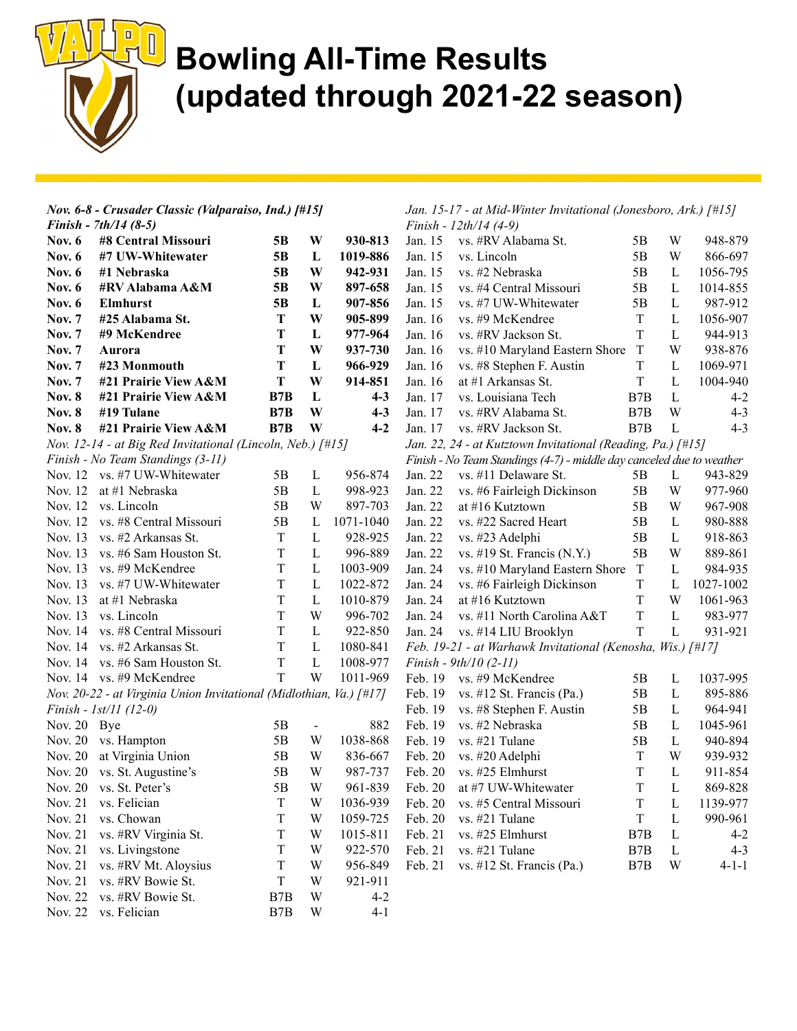

|               | Nov. 6-8 - Crusader Classic (Valparaiso, Ind.) [#15]                |                           |                         |           |         | Jan. 15-17 - at Mid-Winter Invitational (Jonesboro, Ark.) [#15]       |             |             |             |
|---------------|---------------------------------------------------------------------|---------------------------|-------------------------|-----------|---------|-----------------------------------------------------------------------|-------------|-------------|-------------|
|               | Finish - $7th/14$ (8-5)                                             |                           |                         |           |         | Finish - 12th/14 (4-9)                                                |             |             |             |
| <b>Nov. 6</b> | #8 Central Missouri                                                 | 5B                        | W                       | 930-813   | Jan. 15 | vs. #RV Alabama St.                                                   | 5B          | W           | 948-879     |
| Nov. $6$      | #7 UW-Whitewater                                                    | 5B                        | L                       | 1019-886  | Jan. 15 | vs. Lincoln                                                           | 5B          | W           | 866-697     |
| <b>Nov. 6</b> | #1 Nebraska                                                         | 5B                        | W                       | 942-931   | Jan. 15 | vs. #2 Nebraska                                                       | 5B          | L           | 1056-795    |
| <b>Nov. 6</b> | #RV Alabama A&M                                                     | 5 <sub>B</sub>            | W                       | 897-658   | Jan. 15 | vs. #4 Central Missouri                                               | 5B          | L           | 1014-855    |
| <b>Nov. 6</b> | <b>Elmhurst</b>                                                     | 5B                        | L                       | 907-856   | Jan. 15 | vs. #7 UW-Whitewater                                                  | 5B          | L           | 987-912     |
| <b>Nov. 7</b> | #25 Alabama St.                                                     | T                         | W                       | 905-899   | Jan. 16 | vs. #9 McKendree                                                      | $\rm T$     | $\mathbf L$ | 1056-907    |
| <b>Nov. 7</b> | #9 McKendree                                                        | T                         | L                       | 977-964   | Jan. 16 | vs. #RV Jackson St.                                                   | T           | L           | 944-913     |
| <b>Nov. 7</b> | Aurora                                                              | T                         | W                       | 937-730   | Jan. 16 | vs. #10 Maryland Eastern Shore                                        | $\mathbf T$ | W           | 938-876     |
| <b>Nov. 7</b> | #23 Monmouth                                                        | T                         | L                       | 966-929   | Jan. 16 | vs. #8 Stephen F. Austin                                              | T           | L           | 1069-971    |
| <b>Nov. 7</b> | #21 Prairie View A&M                                                | T                         | W                       | 914-851   | Jan. 16 | at #1 Arkansas St.                                                    | $\mathbf T$ | L           | 1004-940    |
| <b>Nov. 8</b> | #21 Prairie View A&M                                                | B7B                       | L                       | $4-3$     | Jan. 17 | vs. Louisiana Tech                                                    | B7B         | L           | $4 - 2$     |
| <b>Nov. 8</b> | #19 Tulane                                                          | B7B                       | W                       | $4-3$     | Jan. 17 | vs. #RV Alabama St.                                                   | B7B         | W           | $4 - 3$     |
| <b>Nov. 8</b> | #21 Prairie View A&M                                                | B7B                       | W                       | $4 - 2$   | Jan. 17 | vs. #RV Jackson St.                                                   | B7B         | L           | $4 - 3$     |
|               | Nov. 12-14 - at Big Red Invitational (Lincoln, Neb.) [#15]          |                           |                         |           |         | Jan. 22, 24 - at Kutztown Invitational (Reading, Pa.) [#15]           |             |             |             |
|               | Finish - No Team Standings (3-11)                                   |                           |                         |           |         | Finish - No Team Standings (4-7) - middle day canceled due to weather |             |             |             |
|               | Nov. 12 vs. #7 UW-Whitewater                                        | 5B                        | L                       | 956-874   | Jan. 22 | vs. #11 Delaware St.                                                  | 5B          | L           | 943-829     |
| Nov. 12       | at #1 Nebraska                                                      | 5B                        | L                       | 998-923   | Jan. 22 | vs. #6 Fairleigh Dickinson                                            | 5B          | W           | 977-960     |
| Nov. 12       | vs. Lincoln                                                         | 5B                        | W                       | 897-703   | Jan. 22 | at #16 Kutztown                                                       | 5B          | W           | 967-908     |
| Nov. 12       | vs. #8 Central Missouri                                             | 5B                        | L                       | 1071-1040 | Jan. 22 | vs. #22 Sacred Heart                                                  | 5B          | L           | 980-888     |
| Nov. 13       | vs. #2 Arkansas St.                                                 | T                         | $\mathbf{L}$            | 928-925   | Jan. 22 | vs. #23 Adelphi                                                       | 5B          | L           | 918-863     |
| Nov. 13       | vs. #6 Sam Houston St.                                              | T                         | L                       | 996-889   | Jan. 22 | vs. #19 St. Francis $(N.Y.)$                                          | 5B          | W           | 889-861     |
| Nov. 13       | vs. #9 McKendree                                                    | T                         | L                       | 1003-909  | Jan. 24 | vs. #10 Maryland Eastern Shore                                        | $\mathbf T$ | L           | 984-935     |
| Nov. 13       | vs. #7 UW-Whitewater                                                | T                         | L                       | 1022-872  | Jan. 24 | vs. #6 Fairleigh Dickinson                                            | T           | L           | 1027-1002   |
| Nov. 13       | at #1 Nebraska                                                      | T                         | $\mathbf{L}$            | 1010-879  | Jan. 24 | at #16 Kutztown                                                       | T           | W           | 1061-963    |
| Nov. 13       | vs. Lincoln                                                         | T                         | W                       | 996-702   | Jan. 24 | vs. #11 North Carolina A&T                                            | T           | L           | 983-977     |
| Nov. 14       | vs. #8 Central Missouri                                             | $\mathbf T$               | $\mathbf L$             | 922-850   | Jan. 24 | vs. #14 LIU Brooklyn                                                  | $\mathbf T$ | L           | 931-921     |
| Nov. 14       | vs. #2 Arkansas St.                                                 | T                         | L                       | 1080-841  |         | Feb. 19-21 - at Warhawk Invitational (Kenosha, Wis.) [#17]            |             |             |             |
| Nov. 14       | vs. #6 Sam Houston St.                                              | $\ensuremath{\mathrm{T}}$ | $\mathbf{L}$            | 1008-977  |         | Finish - $9th/10$ (2-11)                                              |             |             |             |
|               | Nov. 14 vs. #9 McKendree                                            | T                         | W                       | 1011-969  | Feb. 19 | vs. #9 McKendree                                                      | 5B          | L           | 1037-995    |
|               | Nov. 20-22 - at Virginia Union Invitational (Midlothian, Va.) [#17] |                           |                         |           | Feb. 19 | vs. #12 St. Francis (Pa.)                                             | 5B          | L           | 895-886     |
|               | Finish - $1st/11$ (12-0)                                            |                           |                         |           | Feb. 19 | vs. #8 Stephen F. Austin                                              | 5B          | L           | 964-941     |
| Nov. 20 Bye   |                                                                     | 5B                        | $\blacksquare$          | 882       | Feb. 19 | vs. #2 Nebraska                                                       | 5B          | L           | 1045-961    |
|               | Nov. 20 vs. Hampton                                                 | 5B                        | W                       | 1038-868  | Feb. 19 | vs. #21 Tulane                                                        | 5B          | L           | 940-894     |
| Nov. 20       | at Virginia Union                                                   | 5B                        | W                       | 836-667   | Feb. 20 | vs. #20 Adelphi                                                       | T           | W           | 939-932     |
|               | Nov. 20 vs. St. Augustine's                                         | 5B                        | W                       | 987-737   | Feb. 20 | vs. #25 Elmhurst                                                      | $\mathbf T$ | L           | 911-854     |
|               | Nov. 20 vs. St. Peter's                                             | 5B                        | $\ensuremath{\text{W}}$ | 961-839   | Feb. 20 | at #7 UW-Whitewater                                                   | $\mathbf T$ | $\mathbf L$ | 869-828     |
| Nov. 21       | vs. Felician                                                        | T                         | W                       | 1036-939  | Feb. 20 | vs. #5 Central Missouri                                               | T           | L           | 1139-977    |
| Nov. 21       | vs. Chowan                                                          | T                         | W                       | 1059-725  | Feb. 20 | vs. #21 Tulane                                                        | T           | L           | 990-961     |
| Nov. 21       | vs. #RV Virginia St.                                                | T                         | W                       | 1015-811  | Feb. 21 | vs. #25 Elmhurst                                                      | B7B         | L           | $4 - 2$     |
| Nov. 21       | vs. Livingstone                                                     | T                         | W                       | 922-570   | Feb. 21 | vs. #21 Tulane                                                        | B7B         | L           | $4 - 3$     |
| Nov. 21       | vs. #RV Mt. Aloysius                                                | T                         | W                       | 956-849   | Feb. 21 | vs. #12 St. Francis (Pa.)                                             | B7B         | W           | $4 - 1 - 1$ |
| Nov. 21       | vs. #RV Bowie St.                                                   | T                         | W                       | 921-911   |         |                                                                       |             |             |             |
| Nov. 22       | vs. #RV Bowie St.                                                   | B7B                       | W                       | $4 - 2$   |         |                                                                       |             |             |             |
|               | Nov. 22 vs. Felician                                                | B7B                       | W                       | $4 - 1$   |         |                                                                       |             |             |             |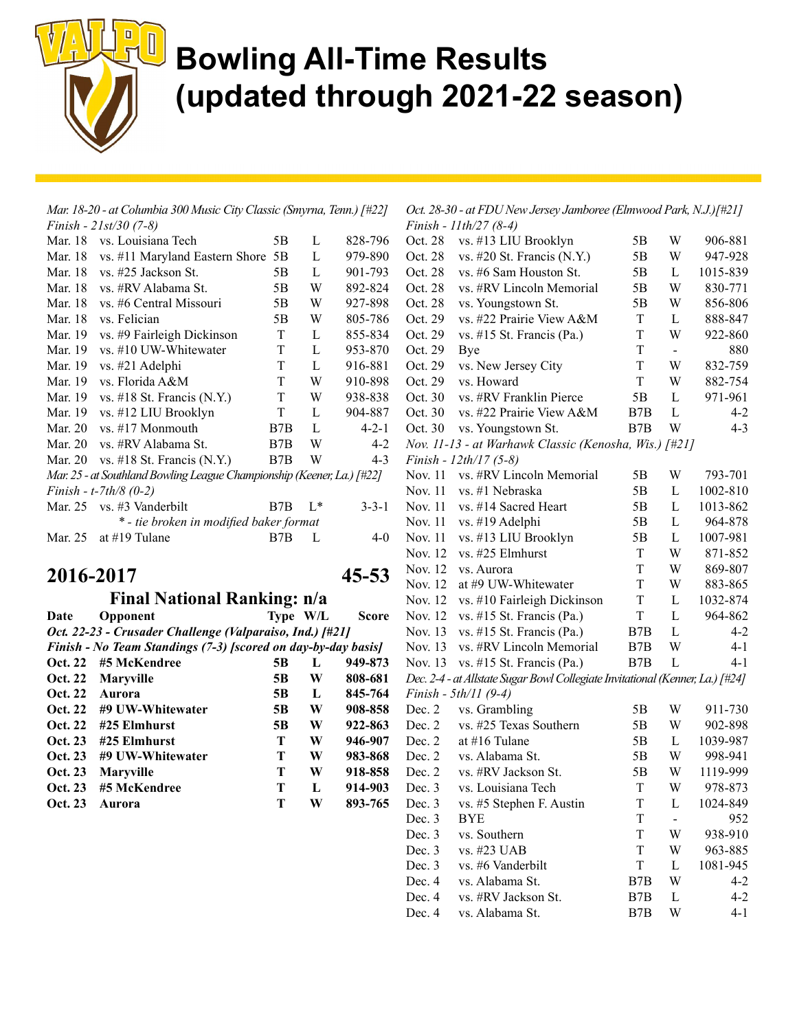

| Mar. 18-20 - at Columbia 300 Music City Classic (Smyrna, Tenn.) [#22] |                                                                        |     |              |             |  |  |  |
|-----------------------------------------------------------------------|------------------------------------------------------------------------|-----|--------------|-------------|--|--|--|
|                                                                       | Finish - $21st/30$ (7-8)                                               |     |              |             |  |  |  |
| Mar. 18                                                               | vs. Louisiana Tech                                                     | 5B  | L            | 828-796     |  |  |  |
|                                                                       | Mar. 18 vs. #11 Maryland Eastern Shore                                 | 5B  | L            | 979-890     |  |  |  |
|                                                                       | Mar. 18 vs. #25 Jackson St.                                            | 5B  | L            | 901-793     |  |  |  |
|                                                                       | Mar. 18 vs. #RV Alabama St.                                            | 5B  | W            | 892-824     |  |  |  |
| Mar. 18                                                               | vs. #6 Central Missouri                                                | 5B  | W            | 927-898     |  |  |  |
| Mar. 18                                                               | vs. Felician                                                           | 5Β  | W            | 805-786     |  |  |  |
| Mar. 19                                                               | vs. #9 Fairleigh Dickinson                                             | T   | L            | 855-834     |  |  |  |
| Mar. 19                                                               | vs. #10 UW-Whitewater                                                  | T   | L            | 953-870     |  |  |  |
| Mar. 19                                                               | vs. #21 Adelphi                                                        | T   | $\mathbf{L}$ | 916-881     |  |  |  |
| Mar. 19                                                               | vs. Florida A&M                                                        | T   | W            | 910-898     |  |  |  |
| Mar. 19                                                               | vs. $\#18$ St. Francis (N.Y.)                                          | T   | W            | 938-838     |  |  |  |
| Mar. 19                                                               | vs. #12 LIU Brooklyn                                                   | T   | L            | 904-887     |  |  |  |
| Mar. 20                                                               | vs. #17 Monmouth                                                       | B7B | L            | $4 - 2 - 1$ |  |  |  |
| Mar. 20                                                               | vs. #RV Alabama St.                                                    | B7B | W            | $4-2$       |  |  |  |
| Mar. 20                                                               | vs. $\#18$ St. Francis (N.Y.)                                          | B7B | W            | $4 - 3$     |  |  |  |
|                                                                       | Mar. 25 - at Southland Bowling League Championship (Keener, La.) [#22] |     |              |             |  |  |  |
|                                                                       | Finish - t-7th/8 $(0-2)$                                               |     |              |             |  |  |  |
|                                                                       | Mar. 25 vs. #3 Vanderbilt                                              | B7B | $L^*$        | $3 - 3 - 1$ |  |  |  |
|                                                                       | * - tie broken in modified baker format                                |     |              |             |  |  |  |
| Mar. 25                                                               | at #19 Tulane                                                          | B7B | L            | $4-0$       |  |  |  |
| 2016-2017<br>45-53                                                    |                                                                        |     |              |             |  |  |  |
| <b>Final National Ranking: n/a</b>                                    |                                                                        |     |              |             |  |  |  |

| Date           | Opponent                                                      | Type W/L |   | <b>Score</b> |
|----------------|---------------------------------------------------------------|----------|---|--------------|
|                | Oct. 22-23 - Crusader Challenge (Valparaiso, Ind.) [#21]      |          |   |              |
|                | Finish - No Team Standings (7-3) [scored on day-by-day basis] |          |   |              |
| Oct. 22        | #5 McKendree                                                  | 5B       | L | 949-873      |
| <b>Oct. 22</b> | <b>Maryville</b>                                              | 5B       | W | 808-681      |
| <b>Oct. 22</b> | Aurora                                                        | 5B       | L | 845-764      |
| <b>Oct. 22</b> | #9 UW-Whitewater                                              | 5B       | W | 908-858      |
| <b>Oct. 22</b> | #25 Elmhurst                                                  | 5B       | W | 922-863      |
| Oct. 23        | #25 Elmhurst                                                  | т        | W | 946-907      |
| Oct. 23        | #9 UW-Whitewater                                              | т        | W | 983-868      |
| Oct. 23        | <b>Maryville</b>                                              | т        | W | 918-858      |
| Oct. 23        | #5 McKendree                                                  | т        | L | 914-903      |
| Oct. 23        | Aurora                                                        | т        | W | 893-765      |

Oct. 28-30 - at FDU New Jersey Jamboree (Elmwood Park, N.J.)[#21] Finish - 11th/27 (8-4)

|         | <i>FUUSH</i> - <i>HUUZ/</i> (0-4)                                             |                  |                |          |
|---------|-------------------------------------------------------------------------------|------------------|----------------|----------|
| Oct. 28 | vs. #13 LIU Brooklyn                                                          | 5Β               | W              | 906-881  |
| Oct. 28 | vs. #20 St. Francis (N.Y.)                                                    | 5Β               | W              | 947-928  |
| Oct. 28 | vs. #6 Sam Houston St.                                                        | 5Β               | L              | 1015-839 |
| Oct. 28 | vs. #RV Lincoln Memorial                                                      | 5Β               | W              | 830-771  |
| Oct. 28 | vs. Youngstown St.                                                            | 5Β               | W              | 856-806  |
| Oct. 29 | vs. #22 Prairie View A&M                                                      | T                | L              | 888-847  |
| Oct. 29 | vs. #15 St. Francis (Pa.)                                                     | T                | W              | 922-860  |
| Oct. 29 | Bye                                                                           | T                | $\blacksquare$ | 880      |
| Oct. 29 | vs. New Jersey City                                                           | T                | W              | 832-759  |
| Oct. 29 | vs. Howard                                                                    | T                | W              | 882-754  |
| Oct. 30 | vs. #RV Franklin Pierce                                                       | 5B               | L              | 971-961  |
| Oct. 30 | vs. #22 Prairie View A&M                                                      | B7B              | L              | $4 - 2$  |
| Oct. 30 | vs. Youngstown St.                                                            | B7B              | W              | $4 - 3$  |
|         | Nov. 11-13 - at Warhawk Classic (Kenosha, Wis.) [#21]                         |                  |                |          |
|         | Finish - 12th/17 (5-8)                                                        |                  |                |          |
| Nov. 11 | vs. #RV Lincoln Memorial                                                      | 5Β               | W              | 793-701  |
| Nov. 11 | vs. #1 Nebraska                                                               | 5Β               | L              | 1002-810 |
| Nov. 11 | vs. #14 Sacred Heart                                                          | 5Β               | L              | 1013-862 |
| Nov. 11 | vs. #19 Adelphi                                                               | 5Β               | L              | 964-878  |
| Nov. 11 | vs. #13 LIU Brooklyn                                                          | 5Β               | L              | 1007-981 |
| Nov. 12 | vs. #25 Elmhurst                                                              | T                | W              | 871-852  |
| Nov. 12 | vs. Aurora                                                                    | T                | W              | 869-807  |
| Nov. 12 | at #9 UW-Whitewater                                                           | T                | W              | 883-865  |
| Nov. 12 | vs. #10 Fairleigh Dickinson                                                   | T                | L              | 1032-874 |
| Nov. 12 | vs. #15 St. Francis (Pa.)                                                     | T                | L              | 964-862  |
| Nov. 13 | vs. #15 St. Francis (Pa.)                                                     | B7B              | L              | $4 - 2$  |
| Nov. 13 | vs. #RV Lincoln Memorial                                                      | B7B              | W              | 4-1      |
| Nov. 13 | vs. #15 St. Francis (Pa.)                                                     | B7B              | L              | 4-1      |
|         | Dec. 2-4 - at Allstate Sugar Bowl Collegiate Invitational (Kenner, La.) [#24] |                  |                |          |
|         | Finish - 5th/11 (9-4)                                                         |                  |                |          |
| Dec. 2  | vs. Grambling                                                                 | 5Β               | W              | 911-730  |
| Dec. 2  | vs. #25 Texas Southern                                                        | 5B               | W              | 902-898  |
| Dec. 2  | at #16 Tulane                                                                 | 5Β               | L              | 1039-987 |
| Dec. 2  | vs. Alabama St.                                                               | 5Β               | W              | 998-941  |
| Dec. 2  | vs. #RV Jackson St.                                                           | 5Β               | W              | 1119-999 |
| Dec. 3  | vs. Louisiana Tech                                                            | T                | W              | 978-873  |
| Dec. 3  | vs. #5 Stephen F. Austin                                                      | T                | L              | 1024-849 |
| Dec. 3  | <b>BYE</b>                                                                    | T                | $\blacksquare$ | 952      |
| Dec. 3  | vs. Southern                                                                  | T                | W              | 938-910  |
| Dec. 3  | vs. #23 UAB                                                                   | T                | W              | 963-885  |
| Dec. 3  | vs. #6 Vanderbilt                                                             | T                | L              | 1081-945 |
| Dec. 4  | vs. Alabama St.                                                               | B <sub>7</sub> B | W              | $4 - 2$  |
| Dec. 4  | vs. #RV Jackson St.                                                           | B7B              | L              | $4 - 2$  |
| Dec. 4  | vs. Alabama St.                                                               | B7B              | W              | $4 - 1$  |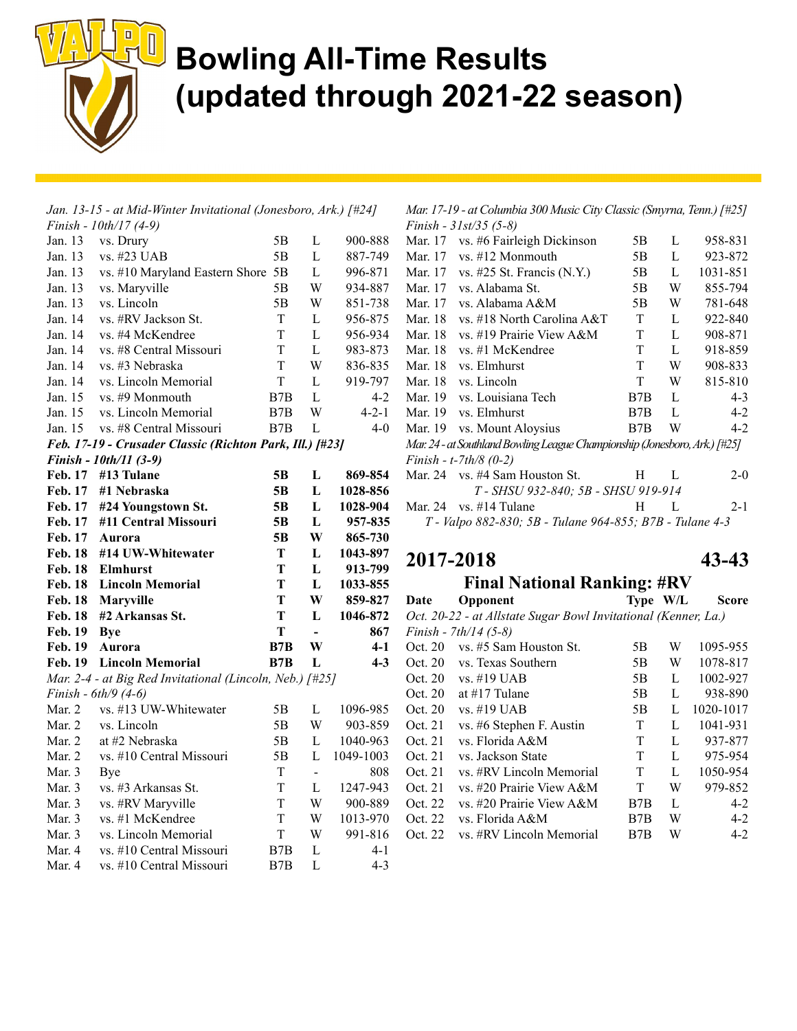

|                | Jan. 13-15 - at Mid-Winter Invitational (Jonesboro, Ark.) [#24] |             |                          |             |
|----------------|-----------------------------------------------------------------|-------------|--------------------------|-------------|
|                | Finish - 10th/17 (4-9)                                          |             |                          |             |
| Jan. 13        | vs. Drury                                                       | 5Β          | L                        | 900-888     |
| Jan. 13        | vs. #23 UAB                                                     | 5Β          | L                        | 887-749     |
| Jan. 13        | vs. #10 Maryland Eastern Shore 5B                               |             | L                        | 996-871     |
| Jan. 13        | vs. Maryville                                                   | 5Β          | W                        | 934-887     |
| Jan. 13        | vs. Lincoln                                                     | 5Β          | W                        | 851-738     |
| Jan. 14        | vs. #RV Jackson St.                                             | T           | L                        | 956-875     |
| Jan. 14        | vs. #4 McKendree                                                | T           | $\mathbf L$              | 956-934     |
| Jan. 14        | vs. #8 Central Missouri                                         | T           | L                        | 983-873     |
| Jan. 14        | vs. #3 Nebraska                                                 | T           | W                        | 836-835     |
| Jan. 14        | vs. Lincoln Memorial                                            | T           | $\mathbf L$              | 919-797     |
| Jan. 15        | vs. #9 Monmouth                                                 | B7B         | L                        | 4-2         |
| Jan. 15        | vs. Lincoln Memorial                                            | B7B         | W                        | $4 - 2 - 1$ |
| Jan. 15        | vs. #8 Central Missouri                                         | B7B         | L                        | $4-0$       |
|                | Feb. 17-19 - Crusader Classic (Richton Park, Ill.) [#23]        |             |                          |             |
|                | Finish - 10th/11 (3-9)                                          |             |                          |             |
| <b>Feb. 17</b> | #13 Tulane                                                      | 5В          | L                        | 869-854     |
| Feb. 17        | #1 Nebraska                                                     | 5Β          | L                        | 1028-856    |
| Feb. 17        | #24 Youngstown St.                                              | 5B          | L                        | 1028-904    |
| Feb. 17        | #11 Central Missouri                                            | 5B          | L                        | 957-835     |
| Feb. 17        | Aurora                                                          | 5Β          | W                        | 865-730     |
| <b>Feb. 18</b> | #14 UW-Whitewater                                               | Т           | L                        | 1043-897    |
| <b>Feb. 18</b> | <b>Elmhurst</b>                                                 | T           | L                        | 913-799     |
| <b>Feb. 18</b> | <b>Lincoln Memorial</b>                                         | Т           | L                        | 1033-855    |
| <b>Feb. 18</b> | Maryville                                                       | T           | W                        | 859-827     |
| <b>Feb. 18</b> | #2 Arkansas St.                                                 | T           | L                        | 1046-872    |
| Feb. 19        | <b>Bye</b>                                                      | T           | $\overline{\phantom{0}}$ | 867         |
| Feb. 19        | Aurora                                                          | B7B         | W                        | $4-1$       |
| <b>Feb. 19</b> | <b>Lincoln Memorial</b>                                         | B7B         | L                        | $4 - 3$     |
|                | Mar. 2-4 - at Big Red Invitational (Lincoln, Neb.) [#25]        |             |                          |             |
|                | Finish - 6th/9 (4-6)                                            |             |                          |             |
| Mar. 2         | vs. #13 UW-Whitewater                                           | 5Β          | $\mathbf L$              | 1096-985    |
| Mar. 2         | vs. Lincoln                                                     | 5B          | W                        | 903-859     |
| Mar. 2         | at #2 Nebraska                                                  | 5Β          | $\mathbf L$              | 1040-963    |
| Mar. 2         | vs. #10 Central Missouri                                        | 5B          | L                        | 1049-1003   |
| Mar. 3         | Bye                                                             | $\rm T$     | $\overline{a}$           | 808         |
| Mar. 3         | vs. #3 Arkansas St.                                             | T           | L                        | 1247-943    |
| Mar. 3         | vs. #RV Maryville                                               | T           | W                        | 900-889     |
| Mar. 3         | vs. #1 McKendree                                                | $\mathbf T$ | W                        | 1013-970    |
| Mar. 3         | vs. Lincoln Memorial                                            | T           | W                        | 991-816     |
| Mar. 4         | vs. #10 Central Missouri                                        | B7B         | $\mathbf L$              | 4-1         |
| Mar. 4         | vs. #10 Central Missouri                                        | B7B         | L                        | $4 - 3$     |

Mar. 17-19 - at Columbia 300 Music City Classic (Smyrna, Tenn.) [#25] Finish - 31st/35 (5-8)

| Mar. 17 | vs. #6 Fairleigh Dickinson                                                 | 5Β  | L | 958-831  |
|---------|----------------------------------------------------------------------------|-----|---|----------|
| Mar. 17 | $vs. \#12$ Monmouth                                                        | 5В  | L | 923-872  |
| Mar. 17 | vs. $\#25$ St. Francis (N.Y.)                                              | 5В  | L | 1031-851 |
| Mar. 17 | vs. Alabama St.                                                            | 5В  | W | 855-794  |
| Mar. 17 | vs. Alabama A&M                                                            | 5Β  | W | 781-648  |
| Mar. 18 | vs. #18 North Carolina A&T                                                 | T   | L | 922-840  |
| Mar. 18 | vs. #19 Prairie View A&M                                                   | T   | L | 908-871  |
| Mar. 18 | vs. #1 McKendree                                                           | T   | L | 918-859  |
| Mar. 18 | vs. Elmhurst                                                               | T   | W | 908-833  |
| Mar. 18 | vs. Lincoln                                                                | T   | W | 815-810  |
| Mar. 19 | vs. Louisiana Tech                                                         | B7B | L | $4 - 3$  |
| Mar. 19 | vs. Elmhurst                                                               | B7B | L | $4-2$    |
|         | Mar. 19 vs. Mount Aloysius                                                 | B7B | W | $4-2$    |
|         | Mar. 24 - at Southland Bowling League Championship (Jonesboro, Ark.) [#25] |     |   |          |
|         | Finish - t-7th/8 $(0-2)$                                                   |     |   |          |
|         | Mar. 24 vs. #4 Sam Houston St.                                             | H.  | L | $2 - 0$  |
|         | T - SHSU 932-840; 5B - SHSU 919-914                                        |     |   |          |
|         | Mar. 24 vs. $\#14$ Tulane                                                  | H.  | L | $2 - 1$  |
|         | T - Valpo 882-830; 5B - Tulane 964-855; B7B - Tulane 4-3                   |     |   |          |

#### 2017-2018 43-43

#### Final National Ranking: #RV

Date Opponent Type W/L Score Oct. 20-22 - at Allstate Sugar Bowl Invitational (Kenner, La.) Finish - 7th/14 (5-8) Oct. 20 vs. #5 Sam Houston St. 5B W 1095-955 Oct. 20 vs. Texas Southern 5B W 1078-817 Oct. 20 vs. #19 UAB 5B L 1002-927 Oct. 20 at #17 Tulane 5B L 938-890 Oct. 20 vs. #19 UAB 5B L 1020-1017 Oct. 21 vs. #6 Stephen F. Austin T L 1041-931 Oct. 21 vs. Florida A&M T L 937-877 Oct. 21 vs. Jackson State T L 975-954 Oct. 21 vs. #RV Lincoln Memorial T L 1050-954 Oct. 21 vs. #20 Prairie View A&M T W 979-852 Oct. 22 vs. #20 Prairie View A&M B7B L 4-2 Oct. 22 vs. Florida A&M B7B W 4-2 Oct. 22 vs. #RV Lincoln Memorial B7B W 4-2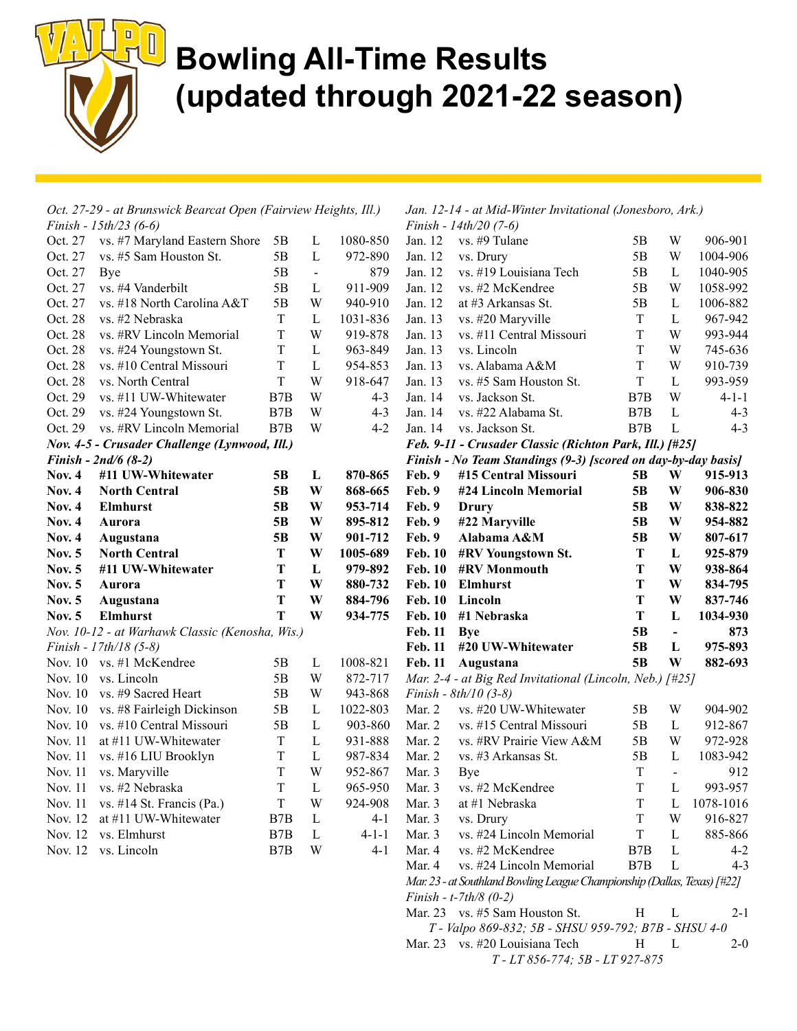

| Oct. 27-29 - at Brunswick Bearcat Open (Fairview Heights, Ill.) |                                                 |                | Jan. 12-14 - at Mid-Winter Invitational (Jonesboro, Ark.) |             |                |                                                                          |                  |                |             |
|-----------------------------------------------------------------|-------------------------------------------------|----------------|-----------------------------------------------------------|-------------|----------------|--------------------------------------------------------------------------|------------------|----------------|-------------|
|                                                                 | Finish - $15th/23$ (6-6)                        |                |                                                           |             |                | Finish - $14th/20$ (7-6)                                                 |                  |                |             |
| Oct. 27                                                         | vs. #7 Maryland Eastern Shore                   | 5B             | L                                                         | 1080-850    | Jan. 12        | vs. #9 Tulane                                                            | 5B               | W              | 906-901     |
| Oct. 27                                                         | vs. #5 Sam Houston St.                          | 5B             | L                                                         | 972-890     | Jan. 12        | vs. Drury                                                                | 5B               | W              | 1004-906    |
| Oct. 27                                                         | Bye                                             | 5B             | $\blacksquare$                                            | 879         | Jan. 12        | vs. #19 Louisiana Tech                                                   | 5B               | L              | 1040-905    |
| Oct. 27                                                         | vs. #4 Vanderbilt                               | 5B             | L                                                         | 911-909     | Jan. 12        | vs. #2 McKendree                                                         | 5B               | W              | 1058-992    |
| Oct. 27                                                         | vs. #18 North Carolina A&T                      | 5 <sub>B</sub> | W                                                         | 940-910     | Jan. 12        | at #3 Arkansas St.                                                       | 5B               | L              | 1006-882    |
| Oct. 28                                                         | vs. #2 Nebraska                                 | $\rm T$        | L                                                         | 1031-836    | Jan. 13        | vs. #20 Maryville                                                        | $\mathbf T$      | $\mathbf L$    | 967-942     |
| Oct. 28                                                         | vs. #RV Lincoln Memorial                        | T              | W                                                         | 919-878     | Jan. 13        | vs. #11 Central Missouri                                                 | T                | W              | 993-944     |
| Oct. 28                                                         | vs. #24 Youngstown St.                          | $\rm T$        | L                                                         | 963-849     | Jan. 13        | vs. Lincoln                                                              | T                | W              | 745-636     |
| Oct. 28                                                         | vs. #10 Central Missouri                        | T              | $\mathbf L$                                               | 954-853     | Jan. 13        | vs. Alabama A&M                                                          | T                | W              | 910-739     |
| Oct. 28                                                         | vs. North Central                               | T              | W                                                         | 918-647     | Jan. 13        | vs. #5 Sam Houston St.                                                   | $\mathbf T$      | L              | 993-959     |
| Oct. 29                                                         | vs. #11 UW-Whitewater                           | B7B            | W                                                         | $4 - 3$     | Jan. 14        | vs. Jackson St.                                                          | B7B              | W              | $4 - 1 - 1$ |
| Oct. 29                                                         | vs. #24 Youngstown St.                          | B7B            | W                                                         | $4 - 3$     | Jan. 14        | vs. #22 Alabama St.                                                      | B <sub>7</sub> B | L              | $4 - 3$     |
| Oct. 29                                                         | vs. #RV Lincoln Memorial                        | B7B            | W                                                         | $4 - 2$     | Jan. 14        | vs. Jackson St.                                                          | B7B              | L              | $4 - 3$     |
|                                                                 | Nov. 4-5 - Crusader Challenge (Lynwood, Ill.)   |                |                                                           |             |                | Feb. 9-11 - Crusader Classic (Richton Park, Ill.) [#25]                  |                  |                |             |
|                                                                 | <i>Finish - 2nd/6 (8-2)</i>                     |                |                                                           |             |                | Finish - No Team Standings (9-3) [scored on day-by-day basis]            |                  |                |             |
| <b>Nov. 4</b>                                                   | #11 UW-Whitewater                               | 5B             | L                                                         | 870-865     | Feb. 9         | #15 Central Missouri                                                     | 5B               | W              | 915-913     |
| <b>Nov. 4</b>                                                   | <b>North Central</b>                            | 5 <sub>B</sub> | W                                                         | 868-665     | Feb. 9         | #24 Lincoln Memorial                                                     | 5B               | W              | 906-830     |
| Nov. $4$                                                        | Elmhurst                                        | 5B             | W                                                         | 953-714     | Feb. 9         | Drury                                                                    | 5B               | W              | 838-822     |
| <b>Nov. 4</b>                                                   | Aurora                                          | 5B             | W                                                         | 895-812     | Feb. 9         | #22 Maryville                                                            | 5B               | W              | 954-882     |
| <b>Nov. 4</b>                                                   | Augustana                                       | 5 <sub>B</sub> | W                                                         | 901-712     | Feb. 9         | Alabama A&M                                                              | 5B               | W              | 807-617     |
| <b>Nov. 5</b>                                                   | <b>North Central</b>                            | T              | W                                                         | 1005-689    | <b>Feb. 10</b> | #RV Youngstown St.                                                       | T                | L              | 925-879     |
| <b>Nov. 5</b>                                                   | #11 UW-Whitewater                               | T              | L                                                         | 979-892     | <b>Feb. 10</b> | <b>#RV Monmouth</b>                                                      | T                | W              | 938-864     |
| <b>Nov. 5</b>                                                   | Aurora                                          | Т              | W                                                         | 880-732     | <b>Feb. 10</b> | Elmhurst                                                                 | T                | W              | 834-795     |
| <b>Nov. 5</b>                                                   | Augustana                                       | T              | W                                                         | 884-796     | <b>Feb. 10</b> | Lincoln                                                                  | T                | W              | 837-746     |
| Nov. $5$                                                        | <b>Elmhurst</b>                                 | T              | W                                                         | 934-775     | <b>Feb. 10</b> | #1 Nebraska                                                              | $\mathbf T$      | L              | 1034-930    |
|                                                                 | Nov. 10-12 - at Warhawk Classic (Kenosha, Wis.) |                |                                                           |             | Feb. 11        | <b>Bye</b>                                                               | 5 <sub>B</sub>   | $\blacksquare$ | 873         |
|                                                                 | Finish - $17th/18$ (5-8)                        |                |                                                           |             | <b>Feb. 11</b> | #20 UW-Whitewater                                                        | 5 <sub>B</sub>   | L              | 975-893     |
|                                                                 | Nov. 10 vs. #1 McKendree                        | 5B             | L                                                         | 1008-821    | <b>Feb. 11</b> | Augustana                                                                | 5 <sub>B</sub>   | W              | 882-693     |
| Nov. 10                                                         | vs. Lincoln                                     | 5B             | W                                                         | 872-717     |                | Mar. 2-4 - at Big Red Invitational (Lincoln, Neb.) $\lceil #25 \rceil$   |                  |                |             |
| Nov. 10                                                         | vs. #9 Sacred Heart                             | 5B             | W                                                         | 943-868     |                | Finish - $8th/10$ (3-8)                                                  |                  |                |             |
| Nov. 10                                                         | vs. #8 Fairleigh Dickinson                      | 5B             | L                                                         | 1022-803    | Mar. 2         | vs. #20 UW-Whitewater                                                    | 5B               | W              | 904-902     |
| Nov. 10                                                         | vs. #10 Central Missouri                        | 5B             | $\mathbf{L}$                                              | 903-860     | Mar. 2         | vs. #15 Central Missouri                                                 | 5B               | L              | 912-867     |
| Nov. 11                                                         | at #11 UW-Whitewater                            | T              | $\mathbf{L}$                                              | 931-888     | Mar. 2         | vs. #RV Prairie View A&M                                                 | 5B               | W              | 972-928     |
| Nov. 11                                                         | vs. #16 LIU Brooklyn                            | T              | $\mathbf{L}$                                              | 987-834     | Mar. 2         | vs. #3 Arkansas St.                                                      | 5B               | L              | 1083-942    |
| Nov. 11                                                         | vs. Maryville                                   | T              | W                                                         | 952-867     | Mar. 3         | Bye                                                                      | $\mathbf T$      | $\overline{a}$ | 912         |
|                                                                 | Nov. 11 vs. #2 Nebraska                         | $\mathbf T$    | L                                                         | 965-950     | Mar. 3         | vs. #2 McKendree                                                         | $\mathbf T$      | $\Gamma$       | 993-957     |
| Nov. 11                                                         | vs. #14 St. Francis (Pa.)                       | T              | W                                                         | 924-908     | Mar. 3         | at #1 Nebraska                                                           | T                | L              | 1078-1016   |
| Nov. 12                                                         | at #11 UW-Whitewater                            | B7B            | $\mathbf{L}$                                              | $4 - 1$     | Mar. 3         | vs. Drury                                                                | T                | W              | 916-827     |
| Nov. 12                                                         | vs. Elmhurst                                    | B7B            | L                                                         | $4 - 1 - 1$ | Mar. 3         | vs. #24 Lincoln Memorial                                                 | $\mathbf T$      | L              | 885-866     |
|                                                                 | Nov. 12 vs. Lincoln                             | B7B            | W                                                         | $4 - 1$     | Mar. 4         | vs. #2 McKendree                                                         | B7B              | L              | $4 - 2$     |
|                                                                 |                                                 |                |                                                           |             | Mar. 4         | vs. #24 Lincoln Memorial                                                 | B7B              | L              | $4 - 3$     |
|                                                                 |                                                 |                |                                                           |             |                | Mar. 23 - at Southland Bowling League Championship (Dallas, Texas) [#22] |                  |                |             |
|                                                                 |                                                 |                |                                                           |             |                | Finish - $t$ -7 $th/8$ (0-2)                                             |                  |                |             |
|                                                                 |                                                 |                |                                                           |             |                | Mar. 23 vs. #5 Sam Houston St.                                           | H                | L              | $2 - 1$     |
|                                                                 |                                                 |                |                                                           |             |                | T - Valpo 869-832; 5B - SHSU 959-792; B7B - SHSU 4-0                     |                  |                |             |

Mar. 23 vs. #20 Louisiana Tech H L 2-0 T - LT 856-774; 5B - LT 927-875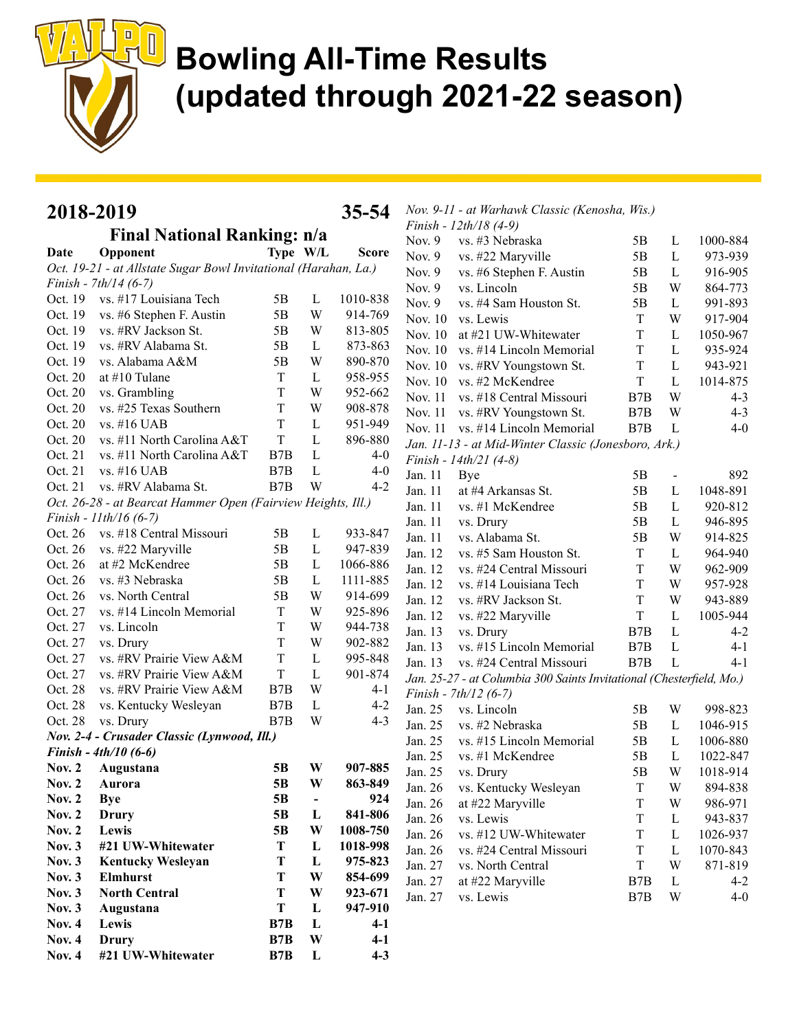

| Nov. 9-11 - at Warhawk Classic (Kenosha, Wis.)<br>2018-2019<br>35-54 |                                                                                            |                         |                          |              |                    |                                                                      |                  |                |                     |
|----------------------------------------------------------------------|--------------------------------------------------------------------------------------------|-------------------------|--------------------------|--------------|--------------------|----------------------------------------------------------------------|------------------|----------------|---------------------|
|                                                                      | <b>Final National Ranking: n/a</b>                                                         |                         |                          |              |                    | Finish - 12th/18 (4-9)                                               |                  |                |                     |
|                                                                      |                                                                                            |                         |                          |              | Nov. 9             | vs. #3 Nebraska                                                      | 5Β               | L              | 1000-884            |
| <b>Date</b>                                                          | Opponent                                                                                   | Type W/L                |                          | <b>Score</b> | Nov. $9$           | vs. #22 Maryville                                                    | 5B               | L              | 973-939             |
|                                                                      | Oct. 19-21 - at Allstate Sugar Bowl Invitational (Harahan, La.)<br>Finish - $7th/14$ (6-7) |                         |                          |              | Nov. 9             | vs. #6 Stephen F. Austin                                             | 5B               | L              | 916-905             |
| Oct. 19                                                              | vs. #17 Louisiana Tech                                                                     | 5B                      | L                        | 1010-838     | Nov. $9$           | vs. Lincoln                                                          | 5B               | W              | 864-773             |
| Oct. 19                                                              | vs. #6 Stephen F. Austin                                                                   | 5B                      | W                        | 914-769      | Nov. $9$           | vs. #4 Sam Houston St.                                               | 5B               | L              | 991-893             |
| Oct. 19                                                              | vs. #RV Jackson St.                                                                        | 5B                      | W                        | 813-805      | Nov. 10            | vs. Lewis                                                            | T                | W              | 917-904             |
| Oct. 19                                                              | vs. #RV Alabama St.                                                                        | 5B                      | L                        | 873-863      | Nov. 10            | at #21 UW-Whitewater                                                 | $\rm T$          | L              | 1050-967            |
| Oct. 19                                                              | vs. Alabama A&M                                                                            | 5B                      | W                        | 890-870      | Nov. $10$          | vs. #14 Lincoln Memorial                                             | $\rm T$          | L              | 935-924             |
| Oct. 20                                                              | at #10 Tulane                                                                              | T                       | $\mathbf{L}$             | 958-955      | Nov. 10            | vs. #RV Youngstown St.                                               | T                | L              | 943-921             |
| Oct. 20                                                              |                                                                                            | T                       | W                        | 952-662      | Nov. $10$          | vs. #2 McKendree                                                     | $\mathbf T$      | L              | 1014-875            |
| Oct. 20                                                              | vs. Grambling<br>vs. #25 Texas Southern                                                    | T                       | W                        | 908-878      | Nov. 11            | vs. #18 Central Missouri                                             | B7B              | W              | $4 - 3$             |
| Oct. 20                                                              | vs. #16 UAB                                                                                | $\rm T$                 | $\mathbf{L}$             | 951-949      | Nov. 11            | vs. #RV Youngstown St.                                               | B7B              | W              | $4 - 3$             |
| Oct. 20                                                              | vs. #11 North Carolina A&T                                                                 | $\mathbf T$             | $\mathbf{L}$             | 896-880      |                    | Nov. 11 vs. #14 Lincoln Memorial                                     | B7B              | L              | $4 - 0$             |
| Oct. 21                                                              |                                                                                            | B7B                     | $\mathbf L$              | $4 - 0$      |                    | Jan. 11-13 - at Mid-Winter Classic (Jonesboro, Ark.)                 |                  |                |                     |
| Oct. 21                                                              | vs. #11 North Carolina A&T<br>vs. #16 UAB                                                  |                         | L                        | $4 - 0$      |                    | Finish - $14th/21$ (4-8)                                             |                  |                |                     |
| Oct. 21                                                              | vs. #RV Alabama St.                                                                        | B <sub>7</sub> B<br>B7B | W                        | $4 - 2$      | Jan. 11            | Bye                                                                  | 5B               | $\blacksquare$ | 892                 |
|                                                                      |                                                                                            |                         |                          |              | Jan. 11            | at #4 Arkansas St.                                                   | 5B               | L              | 1048-891            |
|                                                                      | Oct. 26-28 - at Bearcat Hammer Open (Fairview Heights, Ill.)                               |                         |                          |              | Jan. 11            | vs. #1 McKendree                                                     | 5B               | L              | 920-812             |
|                                                                      | Finish - $11th/16$ (6-7)                                                                   |                         | $\mathbf L$              | 933-847      | Jan. 11            | vs. Drury                                                            | 5B               | L              | 946-895             |
| Oct. 26<br>Oct. 26                                                   | vs. #18 Central Missouri                                                                   | 5B<br>5B                | $\mathbf{L}$             | 947-839      | Jan. 11            | vs. Alabama St.                                                      | 5B               | W              | 914-825             |
| Oct. 26                                                              | vs. #22 Maryville<br>at #2 McKendree                                                       | 5B                      | $\mathbf L$              | 1066-886     | Jan. 12            | vs. #5 Sam Houston St.                                               | T                | L              | 964-940             |
| Oct. 26                                                              | vs. #3 Nebraska                                                                            | 5B                      | $\mathbf{L}$             | 1111-885     | Jan. 12            | vs. #24 Central Missouri                                             | $\rm T$          | W              | 962-909             |
| Oct. 26                                                              | vs. North Central                                                                          | 5B                      | W                        | 914-699      | Jan. 12            | vs. #14 Louisiana Tech                                               | $\rm T$          | W              | 957-928             |
| Oct. 27                                                              | vs. #14 Lincoln Memorial                                                                   | T                       | W                        | 925-896      | Jan. 12            | vs. #RV Jackson St.                                                  | T                | W              | 943-889             |
| Oct. 27                                                              | vs. Lincoln                                                                                | $\rm T$                 | W                        | 944-738      | Jan. 12            | vs. #22 Maryville                                                    | $\rm T$          | L              | 1005-944            |
| Oct. 27                                                              | vs. Drury                                                                                  | $\rm T$                 | W                        | 902-882      | Jan. 13            | vs. Drury                                                            | B <sub>7</sub> B | L              | $4 - 2$             |
| Oct. 27                                                              | vs. #RV Prairie View A&M                                                                   | $\rm T$                 | $\mathbf{L}$             | 995-848      | Jan. 13            | vs. #15 Lincoln Memorial                                             | B7B              | $\mathbf L$    | $4 - 1$             |
| Oct. 27                                                              | vs. #RV Prairie View A&M                                                                   | $\rm T$                 | $\mathbf{L}$             | 901-874      | Jan. 13            | vs. #24 Central Missouri                                             | B7B              | L              | $4 - 1$             |
| Oct. 28                                                              | vs. #RV Prairie View A&M                                                                   | B7B                     | W                        | $4 - 1$      |                    | Jan. 25-27 - at Columbia 300 Saints Invitational (Chesterfield, Mo.) |                  |                |                     |
| Oct. 28                                                              | vs. Kentucky Wesleyan                                                                      | B7B                     | L                        | $4 - 2$      |                    | Finish - $7th/12$ (6-7)                                              |                  |                |                     |
| Oct. 28                                                              | vs. Drury                                                                                  | B7B                     | W                        | $4 - 3$      | Jan. 25            | vs. Lincoln<br>vs. #2 Nebraska                                       | 5B               | W              | 998-823             |
|                                                                      | Nov. 2-4 - Crusader Classic (Lynwood, Ill.)                                                |                         |                          |              | Jan. 25            |                                                                      | 5B               | L              | 1046-915            |
|                                                                      | Finish - $4th/10$ (6-6)                                                                    |                         |                          |              | Jan. 25            | vs. #15 Lincoln Memorial                                             | 5B               | L              | 1006-880            |
| <b>Nov. 2</b>                                                        | Augustana                                                                                  | 5 <sub>B</sub>          | W                        | 907-885      | Jan. 25<br>Jan. 25 | vs. #1 McKendree                                                     | 5B               | L<br>W         | 1022-847            |
|                                                                      | Nov. 2 Aurora                                                                              | 5B                      | W                        | 863-849      | Jan. 26            | vs. Drury<br>vs. Kentucky Wesleyan                                   | 5B               |                | 1018-914<br>894-838 |
| Nov. $2$                                                             | <b>Bye</b>                                                                                 | 5B                      | $\overline{\phantom{a}}$ | 924          | Jan. 26            | at #22 Maryville                                                     | Τ<br>T           | W<br>W         | 986-971             |
| <b>Nov. 2</b>                                                        | <b>Drury</b>                                                                               | 5 <sub>B</sub>          | L                        | 841-806      | Jan. 26            | vs. Lewis                                                            | T                | L              | 943-837             |
| <b>Nov. 2</b>                                                        | Lewis                                                                                      | 5 <sub>B</sub>          | W                        | 1008-750     | Jan. 26            | vs. #12 UW-Whitewater                                                | T                | L              | 1026-937            |
| <b>Nov. 3</b>                                                        | #21 UW-Whitewater                                                                          | T                       | $\mathbf{L}$             | 1018-998     | Jan. 26            | vs. #24 Central Missouri                                             | T                | L              | 1070-843            |
| Nov. $3$                                                             | <b>Kentucky Wesleyan</b>                                                                   | T                       | L                        | 975-823      | Jan. 27            | vs. North Central                                                    | T                | W              | 871-819             |
| Nov. $3$                                                             | Elmhurst                                                                                   | T                       | W                        | 854-699      | Jan. 27            | at #22 Maryville                                                     | B7B              | L              | $4 - 2$             |
| Nov. $3$                                                             | <b>North Central</b>                                                                       | T                       | W                        | 923-671      | Jan. 27            | vs. Lewis                                                            | B7B              | W              | $4 - 0$             |
| <b>Nov. 3</b>                                                        | Augustana                                                                                  | T                       | L                        | 947-910      |                    |                                                                      |                  |                |                     |
| <b>Nov. 4</b>                                                        | Lewis                                                                                      | B7B                     | L                        | $4-1$        |                    |                                                                      |                  |                |                     |
| <b>Nov. 4</b>                                                        | Drury                                                                                      | B7B                     | W                        | $4 - 1$      |                    |                                                                      |                  |                |                     |
| <b>Nov. 4</b>                                                        | #21 UW-Whitewater                                                                          | B7B                     | $\mathbf{L}$             | $4 - 3$      |                    |                                                                      |                  |                |                     |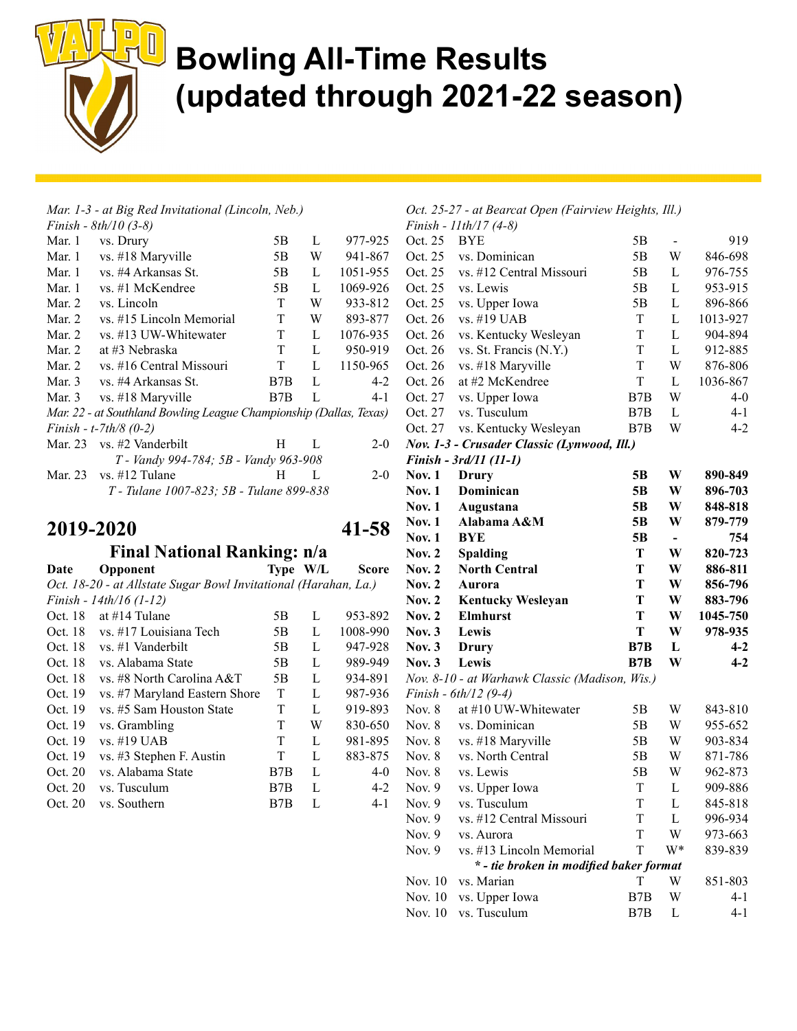

#### Mar. 1-3 - at Big Red Invitational (Lincoln, Neb.)

|          | Finish - $8th/10$ (3-8)                                            |     |   |          |
|----------|--------------------------------------------------------------------|-----|---|----------|
| Mar. 1   | vs. Drury                                                          | 5Β  | L | 977-925  |
| Mar. 1   | vs. #18 Maryville                                                  | 5Β  | W | 941-867  |
| Mar. 1   | vs. #4 Arkansas St.                                                | 5B  | L | 1051-955 |
| Mar. 1   | vs. #1 McKendree                                                   | 5B  | L | 1069-926 |
| Mar. 2   | vs. Lincoln                                                        | T   | W | 933-812  |
| Mar. 2   | vs. #15 Lincoln Memorial                                           | T   | W | 893-877  |
| Mar. 2   | vs. #13 UW-Whitewater                                              | T   | L | 1076-935 |
| Mar. 2   | at #3 Nebraska                                                     | T   | L | 950-919  |
| Mar. 2   | vs. #16 Central Missouri                                           | T   | L | 1150-965 |
| Mar. $3$ | vs. #4 Arkansas St.                                                | B7B | L | $4-2$    |
| Mar. 3   | vs. #18 Maryville                                                  | B7B | L | 4-1      |
|          | Mar. 22 - at Southland Bowling League Championship (Dallas, Texas) |     |   |          |
|          | Finish - t-7th/8 $(0-2)$                                           |     |   |          |
|          | Mar. $23 \text{ vs. } \#2 \text{ Vanderbil}$                       | H   | L | $2 - 0$  |
|          | T - Vandy 994-784; 5B - Vandy 963-908                              |     |   |          |
| Mar. 23  | $vs.$ #12 Tulane                                                   | H   | L | $2 - 0$  |
|          | T - Tulane 1007-823; 5B - Tulane 899-838                           |     |   |          |
|          |                                                                    |     |   |          |

#### 2019-2020 41-58

#### Final National Ranking: n/a

| Date    | Opponent                                                        |                  | Type W/L | Score    |
|---------|-----------------------------------------------------------------|------------------|----------|----------|
|         | Oct. 18-20 - at Allstate Sugar Bowl Invitational (Harahan, La.) |                  |          |          |
|         | Finish - 14th/16 (1-12)                                         |                  |          |          |
| Oct. 18 | at $\#14$ Tulane                                                | 5B               | L        | 953-892  |
| Oct. 18 | vs. #17 Louisiana Tech                                          | 5B               | L        | 1008-990 |
| Oct. 18 | vs. #1 Vanderbilt                                               | 5B               | L        | 947-928  |
| Oct. 18 | vs. Alabama State                                               | 5B               | L        | 989-949  |
| Oct. 18 | vs. #8 North Carolina A&T                                       | 5B               | L        | 934-891  |
| Oct. 19 | vs. #7 Maryland Eastern Shore                                   | T                | L        | 987-936  |
| Oct. 19 | vs. #5 Sam Houston State                                        | T                | L        | 919-893  |
| Oct. 19 | vs. Grambling                                                   | T                | W        | 830-650  |
| Oct. 19 | vs. #19 UAB                                                     | T                | L        | 981-895  |
| Oct. 19 | vs. #3 Stephen F. Austin                                        | T                | L        | 883-875  |
| Oct. 20 | vs. Alabama State                                               | B <sub>7</sub> B | L        | $4-0$    |
| Oct. 20 | vs. Tusculum                                                    | B7B              | L        | $4-2$    |
| Oct. 20 | vs. Southern                                                    | B7B              | L        | 4-1      |
|         |                                                                 |                  |          |          |

#### Oct. 25-27 - at Bearcat Open (Fairview Heights, Ill.)  $1141/17/40$

|               | Finish - 11th/1 / (4-8)                        |                  |                          |          |
|---------------|------------------------------------------------|------------------|--------------------------|----------|
| Oct. 25       | <b>BYE</b>                                     | 5B               | -                        | 919      |
| Oct. 25       | vs. Dominican                                  | 5B               | W                        | 846-698  |
| Oct. 25       | vs. #12 Central Missouri                       | 5B               | L                        | 976-755  |
| Oct. 25       | vs. Lewis                                      | 5B               | L                        | 953-915  |
| Oct. 25       | vs. Upper Iowa                                 | 5B               | L                        | 896-866  |
| Oct. 26       | vs. #19 UAB                                    | T                | L                        | 1013-927 |
| Oct. 26       | vs. Kentucky Wesleyan                          | T                | L                        | 904-894  |
| Oct. 26       | vs. St. Francis (N.Y.)                         | T                | L                        | 912-885  |
| Oct. 26       | vs. #18 Maryville                              | T                | W                        | 876-806  |
| Oct. 26       | at #2 McKendree                                | T                | L                        | 1036-867 |
| Oct. 27       | vs. Upper Iowa                                 | B <sub>7</sub> B | W                        | $4-0$    |
| Oct. 27       | vs. Tusculum                                   | B7B              | L                        | $4 - 1$  |
| Oct. 27       | vs. Kentucky Wesleyan                          | B7B              | W                        | $4-2$    |
|               | Nov. 1-3 - Crusader Classic (Lynwood, Ill.)    |                  |                          |          |
|               | Finish - 3rd/11 (11-1)                         |                  |                          |          |
| <b>Nov. 1</b> | Drury                                          | 5B               | W                        | 890-849  |
| Nov. $1$      | Dominican                                      | 5B               | W                        | 896-703  |
| <b>Nov. 1</b> | Augustana                                      | 5B               | W                        | 848-818  |
| Nov. $1$      | Alabama A&M                                    | 5B               | W                        | 879-779  |
| <b>Nov. 1</b> | <b>BYE</b>                                     | 5B               | $\overline{\phantom{a}}$ | 754      |
| Nov. $2$      | <b>Spalding</b>                                | T                | W                        | 820-723  |
| <b>Nov. 2</b> | <b>North Central</b>                           | T                | W                        | 886-811  |
| Nov. $2$      | Aurora                                         | T                | W                        | 856-796  |
| Nov. $2$      | <b>Kentucky Wesleyan</b>                       | T                | W                        | 883-796  |
| Nov. $2$      | <b>Elmhurst</b>                                | T                | W                        | 1045-750 |
| Nov. $3$      | Lewis                                          | T                | W                        | 978-935  |
| Nov. $3$      | Drury                                          | B7B              | L                        | $4 - 2$  |
| Nov. $3$      | Lewis                                          | B7B              | W                        | $4 - 2$  |
|               | Nov. 8-10 - at Warhawk Classic (Madison, Wis.) |                  |                          |          |
|               | Finish - 6th/12 (9-4)                          |                  |                          |          |
| Nov. $8$      | at #10 UW-Whitewater                           | 5B               | W                        | 843-810  |
| Nov. $8$      | vs. Dominican                                  | 5B               | W                        | 955-652  |
| Nov. 8        | vs. #18 Maryville                              | 5B               | W                        | 903-834  |
| Nov. $8$      | vs. North Central                              | 5B               | W                        | 871-786  |
| Nov. $8$      | vs. Lewis                                      | 5B               | W                        | 962-873  |
| Nov. 9        | vs. Upper Iowa                                 | T                | L                        | 909-886  |
| Nov. 9        | vs. Tusculum                                   | T                | L                        | 845-818  |
| Nov. 9        | vs. #12 Central Missouri                       | T                | L                        | 996-934  |
| Nov. $9$      | vs. Aurora                                     | T                | W                        | 973-663  |
| Nov. 9        | vs. #13 Lincoln Memorial                       | T                | W*                       | 839-839  |
|               | * - tie broken in modified baker format        |                  |                          |          |
| Nov. 10       | vs. Marian                                     | T                | W                        | 851-803  |
| Nov. 10       | vs. Upper Iowa                                 | B7B              | W                        | 4-1      |
| Nov. 10       | vs. Tusculum                                   | B7B              | L                        | $4 - 1$  |
|               |                                                |                  |                          |          |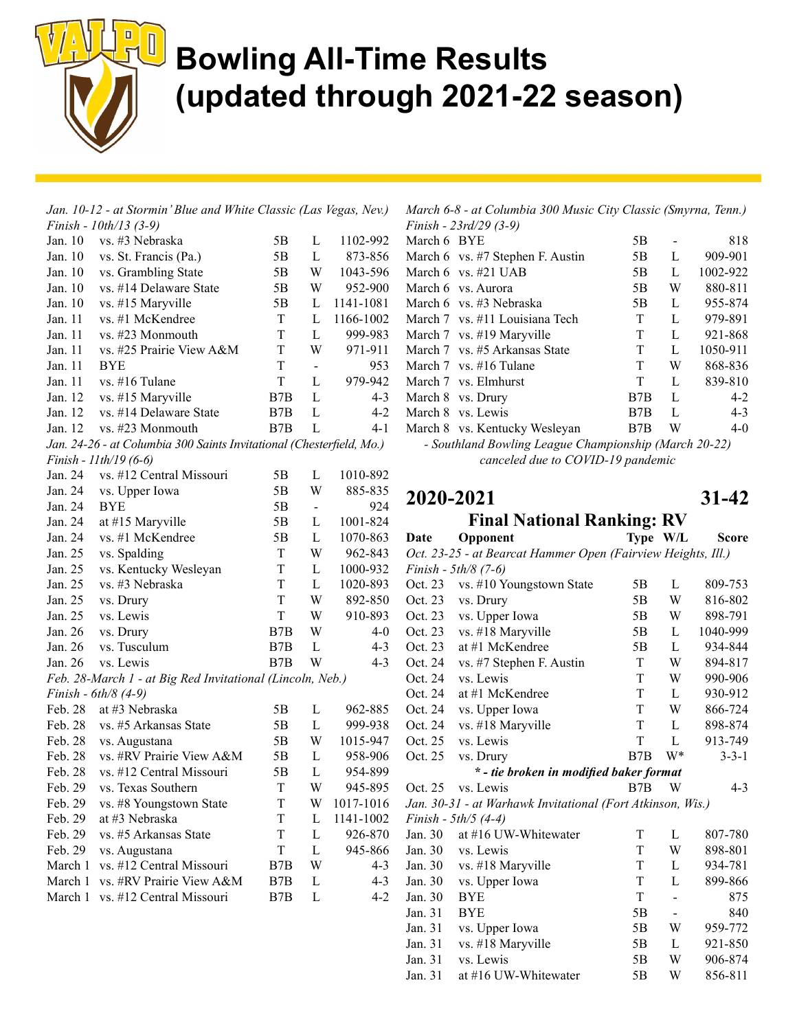

|                        | Jan. 10-12 - at Stormin' Blue and White Classic (Las Vegas, Nev.)    |             |                |           |
|------------------------|----------------------------------------------------------------------|-------------|----------------|-----------|
|                        | Finish - 10th/13 (3-9)                                               |             |                |           |
| Jan. 10                | vs. #3 Nebraska                                                      | 5Β          | L              | 1102-992  |
| Jan. 10                | vs. St. Francis (Pa.)                                                | 5B          | L              | 873-856   |
| Jan. 10                | vs. Grambling State                                                  | 5B          | W              | 1043-596  |
| Jan. 10                | vs. #14 Delaware State                                               | 5B          | W              | 952-900   |
| Jan. 10                | vs. #15 Maryville                                                    | 5B          | L              | 1141-1081 |
| Jan. 11                | vs. #1 McKendree                                                     | T           | $\mathbf L$    | 1166-1002 |
| Jan. 11                | vs. #23 Monmouth                                                     | T           | $\mathbf L$    | 999-983   |
| Jan. 11                | vs. #25 Prairie View A&M                                             | T           | W              | 971-911   |
| Jan. 11                | <b>BYE</b>                                                           | T           | $\frac{1}{2}$  | 953       |
| Jan. 11                | vs. #16 Tulane                                                       | T           | L              | 979-942   |
| Jan. 12                | vs. #15 Maryville                                                    | B7B         | L              | $4 - 3$   |
| Jan. 12                | vs. #14 Delaware State                                               | B7B         | L              | $4 - 2$   |
| Jan. 12                | vs. #23 Monmouth                                                     | B7B         | L              | $4 - 1$   |
|                        | Jan. 24-26 - at Columbia 300 Saints Invitational (Chesterfield, Mo.) |             |                |           |
|                        | Finish - 11th/19 (6-6)                                               |             |                |           |
| Jan. 24                | vs. #12 Central Missouri                                             | 5Β          | L              | 1010-892  |
| Jan. 24                | vs. Upper Iowa                                                       | 5B          | W              | 885-835   |
| Jan. 24                | <b>BYE</b>                                                           | 5B          | $\blacksquare$ | 924       |
| Jan. 24                | at #15 Maryville                                                     | 5B          | L              | 1001-824  |
| Jan. 24                | vs. #1 McKendree                                                     | 5B          | L              | 1070-863  |
| Jan. 25                | vs. Spalding                                                         | T           | W              | 962-843   |
| Jan. 25                | vs. Kentucky Wesleyan                                                | T           | L              | 1000-932  |
| Jan. 25                | vs. #3 Nebraska                                                      | T           | $\mathbf{L}$   | 1020-893  |
| Jan. 25                | vs. Drury                                                            | T           | W              | 892-850   |
| Jan. 25                | vs. Lewis                                                            | T           | W              | 910-893   |
| Jan. 26                | vs. Drury                                                            | B7B         | W              | $4 - 0$   |
| Jan. 26                | vs. Tusculum                                                         | B7B         | L              | $4 - 3$   |
| Jan. 26                | vs. Lewis                                                            | B7B         | W              | $4 - 3$   |
|                        | Feb. 28-March 1 - at Big Red Invitational (Lincoln, Neb.)            |             |                |           |
| Finish - $6th/8$ (4-9) |                                                                      |             |                |           |
| Feb. 28                | at #3 Nebraska                                                       | 5Β          | L              | 962-885   |
| Feb. 28                | vs. #5 Arkansas State                                                | 5B          | L              | 999-938   |
| Feb. 28                | vs. Augustana                                                        | 5B          | W              | 1015-947  |
| Feb. 28                | vs. #RV Prairie View A&M                                             | 5B          | L              | 958-906   |
| Feb. 28                | vs. #12 Central Missouri                                             | 5B          | L              | 954-899   |
| Feb. 29                | vs. Texas Southern                                                   | $\mathbf T$ | W              | 945-895   |
| Feb. 29                | vs. #8 Youngstown State                                              | T           | W              | 1017-1016 |
| Feb. 29                | at #3 Nebraska                                                       | T           | L              | 1141-1002 |
| Feb. 29                | vs. #5 Arkansas State                                                | T           | L              | 926-870   |
| Feb. 29                | vs. Augustana                                                        | T           | L              | 945-866   |
| March 1                | vs. #12 Central Missouri                                             | B7B         | W              | $4 - 3$   |
| March 1                | vs. #RV Prairie View A&M                                             | B7B         | L              | $4 - 3$   |
| March 1                | vs. #12 Central Missouri                                             | B7B         | L              | $4 - 2$   |

March 6-8 - at Columbia 300 Music City Classic (Smyrna, Tenn.)

|             | Finish - $23rd/29$ (3-9)         |     |   |          |
|-------------|----------------------------------|-----|---|----------|
| March 6 BYE |                                  | 5Β  |   | 818      |
|             | March 6 vs. #7 Stephen F. Austin | 5Β  | L | 909-901  |
|             | March $6$ vs. $\#21$ UAB         | 5B  | L | 1002-922 |
|             | March 6 vs. Aurora               | 5B  | W | 880-811  |
|             | March 6 vs. #3 Nebraska          | 5B  | L | 955-874  |
|             | March 7 vs. #11 Louisiana Tech   | T   | L | 979-891  |
|             | March 7 vs. #19 Maryville        | T   | L | 921-868  |
|             | March 7 vs. #5 Arkansas State    | T   | L | 1050-911 |
|             | March $7$ vs. $\#16$ Tulane      | T   | W | 868-836  |
|             | March 7 vs. Elmhurst             | T   | L | 839-810  |
|             | March 8 vs. Drury                | B7B | L | $4-2$    |
|             | March 8 vs. Lewis                | B7B | L | $4 - 3$  |
|             | March 8 vs. Kentucky Wesleyan    | B7B | W | $4-0$    |
|             |                                  |     |   |          |

- Southland Bowling League Championship (March 20-22) canceled due to COVID-19 pandemic

#### 2020-2021 31-42 Final National Ranking: RV

| Date    | Opponent                                                     | Type W/L |                | Score       |
|---------|--------------------------------------------------------------|----------|----------------|-------------|
|         | Oct. 23-25 - at Bearcat Hammer Open (Fairview Heights, Ill.) |          |                |             |
|         | Finish - 5th/8 (7-6)                                         |          |                |             |
| Oct. 23 | vs. #10 Youngstown State                                     | 5Β       | L              | 809-753     |
| Oct. 23 | vs. Drury                                                    | 5Β       | W              | 816-802     |
| Oct. 23 | vs. Upper Iowa                                               | 5Β       | W              | 898-791     |
| Oct. 23 | vs. #18 Maryville                                            | 5Β       | L              | 1040-999    |
| Oct. 23 | at #1 McKendree                                              | 5Β       | L              | 934-844     |
| Oct. 24 | vs. #7 Stephen F. Austin                                     | T        | W              | 894-817     |
| Oct. 24 | vs. Lewis                                                    | T        | W              | 990-906     |
| Oct. 24 | at #1 McKendree                                              | T        | L              | 930-912     |
| Oct. 24 | vs. Upper Iowa                                               | T        | W              | 866-724     |
| Oct. 24 | vs. #18 Maryville                                            | T        | L              | 898-874     |
| Oct. 25 | vs. Lewis                                                    | T        | L              | 913-749     |
| Oct. 25 | vs. Drury                                                    | B7B      | W*             | $3 - 3 - 1$ |
|         | * - tie broken in modified baker format                      |          |                |             |
| Oct. 25 | vs. Lewis                                                    | B7B      | W              | $4 - 3$     |
|         | Jan. 30-31 - at Warhawk Invitational (Fort Atkinson, Wis.)   |          |                |             |
|         | Finish - 5th/5 (4-4)                                         |          |                |             |
| Jan. 30 | at #16 UW-Whitewater                                         | T        | L              | 807-780     |
| Jan. 30 | vs. Lewis                                                    | T        | W              | 898-801     |
| Jan. 30 | vs. #18 Maryville                                            | T        | L              | 934-781     |
| Jan. 30 | vs. Upper Iowa                                               | T        | L              | 899-866     |
| Jan. 30 | <b>BYE</b>                                                   | T        | ÷,             | 875         |
| Jan. 31 | <b>BYE</b>                                                   | 5B       | $\overline{a}$ | 840         |
| Jan. 31 | vs. Upper Iowa                                               | 5Β       | W              | 959-772     |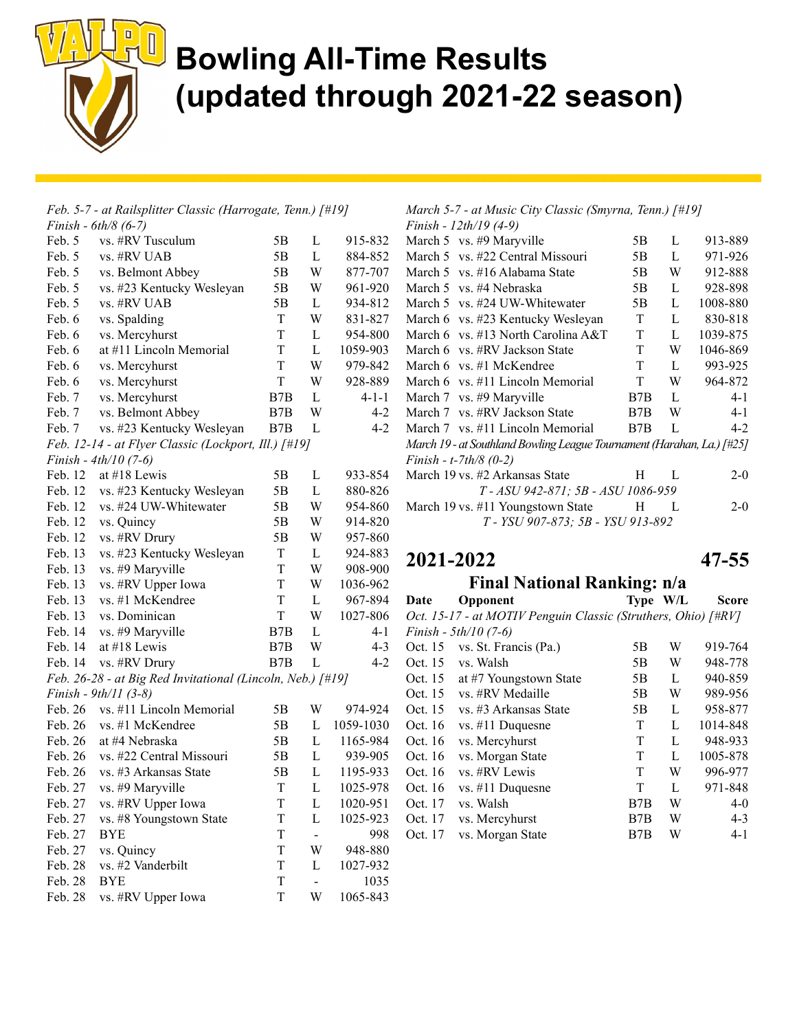

|         | Feb. 5-7 - at Railsplitter Classic (Harrogate, Tenn.) [#19] |     |              |           |  |  |
|---------|-------------------------------------------------------------|-----|--------------|-----------|--|--|
|         | <i>Finish</i> - $6th/8$ (6-7)                               |     |              |           |  |  |
| Feb. 5  | vs. #RV Tusculum                                            | 5B  | L            | 915-832   |  |  |
| Feb. 5  | vs. #RV UAB                                                 | 5Β  | L            | 884-852   |  |  |
| Feb. 5  | vs. Belmont Abbey                                           | 5Β  | W            | 877-707   |  |  |
| Feb. 5  | vs. #23 Kentucky Wesleyan                                   | 5Β  | W            | 961-920   |  |  |
| Feb. 5  | vs. #RV UAB                                                 | 5Β  | L            | 934-812   |  |  |
| Feb. 6  | vs. Spalding                                                | T   | W            | 831-827   |  |  |
| Feb. 6  | vs. Mercyhurst                                              | T   | L            | 954-800   |  |  |
| Feb. 6  | at #11 Lincoln Memorial                                     | T   | 1059-903     |           |  |  |
| Feb. 6  | vs. Mercyhurst                                              | T   | W            | 979-842   |  |  |
| Feb. 6  | vs. Mercyhurst                                              | T   | W<br>928-889 |           |  |  |
| Feb. 7  | vs. Mercyhurst                                              | B7B | L<br>4-1-1   |           |  |  |
| Feb. 7  | vs. Belmont Abbey                                           | B7B | W            | $4 - 2$   |  |  |
| Feb. 7  | vs. #23 Kentucky Wesleyan                                   | B7B | L            | $4 - 2$   |  |  |
|         | Feb. 12-14 - at Flyer Classic (Lockport, Ill.) [#19]        |     |              |           |  |  |
|         | Finish - $4th/10$ (7-6)                                     |     |              |           |  |  |
| Feb. 12 | at #18 Lewis                                                | 5B  | L            | 933-854   |  |  |
| Feb. 12 | vs. #23 Kentucky Wesleyan                                   | 5Β  | L            | 880-826   |  |  |
| Feb. 12 | vs. #24 UW-Whitewater                                       | 5B  | W            | 954-860   |  |  |
| Feb. 12 | vs. Quincy                                                  | 5Β  | W            | 914-820   |  |  |
| Feb. 12 | vs. #RV Drury                                               | 5B  | W            | 957-860   |  |  |
| Feb. 13 | vs. #23 Kentucky Wesleyan                                   | T   | L            | 924-883   |  |  |
| Feb. 13 | vs. #9 Maryville                                            | T   | W            | 908-900   |  |  |
| Feb. 13 | vs. #RV Upper Iowa                                          | T   | W            | 1036-962  |  |  |
| Feb. 13 | vs. #1 McKendree                                            | T   | L            | 967-894   |  |  |
| Feb. 13 | vs. Dominican                                               | T   | W            | 1027-806  |  |  |
| Feb. 14 | vs. #9 Maryville                                            | B7B | L            | $4 - 1$   |  |  |
| Feb. 14 | at #18 Lewis                                                | B7B | W            | $4 - 3$   |  |  |
| Feb. 14 | vs. #RV Drury                                               | B7B | L            | $4 - 2$   |  |  |
|         | Feb. 26-28 - at Big Red Invitational (Lincoln, Neb.) [#19]  |     |              |           |  |  |
|         | Finish - 9th/11 (3-8)                                       |     |              |           |  |  |
| Feb. 26 | vs. #11 Lincoln Memorial                                    | 5B  | W            | 974-924   |  |  |
| Feb. 26 | vs. #1 McKendree                                            | 5B  | L            | 1059-1030 |  |  |
| Feb. 26 | at #4 Nebraska                                              | 5B  | L            | 1165-984  |  |  |
| Feb. 26 | vs. #22 Central Missouri                                    | 5B  | L            | 939-905   |  |  |
| Feb. 26 | vs. #3 Arkansas State                                       | 5Β  | L            | 1195-933  |  |  |
| Feb. 27 | vs. #9 Maryville                                            | T   | L            | 1025-978  |  |  |
| Feb. 27 | vs. #RV Upper Iowa                                          | T   | L            | 1020-951  |  |  |
| Feb. 27 | vs. #8 Youngstown State                                     | T   | L            | 1025-923  |  |  |
| Feb. 27 | <b>BYE</b>                                                  | T   | -            | 998       |  |  |
| Feb. 27 | vs. Quincy                                                  | T   | W            | 948-880   |  |  |
| Feb. 28 | vs. #2 Vanderbilt                                           | T   | L            | 1027-932  |  |  |
| Feb. 28 | <b>BYE</b>                                                  | T   | -            | 1035      |  |  |
| Feb. 28 | vs. #RV Upper Iowa                                          | T   | W            | 1065-843  |  |  |

March 5-7 - at Music City Classic (Smyrna, Tenn.) [#19] Finish - 12th/19 (4-9)

|                                                                        | 1 <i>uwan 14001)</i> (77)               |     |   |          |  |  |  |
|------------------------------------------------------------------------|-----------------------------------------|-----|---|----------|--|--|--|
|                                                                        | March 5 $\,\$ vs. \#9 Maryville         | 5Β  | L | 913-889  |  |  |  |
|                                                                        | March 5 vs. #22 Central Missouri        | 5Β  | L | 971-926  |  |  |  |
|                                                                        | March 5 vs. #16 Alabama State           | 5Β  | W | 912-888  |  |  |  |
|                                                                        | March 5 vs. #4 Nebraska                 | 5Β  | L | 928-898  |  |  |  |
|                                                                        | March 5 vs. #24 UW-Whitewater           | 5Β  | L | 1008-880 |  |  |  |
|                                                                        | March 6 vs. #23 Kentucky Wesleyan       | T   | L | 830-818  |  |  |  |
|                                                                        | March 6 $\,$ vs. #13 North Carolina A&T | T   | L | 1039-875 |  |  |  |
|                                                                        | March 6 vs. #RV Jackson State           | T   | W | 1046-869 |  |  |  |
|                                                                        | March 6 $\,$ vs. #1 McKendree           | T   | L | 993-925  |  |  |  |
|                                                                        | March 6 vs. #11 Lincoln Memorial        | T   | W | 964-872  |  |  |  |
|                                                                        | March 7 vs. #9 Maryville                | B7B | L | $4 - 1$  |  |  |  |
|                                                                        | March 7 vs. #RV Jackson State           | B7B | W | $4 - 1$  |  |  |  |
|                                                                        | March 7 vs. #11 Lincoln Memorial        | B7B | L | $4-2$    |  |  |  |
| March 19 - at Southland Bowling League Tournament (Harahan, La.) [#25] |                                         |     |   |          |  |  |  |
| Finish - t-7th/8 $(0-2)$                                               |                                         |     |   |          |  |  |  |
|                                                                        | March 19 vs. #2 Arkansas State          | H.  | L | $2-0$    |  |  |  |
| T - ASU 942-871; 5B - ASU 1086-959                                     |                                         |     |   |          |  |  |  |
|                                                                        | March 19 vs. #11 Youngstown State       | H   | L | $2-0$    |  |  |  |
| T - YSU 907-873; 5B - YSU 913-892                                      |                                         |     |   |          |  |  |  |

#### 2021-2022 47-55

#### Final National Ranking: n/a

| Date                                                          | Opponent                | Type W/L |   | Score    |  |  |  |
|---------------------------------------------------------------|-------------------------|----------|---|----------|--|--|--|
| Oct. 15-17 - at MOTIV Penguin Classic (Struthers, Ohio) [#RV] |                         |          |   |          |  |  |  |
|                                                               | Finish - $5th/10$ (7-6) |          |   |          |  |  |  |
| Oct. 15                                                       | vs. St. Francis (Pa.)   | 5B       | W | 919-764  |  |  |  |
| Oct. 15                                                       | vs. Walsh               | 5B       | W | 948-778  |  |  |  |
| Oct. 15                                                       | at #7 Youngstown State  | 5B       | L | 940-859  |  |  |  |
| Oct. 15                                                       | vs. #RV Medaille        | 5B       | W | 989-956  |  |  |  |
| Oct. 15                                                       | vs. #3 Arkansas State   | 5B       | L | 958-877  |  |  |  |
| Oct. 16                                                       | vs. #11 Duquesne        | T        | L | 1014-848 |  |  |  |
| Oct. 16                                                       | vs. Mercyhurst          | T        | L | 948-933  |  |  |  |
| Oct. 16                                                       | vs. Morgan State        | T        | L | 1005-878 |  |  |  |
| Oct. 16                                                       | vs. #RV Lewis           | T        | W | 996-977  |  |  |  |
| Oct. 16                                                       | vs. #11 Duquesne        | T        | L | 971-848  |  |  |  |
| Oct. 17                                                       | vs. Walsh               | B7B      | W | $4-0$    |  |  |  |
| Oct. 17                                                       | vs. Mercyhurst          | B7B      | W | $4 - 3$  |  |  |  |
| Oct. 17                                                       | vs. Morgan State        | B7B      | W | $4 - 1$  |  |  |  |
|                                                               |                         |          |   |          |  |  |  |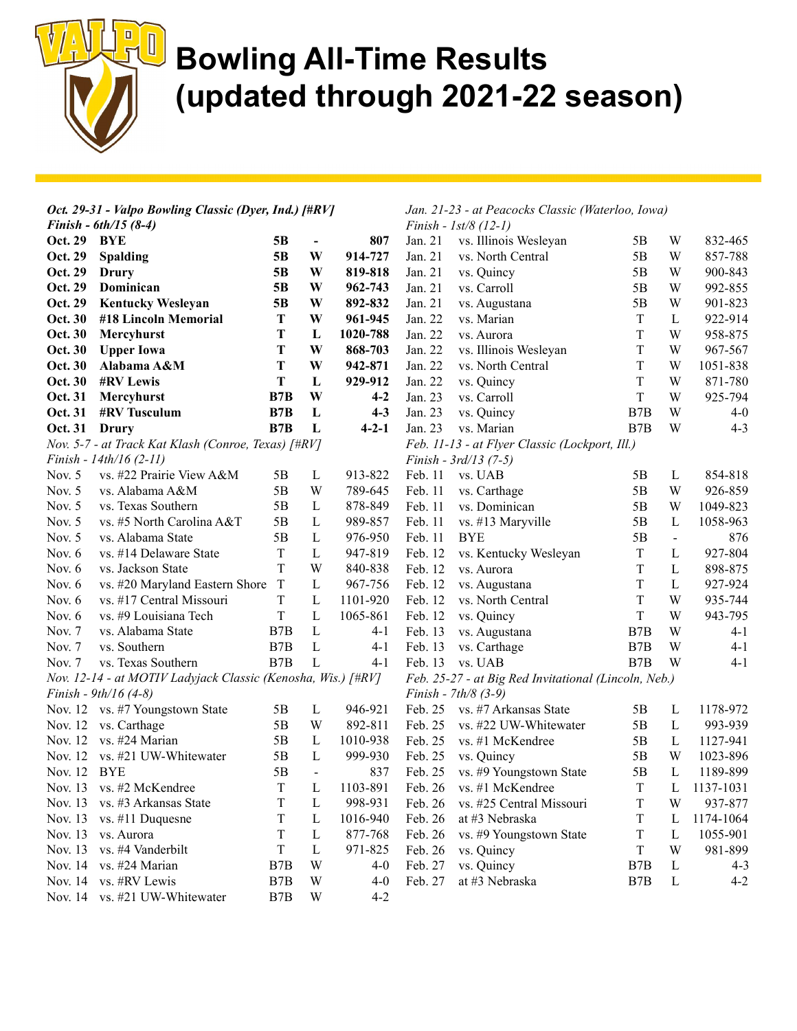

| Oct. 29-31 - Valpo Bowling Classic (Dyer, Ind.) [#RV]        |                                                     |                  |                                                      | Jan. 21-23 - at Peacocks Classic (Waterloo, Iowa) |                         |                                                |                  |                |           |  |
|--------------------------------------------------------------|-----------------------------------------------------|------------------|------------------------------------------------------|---------------------------------------------------|-------------------------|------------------------------------------------|------------------|----------------|-----------|--|
| Finish - $6th/15(8-4)$                                       |                                                     |                  | Finish - $1st/8$ (12-1)                              |                                                   |                         |                                                |                  |                |           |  |
| Oct. 29                                                      | BYE                                                 | 5B               | $\blacksquare$                                       | 807                                               | Jan. 21                 | vs. Illinois Wesleyan                          | 5В               | W              | 832-465   |  |
| Oct. 29                                                      | Spalding                                            | 5B               | W                                                    | 914-727                                           | Jan. 21                 | vs. North Central                              | 5B               | W              | 857-788   |  |
| Oct. 29                                                      | Drury                                               | 5B               | W                                                    | 819-818                                           | Jan. 21                 | vs. Quincy                                     | 5B               | W              | 900-843   |  |
| Oct. 29                                                      | Dominican                                           | 5B               | W                                                    | 962-743                                           | Jan. 21                 | vs. Carroll                                    | 5B               | W              | 992-855   |  |
| Oct. 29                                                      | <b>Kentucky Wesleyan</b>                            | 5 <sub>B</sub>   | W                                                    | 892-832                                           | Jan. 21                 | vs. Augustana                                  | 5B               | W              | 901-823   |  |
| Oct. 30                                                      | #18 Lincoln Memorial                                | T                | W                                                    | 961-945                                           | Jan. 22                 | vs. Marian                                     | $\rm T$          | L              | 922-914   |  |
| Oct. 30                                                      | Mercyhurst                                          | T                | L                                                    | 1020-788                                          | Jan. 22                 | vs. Aurora                                     | $\mathbf T$      | W              | 958-875   |  |
| Oct. 30                                                      | <b>Upper Iowa</b>                                   | T                | W                                                    | 868-703                                           | Jan. 22                 | vs. Illinois Wesleyan                          | T                | W              | 967-567   |  |
| Oct. 30                                                      | Alabama A&M                                         | T                | W                                                    | 942-871                                           | Jan. 22                 | vs. North Central                              | $\rm T$          | W              | 1051-838  |  |
| Oct. 30                                                      | <b>#RV Lewis</b>                                    | T                | L                                                    | 929-912                                           | Jan. 22                 | vs. Quincy                                     | $\mathbf T$      | W              | 871-780   |  |
| Oct. 31                                                      | Mercyhurst                                          | B7B              | W                                                    | $4 - 2$                                           | Jan. 23                 | vs. Carroll                                    | $\mathbf T$      | W              | 925-794   |  |
| Oct. 31                                                      | #RV Tusculum                                        | B7B              | L                                                    | $4-3$                                             | Jan. 23                 | vs. Quincy                                     | B <sub>7</sub> B | W              | $4 - 0$   |  |
| Oct. 31                                                      | Drury                                               | B7B              | L                                                    | $4 - 2 - 1$                                       | Jan. 23                 | vs. Marian                                     | B <sub>7</sub> B | W              | $4 - 3$   |  |
|                                                              | Nov. 5-7 - at Track Kat Klash (Conroe, Texas) [#RV] |                  |                                                      |                                                   |                         | Feb. 11-13 - at Flyer Classic (Lockport, Ill.) |                  |                |           |  |
|                                                              | Finish - $14th/16$ (2-11)                           |                  |                                                      |                                                   | Finish - $3rd/13$ (7-5) |                                                |                  |                |           |  |
| Nov. 5                                                       | vs. #22 Prairie View A&M                            | 5B               | $\mathbf{L}$                                         | 913-822                                           | Feb. 11                 | vs. UAB                                        | 5B               | L              | 854-818   |  |
| Nov. $5$                                                     | vs. Alabama A&M                                     | 5B               | W                                                    | 789-645                                           | Feb. 11                 | vs. Carthage                                   | 5B               | W              | 926-859   |  |
| Nov. $5$                                                     | vs. Texas Southern                                  | 5Β               | L                                                    | 878-849                                           | Feb. 11                 | vs. Dominican                                  | 5B               | W              | 1049-823  |  |
| Nov. $5$                                                     | vs. #5 North Carolina A&T                           | 5B               | L                                                    | 989-857                                           | Feb. 11                 | vs. #13 Maryville                              | 5B               | L              | 1058-963  |  |
| Nov. 5                                                       | vs. Alabama State                                   | 5B               | L                                                    | 976-950                                           | Feb. 11                 | <b>BYE</b>                                     | 5B               | $\blacksquare$ | 876       |  |
| Nov. $6$                                                     | vs. #14 Delaware State                              | T                | L                                                    | 947-819                                           | Feb. 12                 | vs. Kentucky Wesleyan                          | $\mathbf T$      | L              | 927-804   |  |
| Nov. $6$                                                     | vs. Jackson State                                   | $\rm T$          | W                                                    | 840-838                                           | Feb. 12                 | vs. Aurora                                     | $\mathbf T$      | L              | 898-875   |  |
| Nov. 6                                                       | vs. #20 Maryland Eastern Shore                      | $\mathbf T$      | $\mathbf{L}$                                         | 967-756                                           | Feb. 12                 | vs. Augustana                                  | $\rm T$          | L              | 927-924   |  |
| Nov. $6$                                                     | vs. #17 Central Missouri                            | $\rm T$          | $\mathbf L$                                          | 1101-920                                          | Feb. 12                 | vs. North Central                              | $\mathbf T$      | W              | 935-744   |  |
| Nov. 6                                                       | vs. #9 Louisiana Tech                               | T                | L                                                    | 1065-861                                          | Feb. 12                 | vs. Quincy                                     | $\mathbf T$      | W              | 943-795   |  |
| Nov. 7                                                       | vs. Alabama State                                   | B <sub>7</sub> B | L                                                    | $4 - 1$                                           | Feb. 13                 | vs. Augustana                                  | B <sub>7</sub> B | W              | $4 - 1$   |  |
| Nov. 7                                                       | vs. Southern                                        | B7B              | L                                                    | $4 - 1$                                           | Feb. 13                 | vs. Carthage                                   | B7B              | W              | $4 - 1$   |  |
| Nov. 7                                                       | vs. Texas Southern                                  | B7B              | L                                                    | $4-1$                                             | Feb. 13                 | vs. UAB                                        | B <sub>7</sub> B | W              | $4 - 1$   |  |
| Nov. 12-14 - at MOTIV Ladyjack Classic (Kenosha, Wis.) [#RV] |                                                     |                  | Feb. 25-27 - at Big Red Invitational (Lincoln, Neb.) |                                                   |                         |                                                |                  |                |           |  |
|                                                              | Finish - $9th/16$ (4-8)                             |                  |                                                      |                                                   |                         | Finish - $7th/8$ (3-9)                         |                  |                |           |  |
|                                                              | Nov. 12 vs. #7 Youngstown State                     | 5B               | L                                                    | 946-921                                           | Feb. 25                 | vs. #7 Arkansas State                          | 5B               | L              | 1178-972  |  |
|                                                              | Nov. 12 vs. Carthage                                | 5Β               | W                                                    | 892-811                                           | Feb. 25                 | vs. #22 UW-Whitewater                          | 5B               | L              | 993-939   |  |
| Nov. 12                                                      | vs. #24 Marian                                      | 5B               | L                                                    | 1010-938                                          | Feb. 25                 | vs. #1 McKendree                               | 5B               | L              | 1127-941  |  |
| Nov. 12                                                      | vs. #21 UW-Whitewater                               | 5B               | L                                                    | 999-930                                           | Feb. 25                 | vs. Quincy                                     | 5B               | W              | 1023-896  |  |
| Nov. 12 BYE                                                  |                                                     | 5B               | $\qquad \qquad \blacksquare$                         | 837                                               | Feb. 25                 | vs. #9 Youngstown State                        | 5B               | L              | 1189-899  |  |
|                                                              | Nov. 13 vs. #2 McKendree                            | T                | L                                                    | 1103-891                                          | Feb. 26                 | vs. #1 McKendree                               | T                | L              | 1137-1031 |  |
| Nov. 13                                                      | vs. #3 Arkansas State                               | Τ                | L                                                    | 998-931                                           | Feb. 26                 | vs. #25 Central Missouri                       | T                | W              | 937-877   |  |
| Nov. 13                                                      | vs. #11 Duquesne                                    | T                | L                                                    | 1016-940                                          | Feb. 26                 | at #3 Nebraska                                 | T                | L              | 1174-1064 |  |
| Nov. 13                                                      | vs. Aurora                                          | T                | $\mathbf{L}$                                         | 877-768                                           | Feb. 26                 | vs. #9 Youngstown State                        | T                | L              | 1055-901  |  |
| Nov. 13                                                      | vs. #4 Vanderbilt                                   | $\rm T$          | L                                                    | 971-825                                           | Feb. 26                 | vs. Quincy                                     | $\rm T$          | W              | 981-899   |  |
| Nov. 14                                                      | vs. #24 Marian                                      | B7B              | W                                                    | $4 - 0$                                           | Feb. 27                 | vs. Quincy                                     | B7B              | L              | $4 - 3$   |  |
|                                                              | Nov. 14 vs. #RV Lewis                               | B7B              | W                                                    | $4 - 0$                                           | Feb. 27                 | at #3 Nebraska                                 | B7B              | L              | $4 - 2$   |  |
|                                                              | Nov. 14 vs. #21 UW-Whitewater                       | B7B              | W                                                    | $4 - 2$                                           |                         |                                                |                  |                |           |  |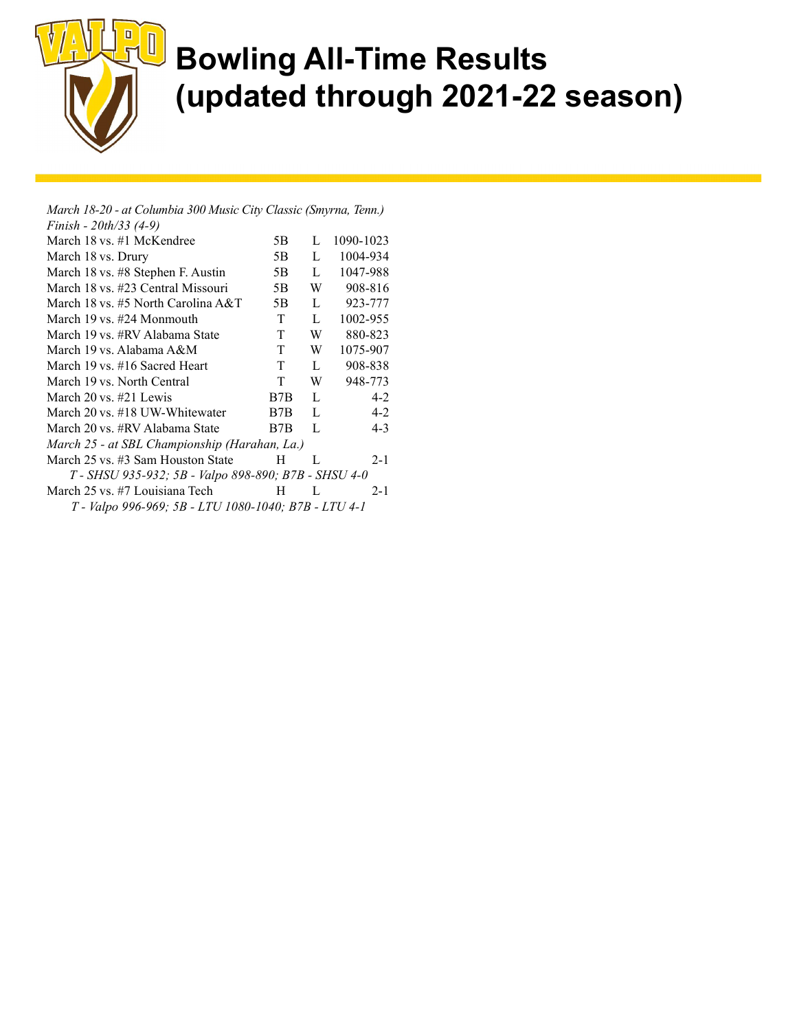

March 18-20 - at Columbia 300 Music City Classic (Smyrna, Tenn.) Finish - 20th/33 (4-9) March 18 vs. #1 McKendree 5B L 1090-1023 March 18 vs. Drury 5B L 1004-934 March 18 vs. #8 Stephen F. Austin 5B L 1047-988 March 18 vs. #23 Central Missouri 5B W 908-816 March 18 vs. #5 North Carolina  $A&T$  5B L 923-777 March 19 vs. #24 Monmouth T L 1002-955 March 19 vs. #RV Alabama State T W 880-823 March 19 vs. Alabama A&M T W 1075-907 March 19 vs. #16 Sacred Heart T L 908-838 March 19 vs. North Central T W 948-773 March  $20 \text{ vs. } \#21 \text{ Lewis}$  B7B L 4-2 March 20 vs. #18 UW-Whitewater B7B L 4-2 March 20 vs. #RV Alabama State B7B L 4-3 March 25 - at SBL Championship (Harahan, La.) March 25 vs. #3 Sam Houston State H L 2-1 T - SHSU 935-932; 5B - Valpo 898-890; B7B - SHSU 4-0 March 25 vs. #7 Louisiana Tech H L 2-1 T - Valpo 996-969; 5B - LTU 1080-1040; B7B - LTU 4-1